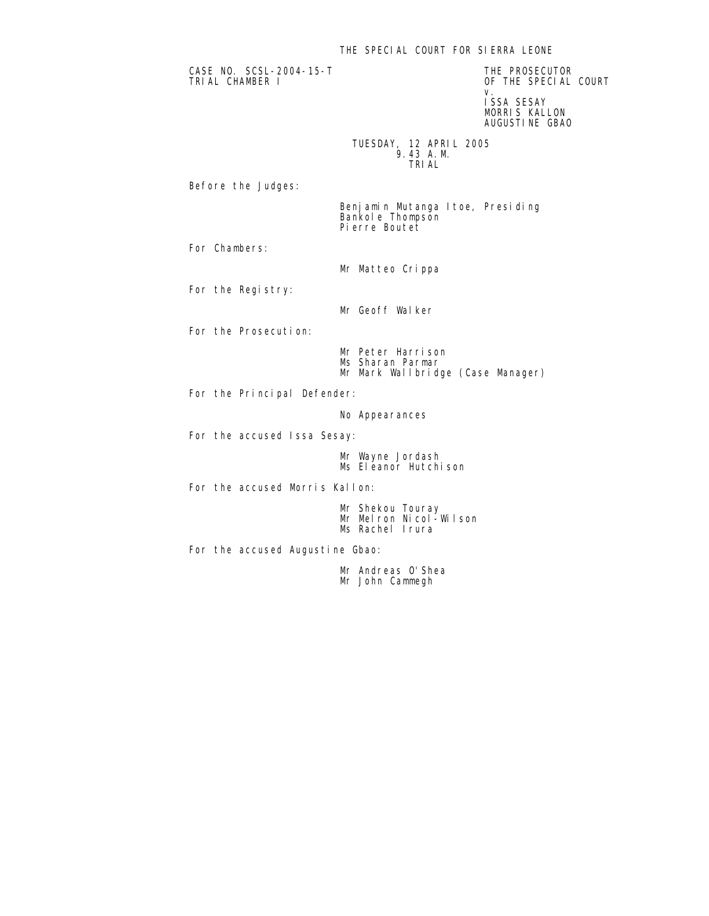## THE SPECIAL COURT FOR SIERRA LEONE

CASE NO. SCSL-2004-15-T THE PROSECUTOR

OF THE SPECIAL COURT v. Starting and the contract of the contract of the contract of the contract of the contract of the contract o ISSA SESAY MORRIS KALLON AUGUSTINE GBAO

 TUESDAY, 12 APRIL 2005 9.43 A.M. TRIAL

Before the Judges:

 Benjamin Mutanga Itoe, Presiding Bankole Thompson Pierre Boutet

For Chambers:

Mr Matteo Crippa

For the Registry:

Mr Geoff Walker

For the Prosecution:

 Mr Peter Harrison Ms Sharan Parmar Mr Mark Wallbridge (Case Manager)

For the Principal Defender:

No Appearances

For the accused Issa Sesay:

 Mr Wayne Jordash Ms Eleanor Hutchison

For the accused Morris Kallon:

 Mr Shekou Touray Mr Melron Nicol-Wilson Ms Rachel Irura

For the accused Augustine Gbao:

 Mr Andreas O'Shea Mr John Cammegh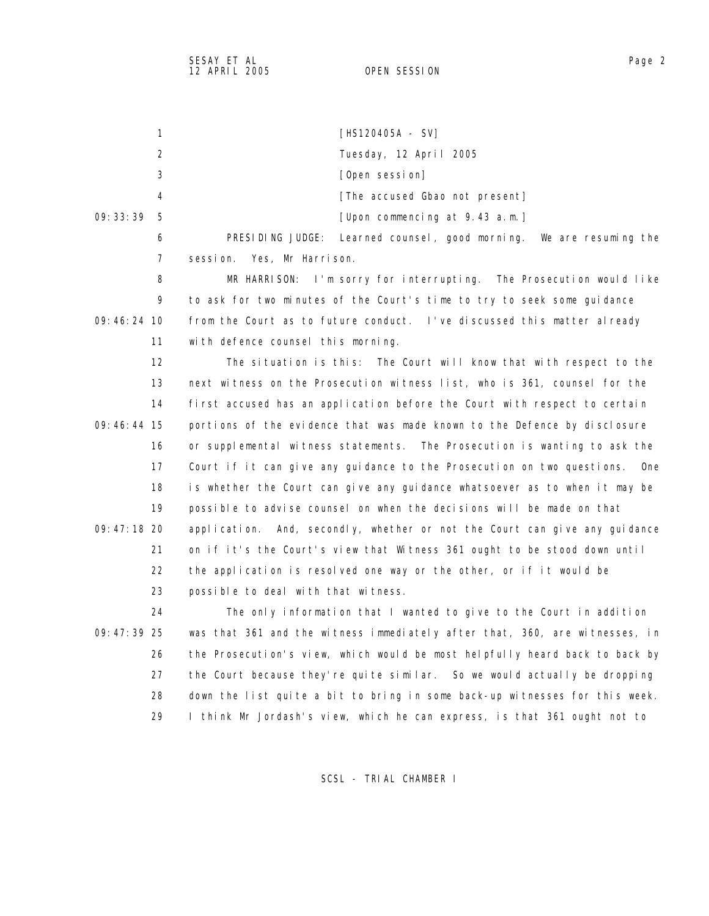1 [HS120405A - SV] 2 Tuesday, 12 April 2005 3 **Conserversion** [Open session] 4 **A EXECUTE:** The accused Gbao not present] 09:33:39 5 [Upon commencing at 9.43 a.m.] 6 PRESIDING JUDGE: Learned counsel, good morning. We are resuming the 7 session. Yes, Mr Harrison. 8 MR HARRISON: I'm sorry for interrupting. The Prosecution would like 9 to ask for two minutes of the Court's time to try to seek some guidance 09:46:24 10 from the Court as to future conduct. I've discussed this matter already 11 with defence counsel this morning. 12 The situation is this: The Court will know that with respect to the 13 next witness on the Prosecution witness list, who is 361, counsel for the 14 first accused has an application before the Court with respect to certain 09:46:44 15 portions of the evidence that was made known to the Defence by disclosure 16 or supplemental witness statements. The Prosecution is wanting to ask the 17 Court if it can give any guidance to the Prosecution on two questions. One 18 is whether the Court can give any guidance whatsoever as to when it may be 19 possible to advise counsel on when the decisions will be made on that 09:47:18 20 application. And, secondly, whether or not the Court can give any guidance 21 on if it's the Court's view that Witness 361 ought to be stood down until 22 the application is resolved one way or the other, or if it would be 23 possible to deal with that witness. 24 The only information that I wanted to give to the Court in addition 09:47:39 25 was that 361 and the witness immediately after that, 360, are witnesses, in 26 the Prosecution's view, which would be most helpfully heard back to back by 27 the Court because they're quite similar. So we would actually be dropping 28 down the list quite a bit to bring in some back-up witnesses for this week. 29 I think Mr Jordash's view, which he can express, is that 361 ought not to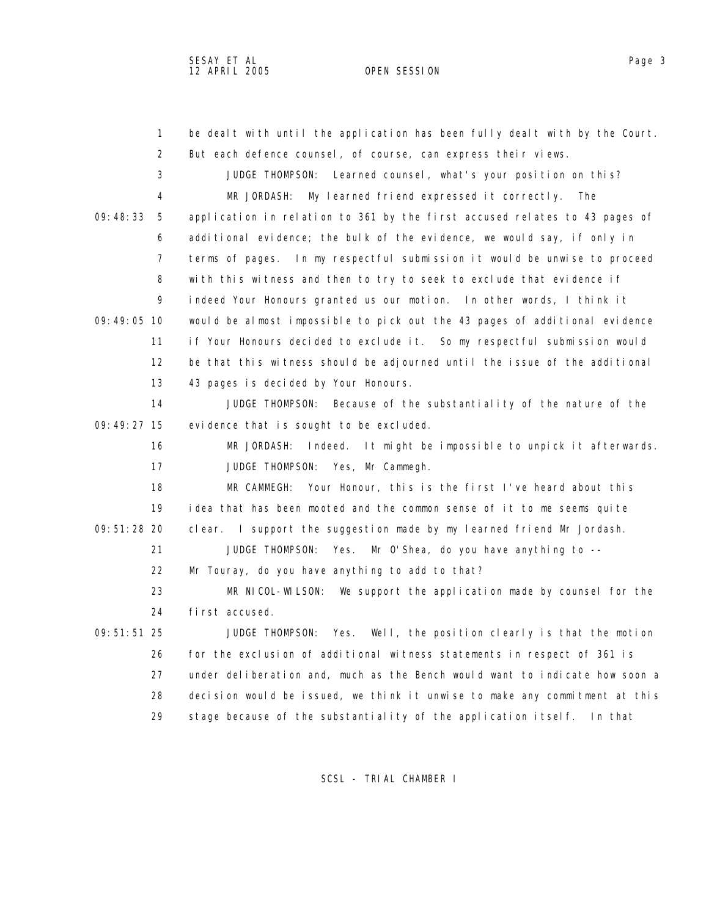1 be dealt with until the application has been fully dealt with by the Court. 2 But each defence counsel, of course, can express their views. 3 JUDGE THOMPSON: Learned counsel, what's your position on this? 4 MR JORDASH: My learned friend expressed it correctly. The 09:48:33 5 application in relation to 361 by the first accused relates to 43 pages of 6 additional evidence; the bulk of the evidence, we would say, if only in 7 terms of pages. In my respectful submission it would be unwise to proceed 8 with this witness and then to try to seek to exclude that evidence if 9 indeed Your Honours granted us our motion. In other words, I think it 09:49:05 10 would be almost impossible to pick out the 43 pages of additional evidence 11 if Your Honours decided to exclude it. So my respectful submission would 12 be that this witness should be adjourned until the issue of the additional 13 43 pages is decided by Your Honours. 14 JUDGE THOMPSON: Because of the substantiality of the nature of the 09:49:27 15 evidence that is sought to be excluded. 16 MR JORDASH: Indeed. It might be impossible to unpick it afterwards. 17 JUDGE THOMPSON: Yes, Mr Cammegh. 18 MR CAMMEGH: Your Honour, this is the first I've heard about this 19 idea that has been mooted and the common sense of it to me seems quite 09:51:28 20 clear. I support the suggestion made by my learned friend Mr Jordash. 21 JUDGE THOMPSON: Yes. Mr O'Shea, do you have anything to -- 22 Mr Touray, do you have anything to add to that? 23 MR NICOL-WILSON: We support the application made by counsel for the 24 first accused. 09:51:51 25 JUDGE THOMPSON: Yes. Well, the position clearly is that the motion 26 for the exclusion of additional witness statements in respect of 361 is 27 under deliberation and, much as the Bench would want to indicate how soon a 28 decision would be issued, we think it unwise to make any commitment at this

SCSL - TRIAL CHAMBER I

29 stage because of the substantiality of the application itself. In that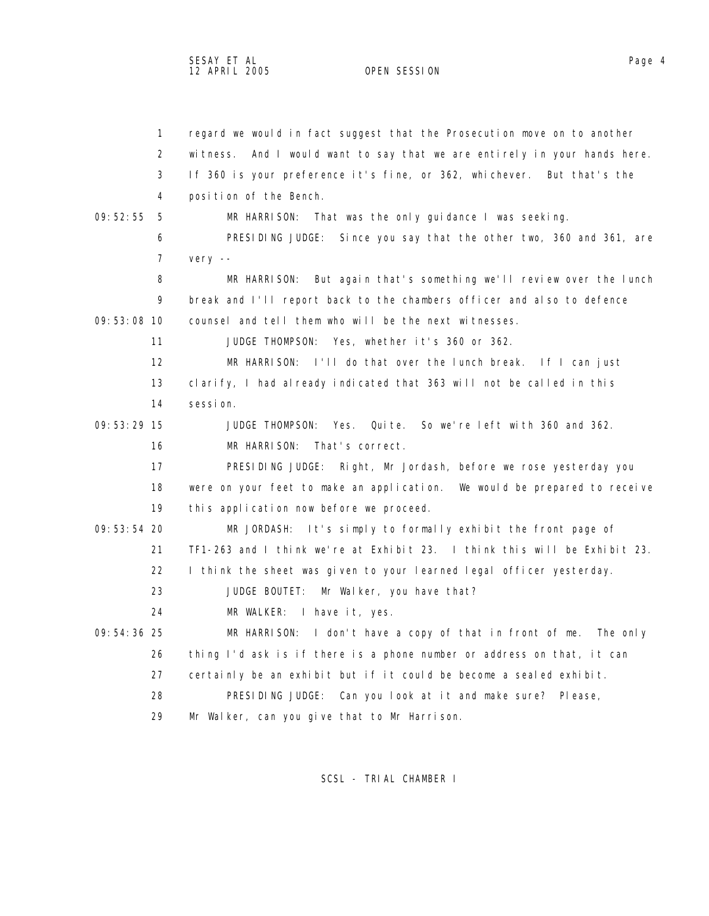1 regard we would in fact suggest that the Prosecution move on to another 2 witness. And I would want to say that we are entirely in your hands here. 3 If 360 is your preference it's fine, or 362, whichever. But that's the 4 position of the Bench. 09:52:55 5 MR HARRISON: That was the only guidance I was seeking. 6 PRESIDING JUDGE: Since you say that the other two, 360 and 361, are 7 very -- 8 MR HARRISON: But again that's something we'll review over the lunch 9 break and I'll report back to the chambers officer and also to defence 09:53:08 10 counsel and tell them who will be the next witnesses. 11 JUDGE THOMPSON: Yes, whether it's 360 or 362. 12 MR HARRISON: I'll do that over the lunch break. If I can just 13 clarify, I had already indicated that 363 will not be called in this 14 session. 09:53:29 15 JUDGE THOMPSON: Yes. Quite. So we're left with 360 and 362. 16 MR HARRISON: That's correct. 17 PRESIDING JUDGE: Right, Mr Jordash, before we rose yesterday you 18 were on your feet to make an application. We would be prepared to receive 19 this application now before we proceed. 09:53:54 20 MR JORDASH: It's simply to formally exhibit the front page of 21 TF1-263 and I think we're at Exhibit 23. I think this will be Exhibit 23. 22 I think the sheet was given to your learned legal officer yesterday. 23 JUDGE BOUTET: Mr Walker, you have that? 24 MR WALKER: I have it, yes. 09:54:36 25 MR HARRISON: I don't have a copy of that in front of me. The only 26 thing I'd ask is if there is a phone number or address on that, it can 27 certainly be an exhibit but if it could be become a sealed exhibit. 28 PRESIDING JUDGE: Can you look at it and make sure? Please, 29 Mr Walker, can you give that to Mr Harrison.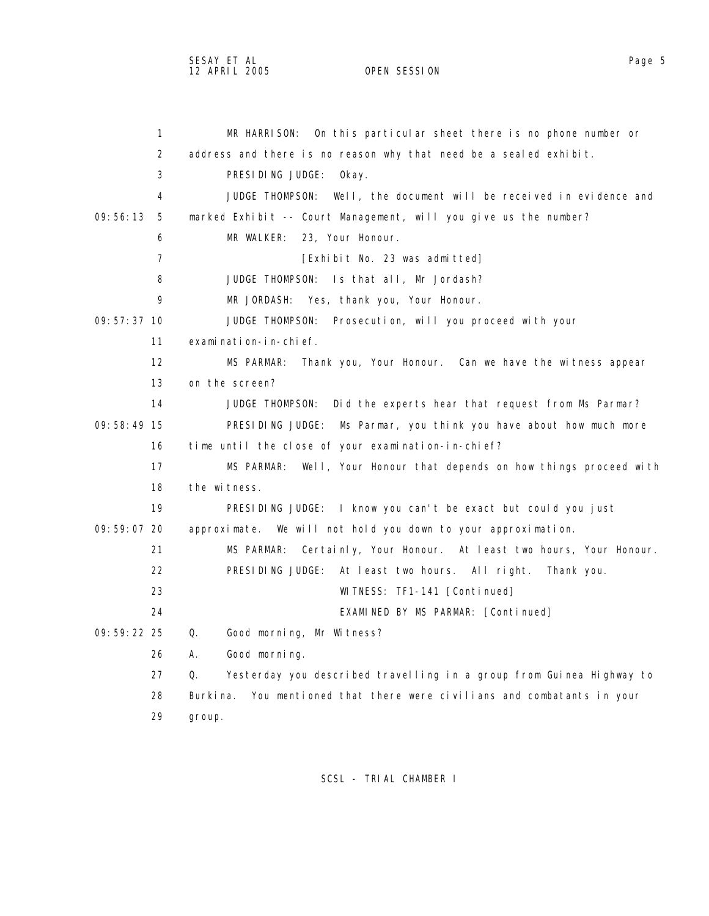1 MR HARRISON: On this particular sheet there is no phone number or 2 address and there is no reason why that need be a sealed exhibit. 3 PRESIDING JUDGE: Okay. 4 JUDGE THOMPSON: Well, the document will be received in evidence and 09:56:13 5 marked Exhibit -- Court Management, will you give us the number? 6 MR WALKER: 23, Your Honour. 7 **[Exhibit No. 23 was admitted]**  8 JUDGE THOMPSON: Is that all, Mr Jordash? 9 MR JORDASH: Yes, thank you, Your Honour. 09:57:37 10 JUDGE THOMPSON: Prosecution, will you proceed with your 11 examination-in-chief. 12 MS PARMAR: Thank you, Your Honour. Can we have the witness appear 13 on the screen? 14 JUDGE THOMPSON: Did the experts hear that request from Ms Parmar? 09:58:49 15 PRESIDING JUDGE: Ms Parmar, you think you have about how much more 16 time until the close of your examination-in-chief? 17 MS PARMAR: Well, Your Honour that depends on how things proceed with 18 the witness. 19 PRESIDING JUDGE: I know you can't be exact but could you just 09:59:07 20 approximate. We will not hold you down to your approximation. 21 MS PARMAR: Certainly, Your Honour. At least two hours, Your Honour. 22 PRESIDING JUDGE: At least two hours. All right. Thank you. 23 WITNESS: TF1-141 [Continued] 24 EXAMINED BY MS PARMAR: [Continued] 09:59:22 25 Q. Good morning, Mr Witness? 26 A. Good morning. 27 Q. Yesterday you described travelling in a group from Guinea Highway to 28 Burkina. You mentioned that there were civilians and combatants in your

29 group.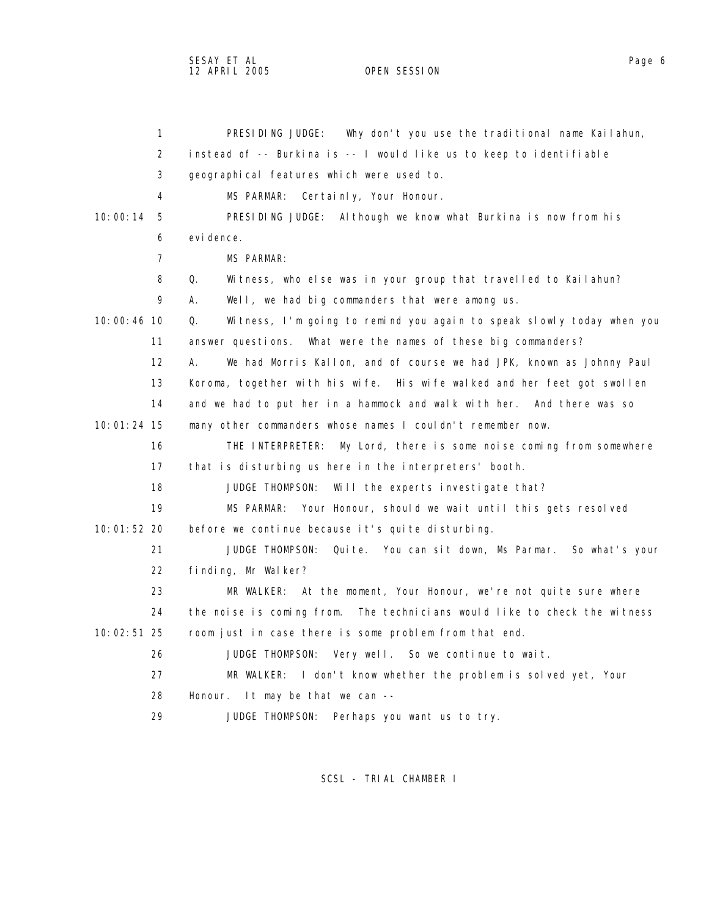sesay et al. In the second service of the second service of the service of the service of the service of the s 12 APRIL 2005 OPEN SESSION

| $\mathbf{1}$   | Why don't you use the traditional name Kailahun,<br>PRESIDING JUDGE:        |
|----------------|-----------------------------------------------------------------------------|
| 2              | instead of -- Burkina is -- I would like us to keep to identifiable         |
| 3              | geographical features which were used to.                                   |
| 4              | MS PARMAR:<br>Certainly, Your Honour.                                       |
| 10:00:14<br>5  | PRESIDING JUDGE: Although we know what Burkina is now from his              |
| 6              | evi dence.                                                                  |
| $\overline{7}$ | MS PARMAR:                                                                  |
| 8              | Q.<br>Witness, who else was in your group that travelled to Kailahun?       |
| 9              | Well, we had big commanders that were among us.<br>А.                       |
| $10:00:46$ 10  | Q.<br>Witness, I'm going to remind you again to speak slowly today when you |
| 11             | answer questions. What were the names of these big commanders?              |
| 12             | We had Morris Kallon, and of course we had JPK, known as Johnny Paul<br>А.  |
| 13             | Koroma, together with his wife. His wife walked and her feet got swollen    |
| 14             | and we had to put her in a hammock and walk with her. And there was so      |
| 10:01:24 15    | many other commanders whose names I couldn't remember now.                  |
| 16             | THE INTERPRETER: My Lord, there is some noise coming from somewhere         |
| 17             | that is disturbing us here in the interpreters' booth.                      |
| 18             | JUDGE THOMPSON:<br>Will the experts investigate that?                       |
| 19             | MS PARMAR: Your Honour, should we wait until this gets resolved             |
| 10:01:52 20    | before we continue because it's quite disturbing.                           |
| 21             | Quite. You can sit down, Ms Parmar. So what's your<br>JUDGE THOMPSON:       |
| 22             | finding, Mr Walker?                                                         |
| 23             | MR WALKER: At the moment, Your Honour, we're not quite sure where           |
| 24             | the noise is coming from. The technicians would like to check the witness   |
| 10:02:51 25    | room just in case there is some problem from that end.                      |
| 26             | JUDGE THOMPSON: Very well. So we continue to wait.                          |
| 27             | MR WALKER: I don't know whether the problem is solved yet, Your             |
| 28             | Honour. It may be that we can $-$                                           |
| 29             | JUDGE THOMPSON:<br>Perhaps you want us to try.                              |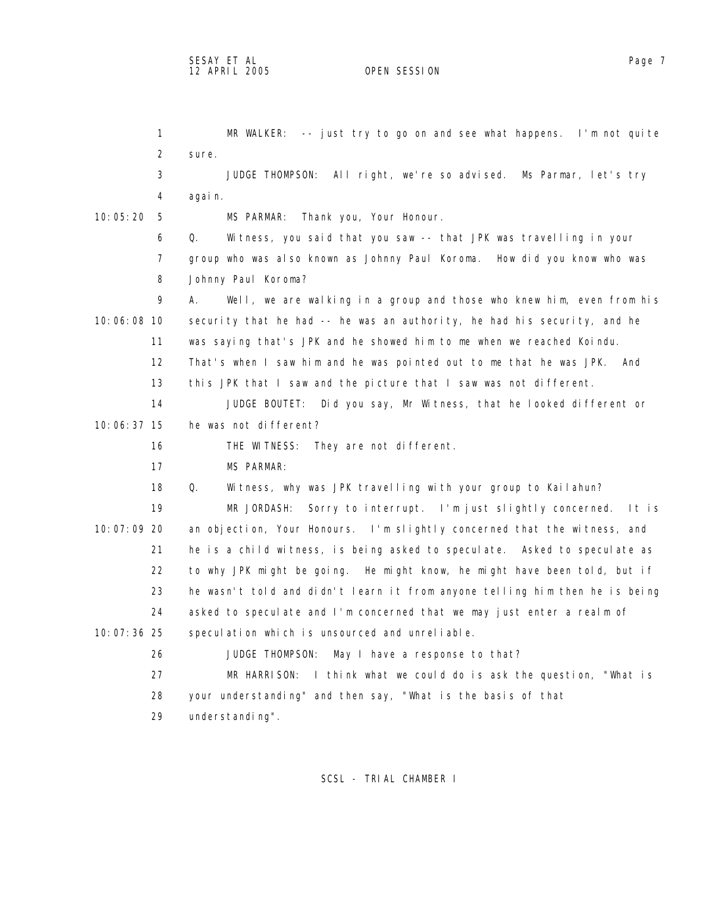1 MR WALKER: -- just try to go on and see what happens. I'm not quite 2 sure. 3 JUDGE THOMPSON: All right, we're so advised. Ms Parmar, let's try 4 again. 10:05:20 5 MS PARMAR: Thank you, Your Honour. 6 Q. Witness, you said that you saw -- that JPK was travelling in your 7 group who was also known as Johnny Paul Koroma. How did you know who was 8 Johnny Paul Koroma? 9 A. Well, we are walking in a group and those who knew him, even from his 10:06:08 10 security that he had -- he was an authority, he had his security, and he 11 was saying that's JPK and he showed him to me when we reached Koindu. 12 That's when I saw him and he was pointed out to me that he was JPK. And 13 this JPK that I saw and the picture that I saw was not different. 14 JUDGE BOUTET: Did you say, Mr Witness, that he looked different or 10:06:37 15 he was not different? 16 THE WITNESS: They are not different. 17 MS PARMAR: 18 Q. Witness, why was JPK travelling with your group to Kailahun? 19 MR JORDASH: Sorry to interrupt. I'm just slightly concerned. It is 10:07:09 20 an objection, Your Honours. I'm slightly concerned that the witness, and 21 he is a child witness, is being asked to speculate. Asked to speculate as 22 to why JPK might be going. He might know, he might have been told, but if 23 he wasn't told and didn't learn it from anyone telling him then he is being 24 asked to speculate and I'm concerned that we may just enter a realm of 10:07:36 25 speculation which is unsourced and unreliable. 26 JUDGE THOMPSON: May I have a response to that? 27 MR HARRISON: I think what we could do is ask the question, "What is 28 your understanding" and then say, "What is the basis of that 29 understanding".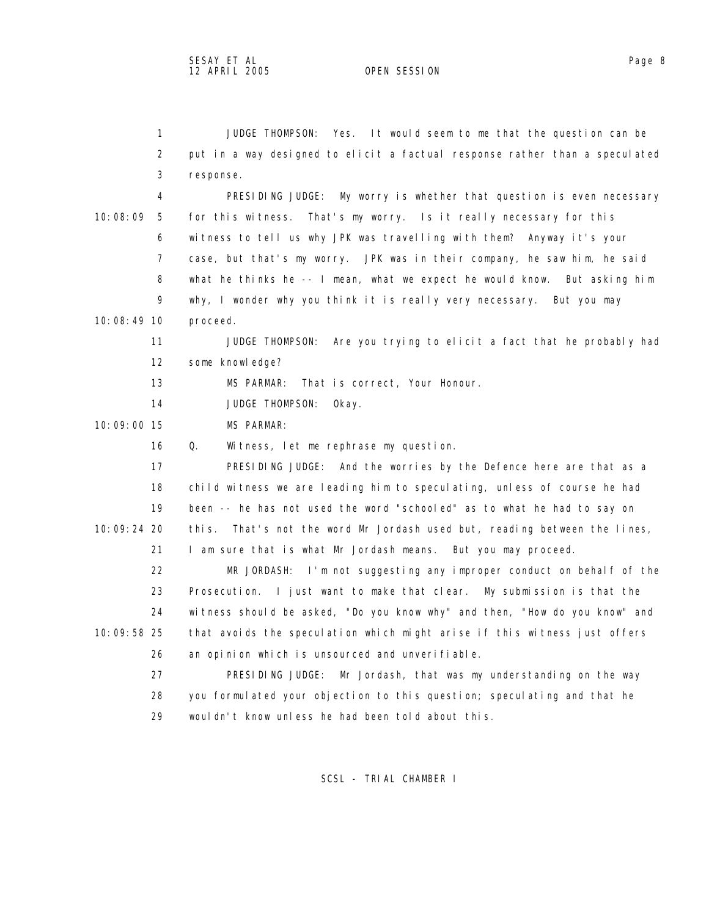1 JUDGE THOMPSON: Yes. It would seem to me that the question can be 2 put in a way designed to elicit a factual response rather than a speculated 3 response. 4 PRESIDING JUDGE: My worry is whether that question is even necessary

 10:08:09 5 for this witness. That's my worry. Is it really necessary for this 6 witness to tell us why JPK was travelling with them? Anyway it's your 7 case, but that's my worry. JPK was in their company, he saw him, he said 8 what he thinks he -- I mean, what we expect he would know. But asking him 9 why, I wonder why you think it is really very necessary. But you may

10:08:49 10 proceed.

 11 JUDGE THOMPSON: Are you trying to elicit a fact that he probably had 12 some knowledge?

13 MS PARMAR: That is correct, Your Honour.

14 JUDGE THOMPSON: Okay.

10:09:00 15 MS PARMAR:

16 Q. Witness, let me rephrase my question.

 17 PRESIDING JUDGE: And the worries by the Defence here are that as a 18 child witness we are leading him to speculating, unless of course he had 19 been -- he has not used the word "schooled" as to what he had to say on 10:09:24 20 this. That's not the word Mr Jordash used but, reading between the lines, 21 I am sure that is what Mr Jordash means. But you may proceed.

 22 MR JORDASH: I'm not suggesting any improper conduct on behalf of the 23 Prosecution. I just want to make that clear. My submission is that the 24 witness should be asked, "Do you know why" and then, "How do you know" and 10:09:58 25 that avoids the speculation which might arise if this witness just offers 26 an opinion which is unsourced and unverifiable.

 27 PRESIDING JUDGE: Mr Jordash, that was my understanding on the way 28 you formulated your objection to this question; speculating and that he 29 wouldn't know unless he had been told about this.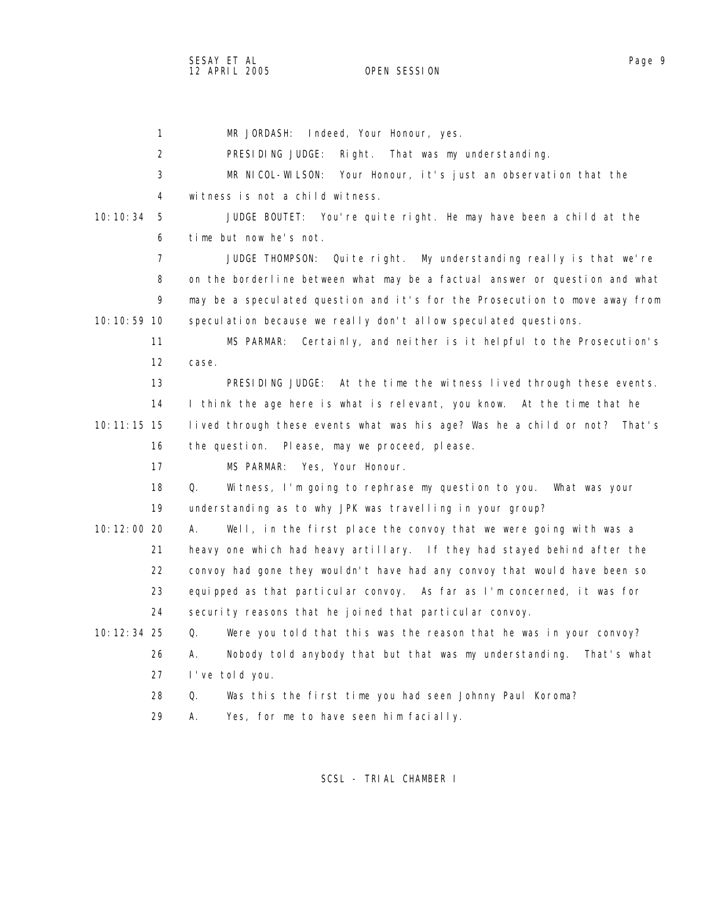SESAY ET AL Page 9 12 APRIL 2005

 1 MR JORDASH: Indeed, Your Honour, yes. 2 PRESIDING JUDGE: Right. That was my understanding. 3 MR NICOL-WILSON: Your Honour, it's just an observation that the 4 witness is not a child witness. 10:10:34 5 JUDGE BOUTET: You're quite right. He may have been a child at the 6 time but now he's not. 7 JUDGE THOMPSON: Quite right. My understanding really is that we're 8 on the borderline between what may be a factual answer or question and what 9 may be a speculated question and it's for the Prosecution to move away from 10:10:59 10 speculation because we really don't allow speculated questions. 11 MS PARMAR: Certainly, and neither is it helpful to the Prosecution's 12 case. 13 PRESIDING JUDGE: At the time the witness lived through these events. 14 I think the age here is what is relevant, you know. At the time that he 10:11:15 15 lived through these events what was his age? Was he a child or not? That's 16 the question. Please, may we proceed, please. 17 MS PARMAR: Yes, Your Honour. 18 Q. Witness, I'm going to rephrase my question to you. What was your 19 understanding as to why JPK was travelling in your group? 10:12:00 20 A. Well, in the first place the convoy that we were going with was a 21 heavy one which had heavy artillary. If they had stayed behind after the 22 convoy had gone they wouldn't have had any convoy that would have been so 23 equipped as that particular convoy. As far as I'm concerned, it was for 24 security reasons that he joined that particular convoy. 10:12:34 25 Q. Were you told that this was the reason that he was in your convoy? 26 A. Nobody told anybody that but that was my understanding. That's what 27 I've told you. 28 Q. Was this the first time you had seen Johnny Paul Koroma? 29 A. Yes, for me to have seen him facially.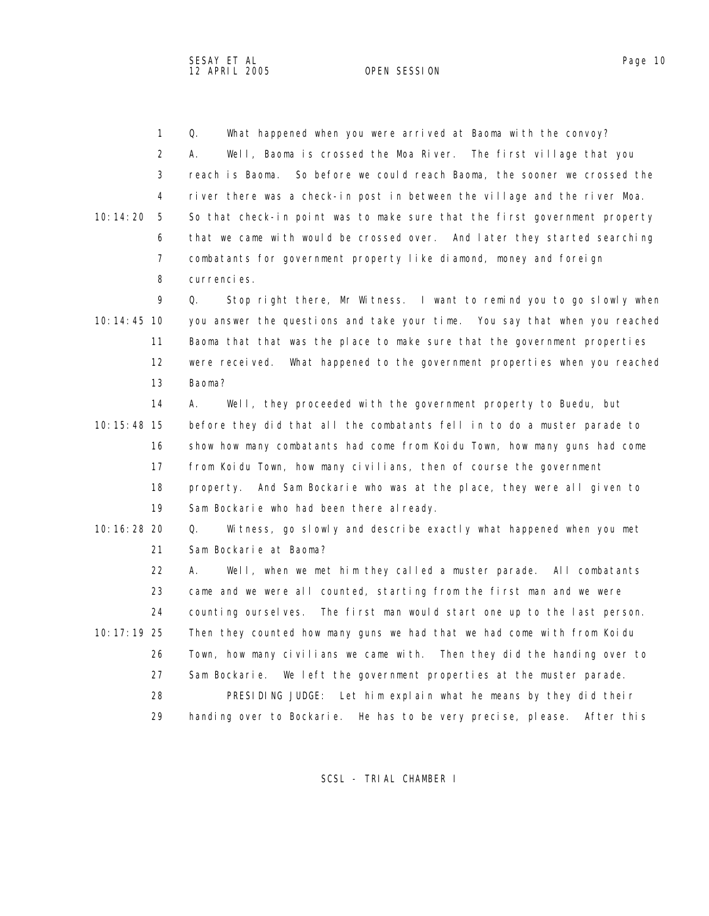1 Q. What happened when you were arrived at Baoma with the convoy? 2 A. Well, Baoma is crossed the Moa River. The first village that you 3 reach is Baoma. So before we could reach Baoma, the sooner we crossed the 4 river there was a check-in post in between the village and the river Moa. 10:14:20 5 So that check-in point was to make sure that the first government property 6 that we came with would be crossed over. And later they started searching 7 combatants for government property like diamond, money and foreign 8 currencies.

 9 Q. Stop right there, Mr Witness. I want to remind you to go slowly when 10:14:45 10 you answer the questions and take your time. You say that when you reached 11 Baoma that that was the place to make sure that the government properties 12 were received. What happened to the government properties when you reached 13 Baoma?

 14 A. Well, they proceeded with the government property to Buedu, but 10:15:48 15 before they did that all the combatants fell in to do a muster parade to 16 show how many combatants had come from Koidu Town, how many guns had come 17 from Koidu Town, how many civilians, then of course the government 18 property. And Sam Bockarie who was at the place, they were all given to 19 Sam Bockarie who had been there already.

 10:16:28 20 Q. Witness, go slowly and describe exactly what happened when you met 21 Sam Bockarie at Baoma?

 22 A. Well, when we met him they called a muster parade. All combatants 23 came and we were all counted, starting from the first man and we were 24 counting ourselves. The first man would start one up to the last person. 10:17:19 25 Then they counted how many guns we had that we had come with from Koidu 26 Town, how many civilians we came with. Then they did the handing over to 27 Sam Bockarie. We left the government properties at the muster parade. 28 PRESIDING JUDGE: Let him explain what he means by they did their 29 handing over to Bockarie. He has to be very precise, please. After this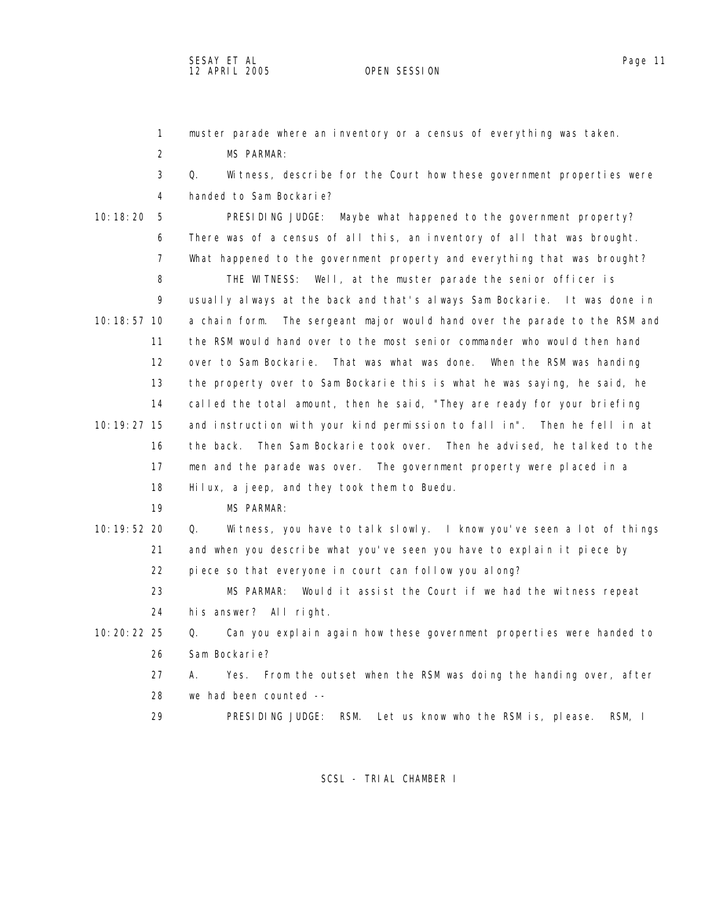1 muster parade where an inventory or a census of everything was taken. 2 MS PARMAR: 3 Q. Witness, describe for the Court how these government properties were 4 handed to Sam Bockarie? 10:18:20 5 PRESIDING JUDGE: Maybe what happened to the government property? 6 There was of a census of all this, an inventory of all that was brought. 7 What happened to the government property and everything that was brought? 8 THE WITNESS: Well, at the muster parade the senior officer is 9 usually always at the back and that's always Sam Bockarie. It was done in 10:18:57 10 a chain form. The sergeant major would hand over the parade to the RSM and 11 the RSM would hand over to the most senior commander who would then hand 12 over to Sam Bockarie. That was what was done. When the RSM was handing 13 the property over to Sam Bockarie this is what he was saying, he said, he 14 called the total amount, then he said, "They are ready for your briefing 10:19:27 15 and instruction with your kind permission to fall in". Then he fell in at 16 the back. Then Sam Bockarie took over. Then he advised, he talked to the 17 men and the parade was over. The government property were placed in a 18 Hilux, a jeep, and they took them to Buedu. 19 MS PARMAR: 10:19:52 20 Q. Witness, you have to talk slowly. I know you've seen a lot of things 21 and when you describe what you've seen you have to explain it piece by 22 piece so that everyone in court can follow you along? 23 MS PARMAR: Would it assist the Court if we had the witness repeat 24 his answer? All right. 10:20:22 25 Q. Can you explain again how these government properties were handed to 26 Sam Bockarie? 27 A. Yes. From the outset when the RSM was doing the handing over, after 28 we had been counted -- 29 PRESIDING JUDGE: RSM. Let us know who the RSM is, please. RSM, I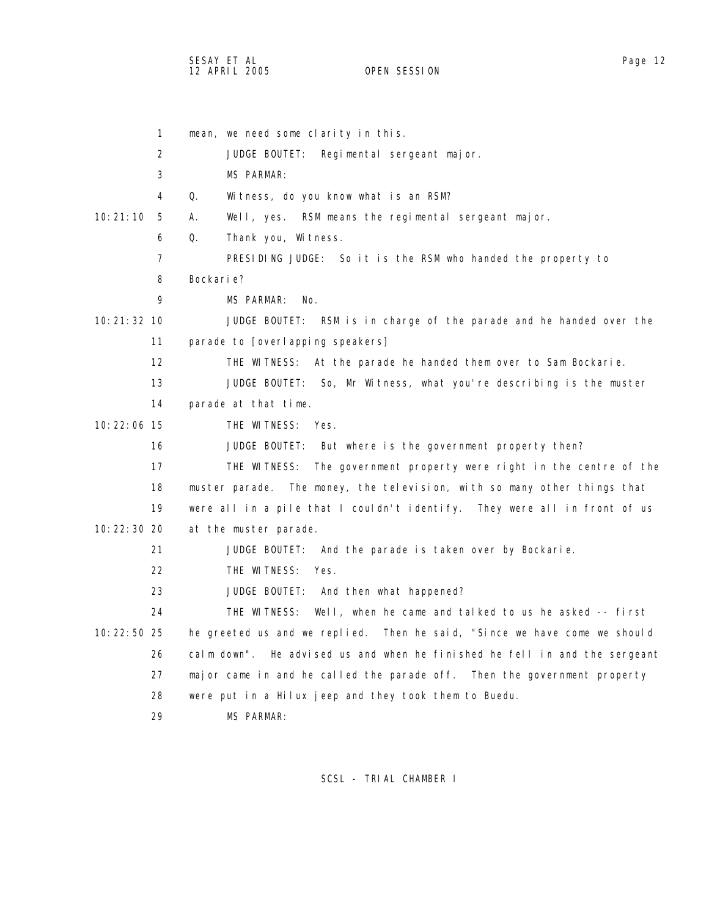SESAY ET AL Page 12 12 APRIL 2005

 1 mean, we need some clarity in this. 2 JUDGE BOUTET: Regimental sergeant major. 3 MS PARMAR: 4 Q. Witness, do you know what is an RSM? 10:21:10 5 A. Well, yes. RSM means the regimental sergeant major. 6 Q. Thank you, Witness. 7 PRESIDING JUDGE: So it is the RSM who handed the property to 8 Bockarie? 9 MS PARMAR: No. 10:21:32 10 JUDGE BOUTET: RSM is in charge of the parade and he handed over the 11 parade to [overlapping speakers] 12 THE WITNESS: At the parade he handed them over to Sam Bockarie. 13 JUDGE BOUTET: So, Mr Witness, what you're describing is the muster 14 parade at that time. 10:22:06 15 THE WITNESS: Yes. 16 JUDGE BOUTET: But where is the government property then? 17 THE WITNESS: The government property were right in the centre of the 18 muster parade. The money, the television, with so many other things that 19 were all in a pile that I couldn't identify. They were all in front of us 10:22:30 20 at the muster parade. 21 JUDGE BOUTET: And the parade is taken over by Bockarie. 22 THE WITNESS: Yes. 23 JUDGE BOUTET: And then what happened? 24 THE WITNESS: Well, when he came and talked to us he asked -- first 10:22:50 25 he greeted us and we replied. Then he said, "Since we have come we should 26 calm down". He advised us and when he finished he fell in and the sergeant 27 major came in and he called the parade off. Then the government property 28 were put in a Hilux jeep and they took them to Buedu. 29 MS PARMAR: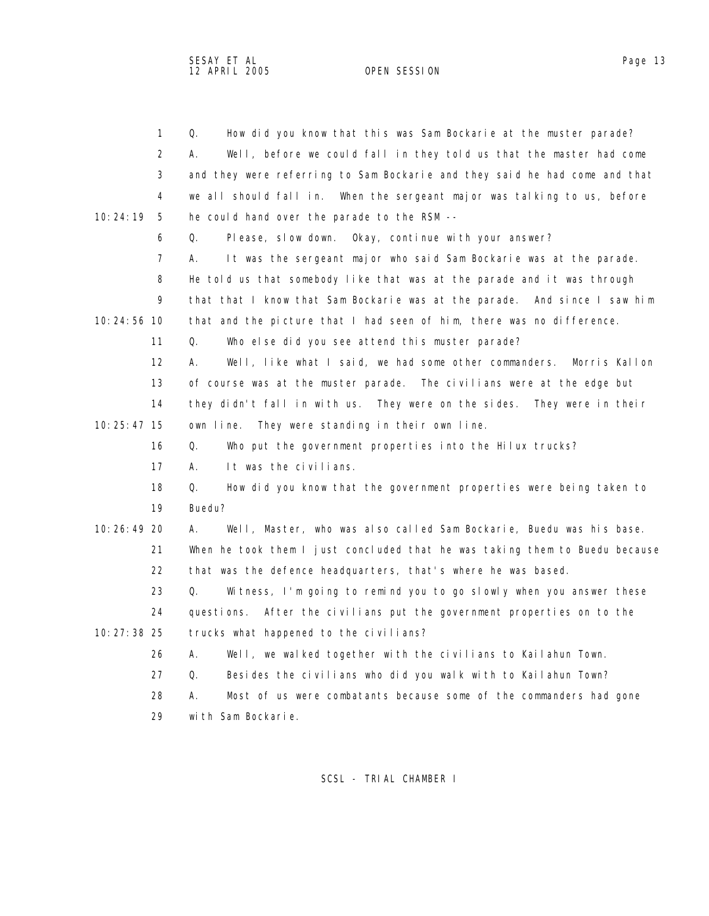SESAY ET AL Page 13 12 APRIL 2005

 1 Q. How did you know that this was Sam Bockarie at the muster parade? 2 A. Well, before we could fall in they told us that the master had come 3 and they were referring to Sam Bockarie and they said he had come and that 4 we all should fall in. When the sergeant major was talking to us, before 10:24:19 5 he could hand over the parade to the RSM -- 6 Q. Please, slow down. Okay, continue with your answer? 7 A. It was the sergeant major who said Sam Bockarie was at the parade. 8 He told us that somebody like that was at the parade and it was through 9 that that I know that Sam Bockarie was at the parade. And since I saw him 10:24:56 10 that and the picture that I had seen of him, there was no difference. 11 Q. Who else did you see attend this muster parade? 12 A. Well, like what I said, we had some other commanders. Morris Kallon 13 of course was at the muster parade. The civilians were at the edge but 14 they didn't fall in with us. They were on the sides. They were in their 10:25:47 15 own line. They were standing in their own line. 16 Q. Who put the government properties into the Hilux trucks? 17 A. It was the civilians. 18 Q. How did you know that the government properties were being taken to 19 Buedu? 10:26:49 20 A. Well, Master, who was also called Sam Bockarie, Buedu was his base. 21 When he took them I just concluded that he was taking them to Buedu because 22 that was the defence headquarters, that's where he was based. 23 Q. Witness, I'm going to remind you to go slowly when you answer these 24 questions. After the civilians put the government properties on to the 10:27:38 25 trucks what happened to the civilians? 26 A. Well, we walked together with the civilians to Kailahun Town. 27 Q. Besides the civilians who did you walk with to Kailahun Town? 28 A. Most of us were combatants because some of the commanders had gone 29 with Sam Bockarie.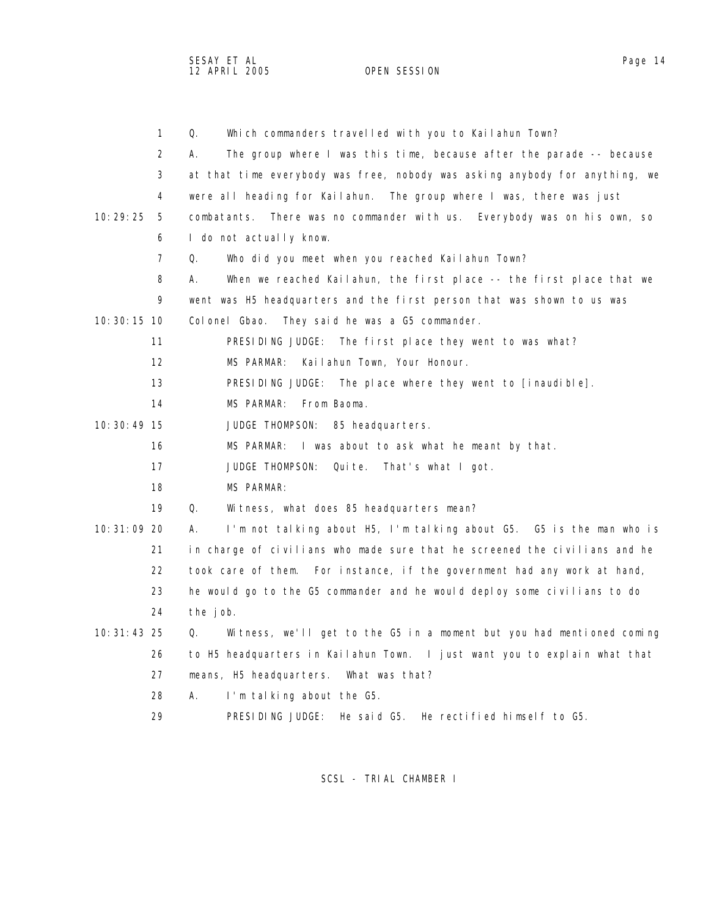SESAY ET AL Page 14 12 APRIL 2005 OPEN SESSION

|               | $\mathbf{1}$ | Q.<br>Which commanders travelled with you to Kailahun Town?                 |
|---------------|--------------|-----------------------------------------------------------------------------|
|               | 2            | The group where I was this time, because after the parade -- because<br>А.  |
|               | 3            | at that time everybody was free, nobody was asking anybody for anything, we |
|               | 4            | were all heading for Kailahun. The group where I was, there was just        |
| 10:29:25      | 5            | There was no commander with us. Everybody was on his own, so<br>combatants. |
|               | 6            | I do not actually know.                                                     |
|               | 7            | Q.<br>Who did you meet when you reached Kailahun Town?                      |
|               | 8            | А.<br>When we reached Kailahun, the first place -- the first place that we  |
|               | 9            | went was H5 headquarters and the first person that was shown to us was      |
| 10: 30: 15 10 |              | Colonel Gbao. They said he was a G5 commander.                              |
|               | 11           | PRESIDING JUDGE:<br>The first place they went to was what?                  |
|               | 12           | Kailahun Town, Your Honour.<br>MS PARMAR:                                   |
|               | 13           | PRESIDING JUDGE: The place where they went to $\lceil$ inaudible].          |
|               | 14           | MS PARMAR:<br>From Baoma.                                                   |
| $10:30:49$ 15 |              | JUDGE THOMPSON:<br>85 headquarters.                                         |
|               | 16           | MS PARMAR:<br>I was about to ask what he meant by that.                     |
|               | 17           | Qui te.<br>JUDGE THOMPSON:<br>That's what I got.                            |
|               | 18           | MS PARMAR:                                                                  |
|               | 19           | Q.<br>Witness, what does 85 headquarters mean?                              |
| 10: 31: 09 20 |              | I'm not talking about H5, I'm talking about G5. G5 is the man who is<br>А.  |
|               | 21           | in charge of civilians who made sure that he screened the civilians and he  |
|               | 22           | took care of them. For instance, if the government had any work at hand,    |
|               | 23           | he would go to the G5 commander and he would deploy some civilians to do    |
|               | 24           | the job.                                                                    |
| $10:31:43$ 25 |              | Witness, we'll get to the G5 in a moment but you had mentioned coming<br>Q. |
|               | 26           | to H5 headquarters in Kailahun Town. I just want you to explain what that   |
|               | 27           | means, H5 headquarters. What was that?                                      |
|               | 28           | А.<br>I'm talking about the G5.                                             |
|               | 29           | PRESIDING JUDGE:<br>He rectified himself to G5.<br>He said G5.              |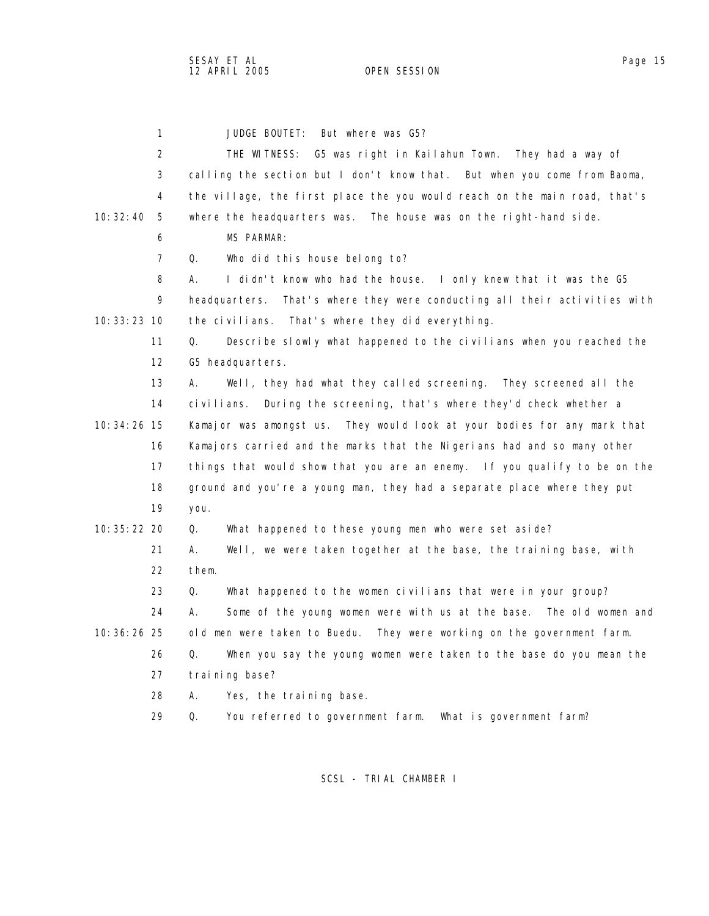1 JUDGE BOUTET: But where was G5? 2 THE WITNESS: G5 was right in Kailahun Town. They had a way of 3 calling the section but I don't know that. But when you come from Baoma, 4 the village, the first place the you would reach on the main road, that's 10:32:40 5 where the headquarters was. The house was on the right-hand side. 6 MS PARMAR: 7 Q. Who did this house belong to? 8 A. I didn't know who had the house. I only knew that it was the G5 9 headquarters. That's where they were conducting all their activities with 10:33:23 10 the civilians. That's where they did everything. 11 Q. Describe slowly what happened to the civilians when you reached the 12 G5 headquarters. 13 A. Well, they had what they called screening. They screened all the 14 civilians. During the screening, that's where they'd check whether a 10:34:26 15 Kamajor was amongst us. They would look at your bodies for any mark that 16 Kamajors carried and the marks that the Nigerians had and so many other 17 things that would show that you are an enemy. If you qualify to be on the 18 ground and you're a young man, they had a separate place where they put 19 you. 10:35:22 20 Q. What happened to these young men who were set aside? 21 A. Well, we were taken together at the base, the training base, with 22 them. 23 Q. What happened to the women civilians that were in your group? 24 A. Some of the young women were with us at the base. The old women and 10:36:26 25 old men were taken to Buedu. They were working on the government farm. 26 Q. When you say the young women were taken to the base do you mean the 27 training base? 28 A. Yes, the training base. 29 Q. You referred to government farm. What is government farm?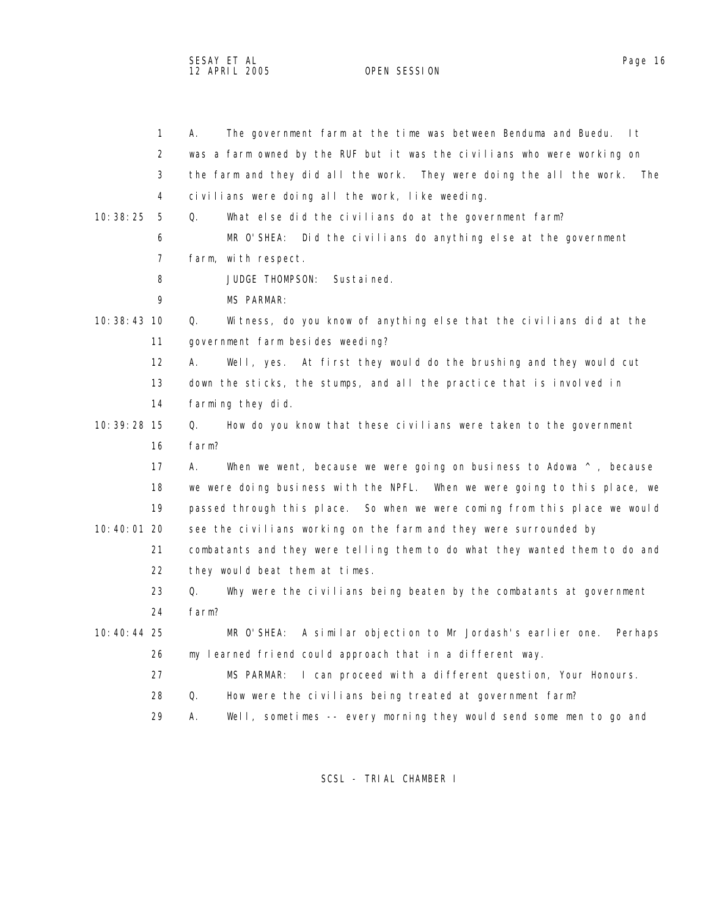SESAY ET AL Page 16 12 APRIL 2005 OPEN SESSION

|               | $\mathbf{1}$   | The government farm at the time was between Benduma and Buedu.<br>-l t<br>А.     |
|---------------|----------------|----------------------------------------------------------------------------------|
|               | 2              | was a farm owned by the RUF but it was the civilians who were working on         |
|               | 3              | the farm and they did all the work. They were doing the all the work.<br>The     |
|               | 4              | civilians were doing all the work, like weeding.                                 |
| 10:38:25      | 5              | Q.<br>What else did the civilians do at the government farm?                     |
|               | 6              | MR O'SHEA: Did the civilians do anything else at the government                  |
|               | $\overline{7}$ | farm, with respect.                                                              |
|               | 8              | JUDGE THOMPSON:<br>Sustained.                                                    |
|               | 9              | MS PARMAR:                                                                       |
| 10: 38: 43 10 |                | Q.<br>Witness, do you know of anything else that the civilians did at the        |
|               | 11             | government farm besides weeding?                                                 |
|               | 12             | At first they would do the brushing and they would cut<br>А.<br>Well, yes.       |
|               | 13             | down the sticks, the stumps, and all the practice that is involved in            |
|               | 14             | farming they did.                                                                |
| 10: 39: 28 15 |                | Q.<br>How do you know that these civilians were taken to the government          |
|               | 16             | farm?                                                                            |
|               | 17             | А.<br>When we went, because we were going on business to Adowa $\land$ , because |
|               | 18             | we were doing business with the NPFL. When we were going to this place, we       |
|               | 19             | passed through this place. So when we were coming from this place we would       |
| 10:40:01 20   |                | see the civilians working on the farm and they were surrounded by                |
|               | 21             | combatants and they were telling them to do what they wanted them to do and      |
|               | 22             | they would beat them at times.                                                   |
|               | 23             | Why were the civilians being beaten by the combatants at government<br>Q.        |
|               | 24             | farm?                                                                            |
| $10:40:44$ 25 |                | MR O'SHEA:<br>A similar objection to Mr Jordash's earlier one.<br>Perhaps        |
|               | 26             | my learned friend could approach that in a different way.                        |
|               | 27             | MS PARMAR:<br>I can proceed with a different question, Your Honours.             |
|               | 28             | Q.<br>How were the civilians being treated at government farm?                   |
|               | 29             | Well, sometimes -- every morning they would send some men to go and<br>А.        |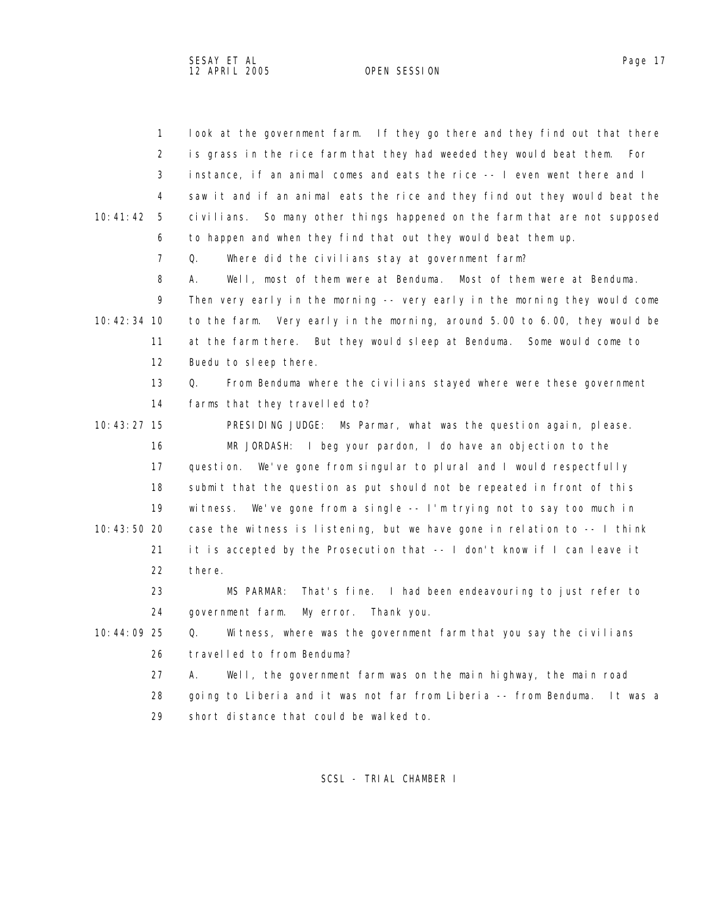| $\mathbf{1}$   | look at the government farm. If they go there and they find out that there    |
|----------------|-------------------------------------------------------------------------------|
| 2              | is grass in the rice farm that they had weeded they would beat them.<br>For   |
| 3              | instance, if an animal comes and eats the rice -- I even went there and I     |
| 4              | saw it and if an animal eats the rice and they find out they would beat the   |
| 10:41:42<br>-5 | So many other things happened on the farm that are not supposed<br>civilians. |
| 6              | to happen and when they find that out they would beat them up.                |
| 7              | Q.<br>Where did the civilians stay at government farm?                        |
| 8              | Well, most of them were at Benduma.<br>Most of them were at Benduma.<br>А.    |
| 9              | Then very early in the morning -- very early in the morning they would come   |
| 10:42:34 10    | to the farm. Very early in the morning, around 5.00 to 6.00, they would be    |
| 11             | at the farm there. But they would sleep at Benduma. Some would come to        |
| 12             | Buedu to sleep there.                                                         |
| 13             | From Benduma where the civilians stayed where were these government<br>Q.     |
| 14             | farms that they travelled to?                                                 |
| 10:43:27 15    | PRESIDING JUDGE: Ms Parmar, what was the question again, please.              |
| 16             | I beg your pardon, I do have an objection to the<br>MR JORDASH:               |
| 17             | We've gone from singular to plural and I would respectfully<br>question.      |
| 18             | submit that the question as put should not be repeated in front of this       |
| 19             | witness. We've gone from a single $-$ - I'm trying not to say too much in     |
| 10:43:50 20    | case the witness is listening, but we have gone in relation to -- I think     |
| 21             | it is accepted by the Prosecution that -- I don't know if I can leave it      |
| 22             | there.                                                                        |
| 23             | MS PARMAR:<br>That's fine. I had been endeavouring to just refer to           |
| 24             | government farm.<br>My error.<br>Thank you.                                   |
| 10:44:09 25    | Q. Witness, where was the government farm that you say the civilians          |
| 26             | travelled to from Benduma?                                                    |
| 27             | Well, the government farm was on the main highway, the main road<br>А.        |
| 28             | going to Liberia and it was not far from Liberia -- from Benduma.<br>It was a |
| 29             | short distance that could be walked to.                                       |
|                |                                                                               |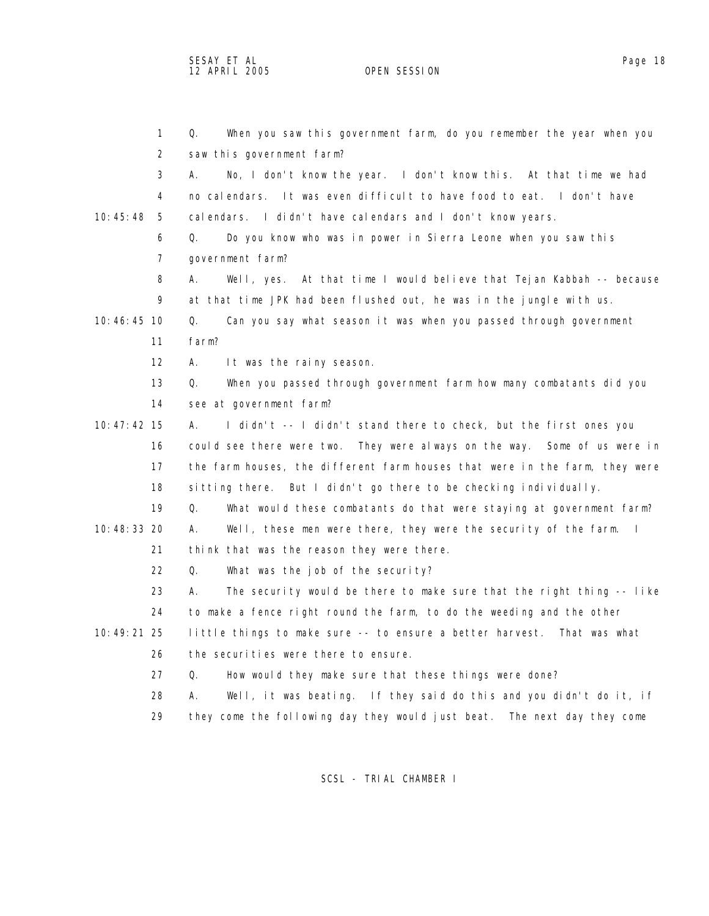SESAY ET AL Page 18 12 APRIL 2005 OPEN SESSION

| $\mathbf{1}$  | Q.<br>When you saw this government farm, do you remember the year when you              |
|---------------|-----------------------------------------------------------------------------------------|
| 2             | saw this government farm?                                                               |
| 3             | No, I don't know the year. I don't know this. At that time we had<br>А.                 |
| 4             | no calendars. It was even difficult to have food to eat. I don't have                   |
| 10:45:48<br>5 | calendars. I didn't have calendars and I don't know years.                              |
| 6             | Do you know who was in power in Sierra Leone when you saw this<br>Q.                    |
| 7             | government farm?                                                                        |
| 8             | Well, yes. At that time I would believe that Tejan Kabbah -- because<br>А.              |
| 9             | at that time JPK had been flushed out, he was in the jungle with us.                    |
| 10:46:45 10   | Can you say what season it was when you passed through government<br>Q.                 |
| 11            | farm?                                                                                   |
| 12            | It was the rainy season.<br>А.                                                          |
| 13            | When you passed through government farm how many combatants did you<br>Q.               |
| 14            | see at government farm?                                                                 |
| $10:47:42$ 15 | I didn't -- I didn't stand there to check, but the first ones you<br>А.                 |
| 16            | could see there were two. They were always on the way. Some of us were in               |
| 17            | the farm houses, the different farm houses that were in the farm, they were             |
| 18            | sitting there. But I didn't go there to be checking individually.                       |
| 19            | What would these combatants do that were staying at government farm?<br>Q.              |
| 10:48:33 20   | Well, these men were there, they were the security of the farm.<br>$\blacksquare$<br>А. |
| 21            | think that was the reason they were there.                                              |
| 22            | Q.<br>What was the job of the security?                                                 |
| 23            | The security would be there to make sure that the right thing -- like<br>А.             |
| 24            | to make a fence right round the farm, to do the weeding and the other                   |
| 10: 49: 21 25 | little things to make sure -- to ensure a better harvest. That was what                 |
| 26            | the securities were there to ensure.                                                    |
| 27            | Q.<br>How would they make sure that these things were done?                             |
| 28            | Well, it was beating. If they said do this and you didn't do it, if<br>А.               |
| 29            | they come the following day they would just beat.<br>The next day they come             |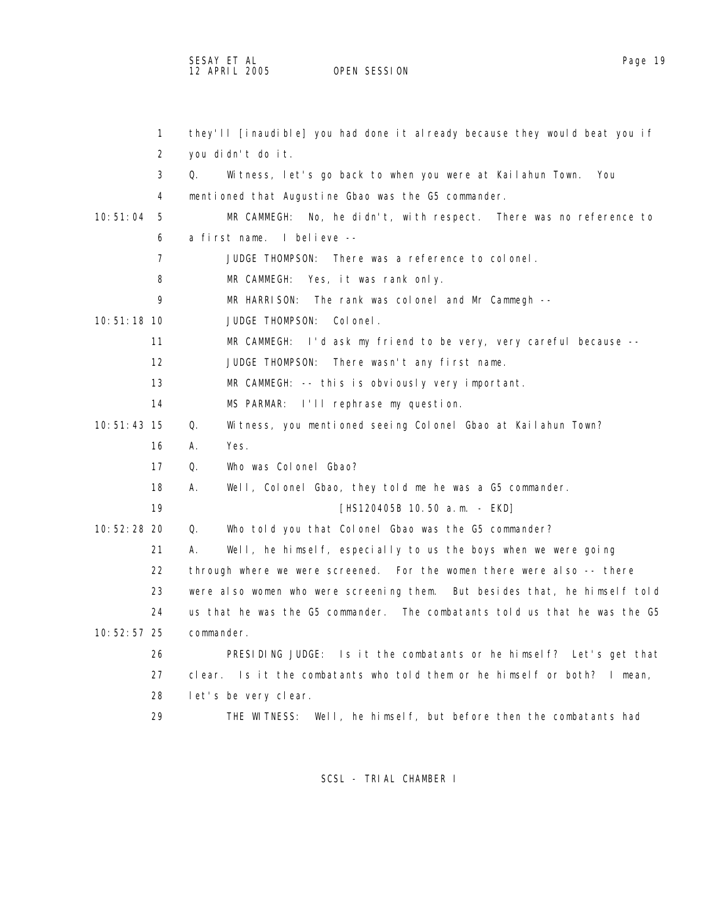SESAY ET AL<br>12 APRIL 2005 OPEN SESSION

OPEN SESSION

| $\mathbf{1}$      | they'll [inaudible] you had done it already because they would beat you if |
|-------------------|----------------------------------------------------------------------------|
| 2                 | you didn't do it.                                                          |
| 3                 | Witness, let's go back to when you were at Kailahun Town.<br>Q.<br>You     |
| 4                 | mentioned that Augustine Gbao was the G5 commander.                        |
| 10:51:04<br>- 5   | MR CAMMEGH: No, he didn't, with respect. There was no reference to         |
| 6                 | a first name. I believe --                                                 |
| 7                 | JUDGE THOMPSON: There was a reference to colonel.                          |
| 8                 | MR CAMMEGH: Yes, it was rank only.                                         |
| 9                 | MR HARRISON: The rank was colonel and Mr Cammegh --                        |
| $10:51:18$ 10     | JUDGE THOMPSON:<br>Col onel.                                               |
| 11                | MR CAMMEGH: I'd ask my friend to be very, very careful because --          |
| $12 \overline{ }$ | JUDGE THOMPSON:<br>There wasn't any first name.                            |
| 13                | MR CAMMEGH: -- this is obviously very important.                           |
| 14                | I'll rephrase my question.<br>MS PARMAR:                                   |
| $10: 51: 43$ 15   | Q.<br>Witness, you mentioned seeing Colonel Gbao at Kailahun Town?         |
| 16                | Yes.<br>А.                                                                 |
| 17                | Who was Colonel Gbao?<br>Q.                                                |
| 18                | Well, Colonel Gbao, they told me he was a G5 commander.<br>А.              |
| 19                | [HS120405B 10.50 a.m. - EKD]                                               |
| 10:52:28 20       | Q.<br>Who told you that Colonel Gbao was the G5 commander?                 |
| 21                | Well, he himself, especially to us the boys when we were going<br>А.       |
| 22                | through where we were screened. For the women there were also -- there     |
| 23                | were also women who were screening them. But besides that, he himself told |
| 24                | us that he was the G5 commander. The combatants told us that he was the G5 |
| 10: 52: 57 25     | commander.                                                                 |
| 26                | PRESIDING JUDGE: Is it the combatants or he himself? Let's get that        |
| 27                | clear. Is it the combatants who told them or he himself or both? I mean,   |
| 28                | let's be very clear.                                                       |
| 29                | THE WITNESS: Well, he himself, but before then the combatants had          |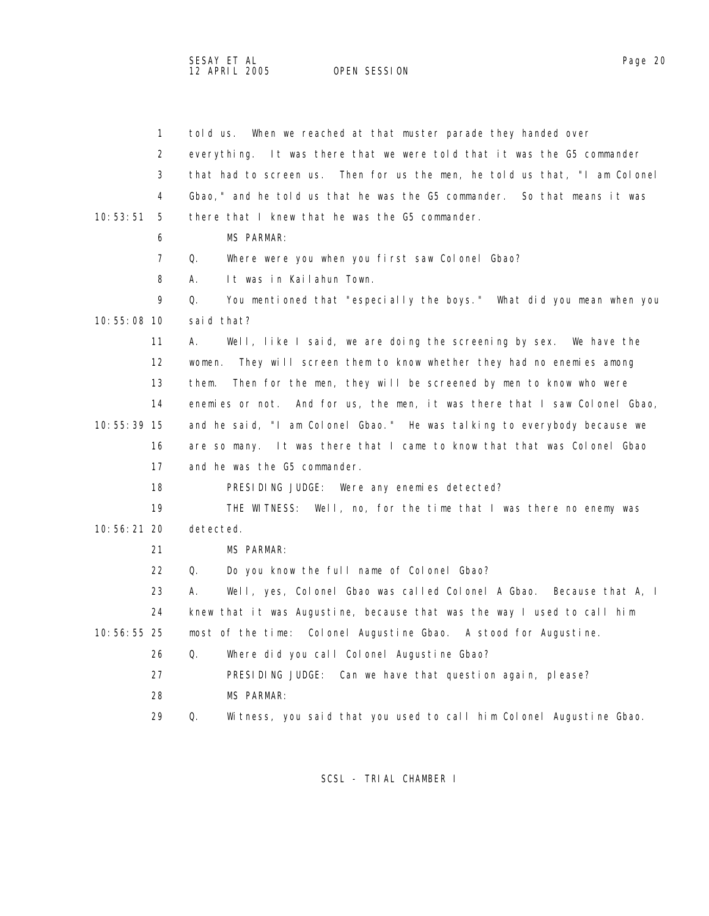SESAY ET AL Page 20 12 APRIL 2005 OPEN SESSION

| 1              | When we reached at that muster parade they handed over<br>told us.         |
|----------------|----------------------------------------------------------------------------|
| 2              | everything. It was there that we were told that it was the G5 commander    |
| 3              | that had to screen us. Then for us the men, he told us that, "I am Colonel |
| 4              | Gbao," and he told us that he was the G5 commander. So that means it was   |
| 10:53:51<br>-5 | there that I knew that he was the G5 commander.                            |
| 6              | MS PARMAR:                                                                 |
| 7              | Q.<br>Where were you when you first saw Colonel Gbao?                      |
| 8              | It was in Kailahun Town.<br>А.                                             |
| 9              | You mentioned that "especially the boys." What did you mean when you<br>Q. |
| 10:55:08 10    | said that?                                                                 |
| 11             | Well, like I said, we are doing the screening by sex. We have the<br>А.    |
| 12             | They will screen them to know whether they had no enemies among<br>women.  |
| 13             | them.<br>Then for the men, they will be screened by men to know who were   |
| 14             | enemies or not. And for us, the men, it was there that I saw Colonel Gbao, |
| 10: 55: 39 15  | and he said, "I am Colonel Gbao." He was talking to everybody because we   |
| 16             | are so many. It was there that I came to know that that was Colonel Gbao   |
| 17             | and he was the G5 commander.                                               |
| 18             | PRESIDING JUDGE: Were any enemies detected?                                |
| 19             | THE WITNESS: Well, no, for the time that I was there no enemy was          |
| $10:56:21$ 20  | detected.                                                                  |
| 21             | MS PARMAR:                                                                 |
| 22             | Do you know the full name of Colonel Gbao?<br>Q.                           |
| 23             | Well, yes, Colonel Gbao was called Colonel A Gbao. Because that A, I<br>А. |
| 24             | knew that it was Augustine, because that was the way I used to call him    |
| 10:56:55 25    | most of the time: Colonel Augustine Gbao. A stood for Augustine.           |
| 26             | Q.<br>Where did you call Colonel Augustine Gbao?                           |
| 27             | PRESIDING JUDGE: Can we have that question again, please?                  |
| 28             | MS PARMAR:                                                                 |
| 29             | Q.<br>Witness, you said that you used to call him Colonel Augustine Gbao.  |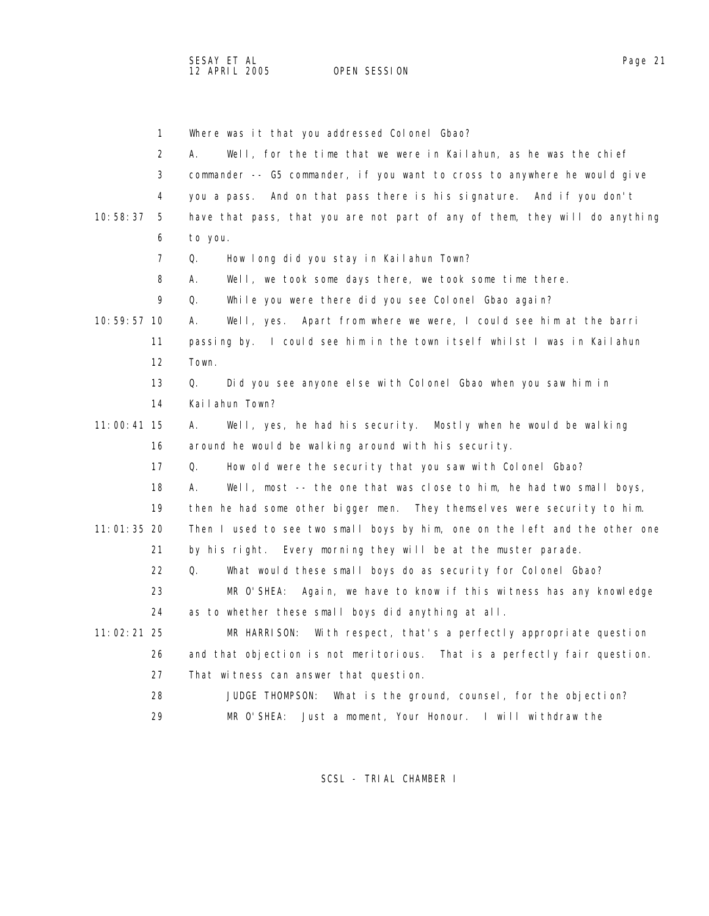1 Where was it that you addressed Colonel Gbao?

|               | 2                 | Well, for the time that we were in Kailahun, as he was the chief<br>А.      |
|---------------|-------------------|-----------------------------------------------------------------------------|
|               | 3                 | commander -- G5 commander, if you want to cross to anywhere he would give   |
|               | 4                 | you a pass. And on that pass there is his signature. And if you don't       |
| 10:58:37      | 5                 | have that pass, that you are not part of any of them, they will do anything |
|               | 6                 | to you.                                                                     |
|               | 7                 | Q.<br>How long did you stay in Kailahun Town?                               |
|               | 8                 | Well, we took some days there, we took some time there.<br>А.               |
|               | 9                 | Q.<br>While you were there did you see Colonel Gbao again?                  |
| 10:59:57 10   |                   | Well, yes. Apart from where we were, I could see him at the barri<br>А.     |
|               | 11                | passing by. I could see him in the town itself whilst I was in Kailahun     |
|               | $12 \overline{ }$ | Town.                                                                       |
|               | 13                | Did you see anyone else with Colonel Gbao when you saw him in<br>Q.         |
|               | 14                | Kailahun Town?                                                              |
| $11:00:41$ 15 |                   | Well, yes, he had his security. Mostly when he would be walking<br>А.       |
|               | 16                | around he would be walking around with his security.                        |
|               | 17                | How old were the security that you saw with Colonel Gbao?<br>Q.             |
|               | 18                | Well, most -- the one that was close to him, he had two small boys,<br>А.   |
|               | 19                | then he had some other bigger men. They themselves were security to him.    |
| 11:01:35 20   |                   | Then I used to see two small boys by him, one on the left and the other one |
|               | 21                | by his right. Every morning they will be at the muster parade.              |
|               | 22                | Q.<br>What would these small boys do as security for Colonel Gbao?          |
|               | 23                | MR O'SHEA:<br>Again, we have to know if this witness has any knowledge      |
|               | 24                | as to whether these small boys did anything at all.                         |
| 11:02:21 25   |                   | MR HARRISON:<br>With respect, that's a perfectly appropriate question       |
|               | 26                | and that objection is not meritorious. That is a perfectly fair question.   |
|               | 27                | That witness can answer that question.                                      |
|               | 28                | What is the ground, counsel, for the objection?<br>JUDGE THOMPSON:          |
|               | 29                | MR O' SHEA:<br>Just a moment, Your Honour. I will withdraw the              |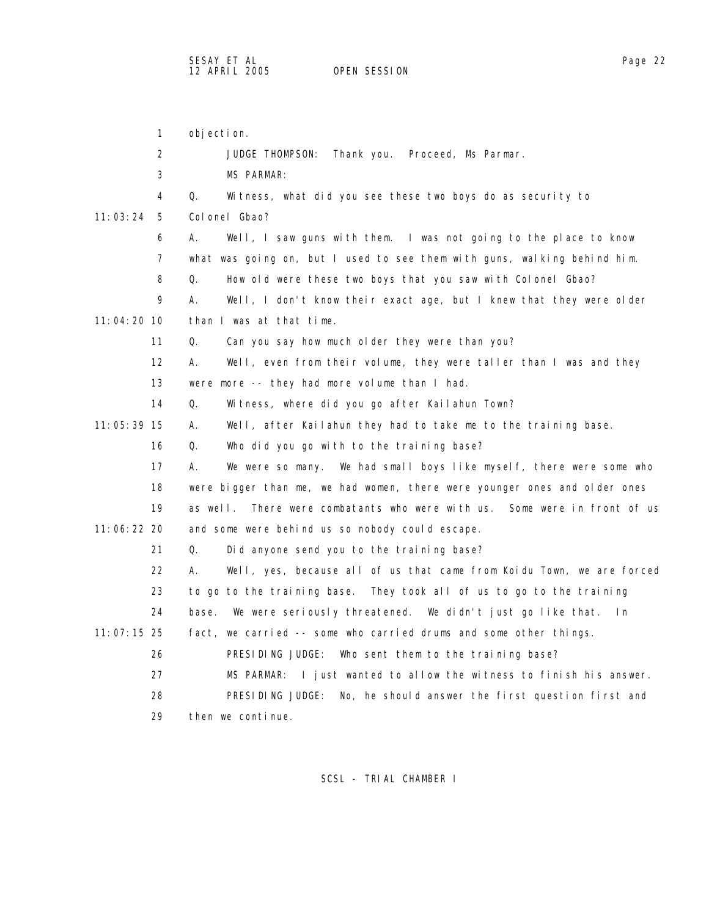1 objection. 2 JUDGE THOMPSON: Thank you. Proceed, Ms Parmar. 3 MS PARMAR: 4 Q. Witness, what did you see these two boys do as security to 11:03:24 5 Colonel Gbao? 6 A. Well, I saw guns with them. I was not going to the place to know 7 what was going on, but I used to see them with guns, walking behind him. 8 Q. How old were these two boys that you saw with Colonel Gbao? 9 A. Well, I don't know their exact age, but I knew that they were older 11:04:20 10 than I was at that time. 11 Q. Can you say how much older they were than you? 12 A. Well, even from their volume, they were taller than I was and they 13 were more -- they had more volume than I had. 14 Q. Witness, where did you go after Kailahun Town? 11:05:39 15 A. Well, after Kailahun they had to take me to the training base. 16 Q. Who did you go with to the training base? 17 A. We were so many. We had small boys like myself, there were some who 18 were bigger than me, we had women, there were younger ones and older ones 19 as well. There were combatants who were with us. Some were in front of us 11:06:22 20 and some were behind us so nobody could escape. 21 Q. Did anyone send you to the training base? 22 A. Well, yes, because all of us that came from Koidu Town, we are forced 23 to go to the training base. They took all of us to go to the training 24 base. We were seriously threatened. We didn't just go like that. In 11:07:15 25 fact, we carried -- some who carried drums and some other things. 26 PRESIDING JUDGE: Who sent them to the training base? 27 MS PARMAR: I just wanted to allow the witness to finish his answer. 28 PRESIDING JUDGE: No, he should answer the first question first and 29 then we continue.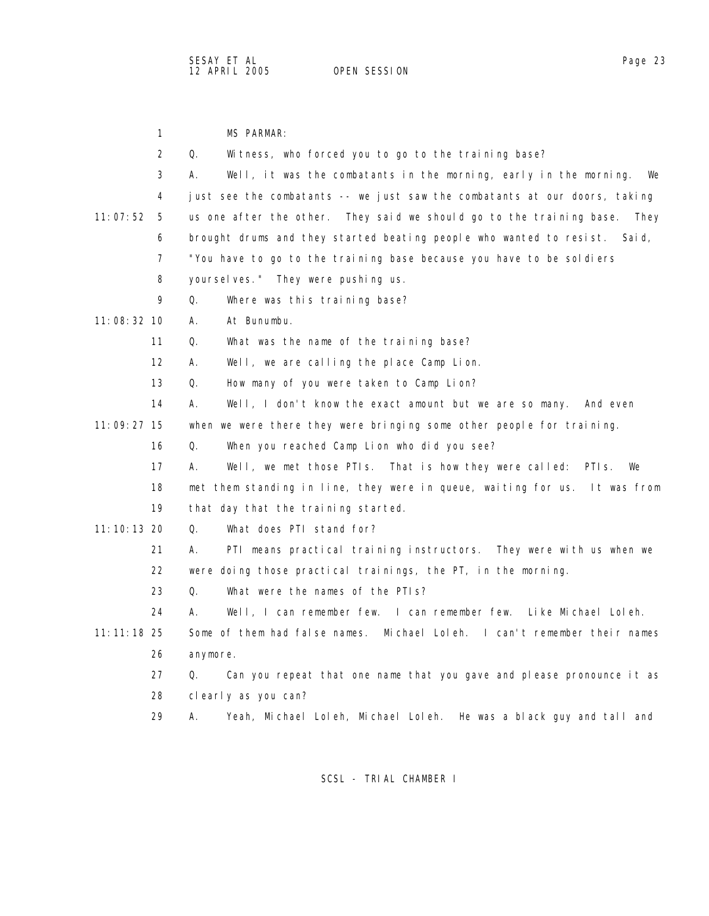|               | $\mathbf{1}$      | <b>MS PARMAR:</b>                                                             |
|---------------|-------------------|-------------------------------------------------------------------------------|
|               | 2                 | Q.<br>Witness, who forced you to go to the training base?                     |
|               | 3                 | Well, it was the combatants in the morning, early in the morning.<br>А.<br>We |
|               | 4                 | just see the combatants -- we just saw the combatants at our doors, taking    |
| 11:07:52      | - 5               | us one after the other. They said we should go to the training base.<br>They  |
|               | 6                 | brought drums and they started beating people who wanted to resist.<br>Sai d, |
|               | 7                 | "You have to go to the training base because you have to be soldiers          |
|               | 8                 | yourselves." They were pushing us.                                            |
|               | 9                 | Where was this training base?<br>Q.                                           |
| $11:08:32$ 10 |                   | At Bunumbu.<br>А.                                                             |
|               | 11                | What was the name of the training base?<br>Q.                                 |
|               | $12 \overline{ }$ | Well, we are calling the place Camp Lion.<br>А.                               |
|               | 13                | Q.<br>How many of you were taken to Camp Lion?                                |
|               | 14                | Well, I don't know the exact amount but we are so many. And even<br>А.        |
| 11:09:27 15   |                   | when we were there they were bringing some other people for training.         |
|               | 16                | Q.<br>When you reached Camp Lion who did you see?                             |
|               | 17                | Well, we met those PTIs. That is how they were called: PTIs.<br>А.<br>We      |
|               | 18                | met them standing in line, they were in queue, waiting for us. It was from    |
|               | 19                | that day that the training started.                                           |
| 11:10:13 20   |                   | What does PTI stand for?<br>Q.                                                |
|               | 21                | PTI means practical training instructors. They were with us when we<br>А.     |
|               | 22                | were doing those practical trainings, the PT, in the morning.                 |
|               | 23                | What were the names of the PTIs?<br>Q.                                        |
|               | 24                | Well, I can remember few. I can remember few. Like Michael Loleh.<br>А.       |
| $11:11:18$ 25 |                   | Some of them had false names.<br>Michael Loleh. I can't remember their names  |
|               | 26                | anymore.                                                                      |
|               | 27                | Can you repeat that one name that you gave and please pronounce it as<br>Q.   |
|               | 28                | clearly as you can?                                                           |
|               | 29                | Yeah, Michael Loleh, Michael Loleh. He was a black guy and tall and<br>Α.     |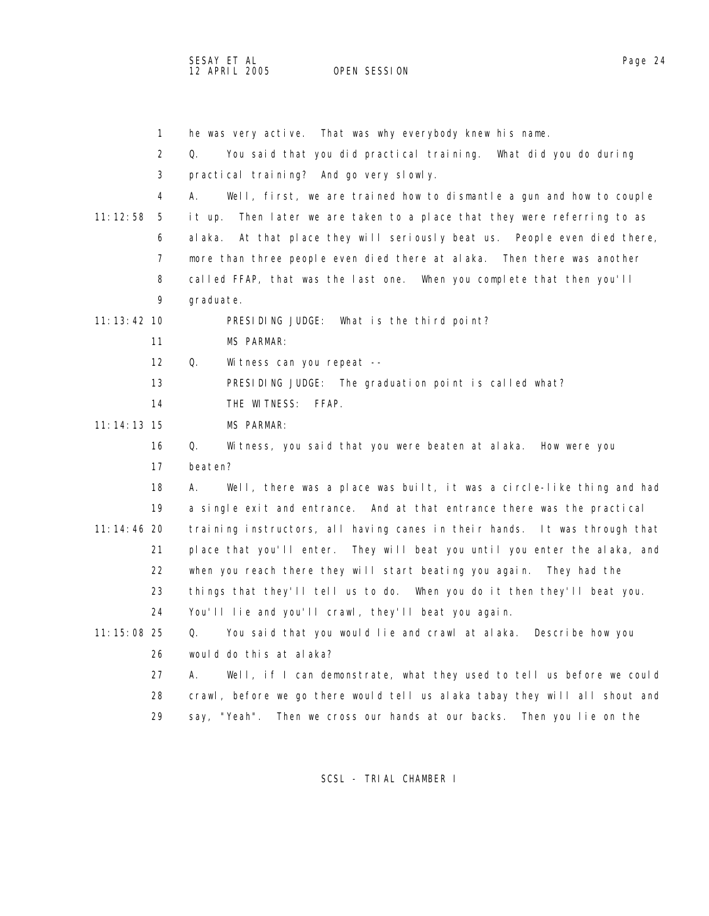SESAY ET AL<br>12 APRIL 2005 OPEN SESSION

OPEN SESSION

|               | $\mathbf{1}$ | he was very active. That was why everybody knew his name.                     |
|---------------|--------------|-------------------------------------------------------------------------------|
|               | 2            | You said that you did practical training. What did you do during<br>Q.        |
|               | 3            | practical training? And go very slowly.                                       |
|               | 4            | Well, first, we are trained how to dismantle a gun and how to couple<br>А.    |
| 11:12:58      | -5           | Then later we are taken to a place that they were referring to as<br>it up.   |
|               | 6            | At that place they will seriously beat us. People even died there,<br>al aka. |
|               | 7            | more than three people even died there at alaka. Then there was another       |
|               | 8            | called FFAP, that was the last one. When you complete that then you'll        |
|               | 9            | graduate.                                                                     |
| 11: 13: 42 10 |              | PRESIDING JUDGE: What is the third point?                                     |
|               | 11           | <b>MS PARMAR:</b>                                                             |
|               | 12           | Q.<br>Wi tness can you repeat --                                              |
|               | 13           | PRESIDING JUDGE: The graduation point is called what?                         |
|               | 14           | THE WITNESS:<br>FFAP.                                                         |
| $11:14:13$ 15 |              | MS PARMAR:                                                                    |
|               | 16           | Q.<br>Witness, you said that you were beaten at alaka. How were you           |
|               | 17           | beaten?                                                                       |
|               | 18           | Well, there was a place was built, it was a circle-like thing and had<br>А.   |
|               | 19           | a single exit and entrance. And at that entrance there was the practical      |
| $11:14:46$ 20 |              | training instructors, all having canes in their hands. It was through that    |
|               | 21           | place that you'll enter. They will beat you until you enter the alaka, and    |
|               | 22           | when you reach there they will start beating you again.<br>They had the       |
|               | 23           | things that they'll tell us to do. When you do it then they'll beat you.      |
|               | 24           | You'll lie and you'll crawl, they'll beat you again.                          |
| $11:15:08$ 25 |              | You said that you would lie and crawl at alaka.<br>Q.<br>Describe how you     |
|               | 26           | would do this at alaka?                                                       |
|               | 27           | Well, if I can demonstrate, what they used to tell us before we could<br>А.   |
|               | 28           | crawl, before we go there would tell us alaka tabay they will all shout and   |
|               | 29           | Then you lie on the<br>say, "Yeah".<br>Then we cross our hands at our backs.  |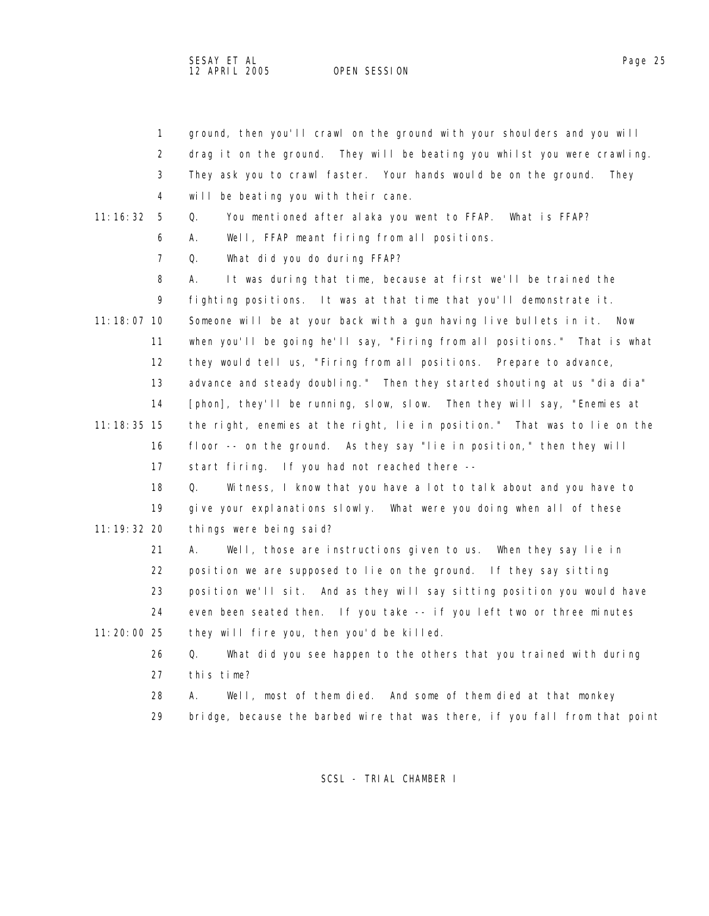SESAY ET AL Page 25 12 APRIL 2005 OPEN SESSION

|               | $\mathbf{1}$   | ground, then you'll crawl on the ground with your shoulders and you will    |
|---------------|----------------|-----------------------------------------------------------------------------|
|               | 2              | drag it on the ground. They will be beating you whilst you were crawling.   |
|               | 3              | They ask you to crawl faster. Your hands would be on the ground.<br>They    |
|               | 4              | will be beating you with their cane.                                        |
| 11:16:32      | 5              | Q.<br>You mentioned after alaka you went to FFAP. What is FFAP?             |
|               | 6              | А.<br>Well, FFAP meant firing from all positions.                           |
|               | $\overline{7}$ | Q.<br>What did you do during FFAP?                                          |
|               | 8              | А.<br>It was during that time, because at first we'll be trained the        |
|               | 9              | fighting positions. It was at that time that you'll demonstrate it.         |
| $11:18:07$ 10 |                | Someone will be at your back with a gun having live bullets in it.<br>Now   |
|               | 11             | when you'll be going he'll say, "Firing from all positions." That is what   |
|               | 12             | they would tell us, "Firing from all positions. Prepare to advance,         |
|               | 13             | advance and steady doubling." Then they started shouting at us "dia dia"    |
|               | 14             | [phon], they'll be running, slow, slow. Then they will say, "Enemies at     |
| $11:18:35$ 15 |                | the right, enemies at the right, lie in position." That was to lie on the   |
|               | 16             | floor -- on the ground. As they say "lie in position," then they will       |
|               | 17             | start firing. If you had not reached there --                               |
|               | 18             | Q.<br>Witness, I know that you have a lot to talk about and you have to     |
|               | 19             | give your explanations slowly. What were you doing when all of these        |
| 11: 19: 32 20 |                | things were being said?                                                     |
|               | 21             | Well, those are instructions given to us. When they say lie in<br>А.        |
|               | 22             | position we are supposed to lie on the ground. If they say sitting          |
|               | 23             | position we'll sit. And as they will say sitting position you would have    |
|               | 24             | even been seated then. If you take -- if you left two or three minutes      |
| $11:20:00$ 25 |                | they will fire you, then you'd be killed.                                   |
|               | 26             | Q.<br>What did you see happen to the others that you trained with during    |
|               | 27             | this time?                                                                  |
|               | 28             | Well, most of them died. And some of them died at that monkey<br>А.         |
|               | 29             | bridge, because the barbed wire that was there, if you fall from that point |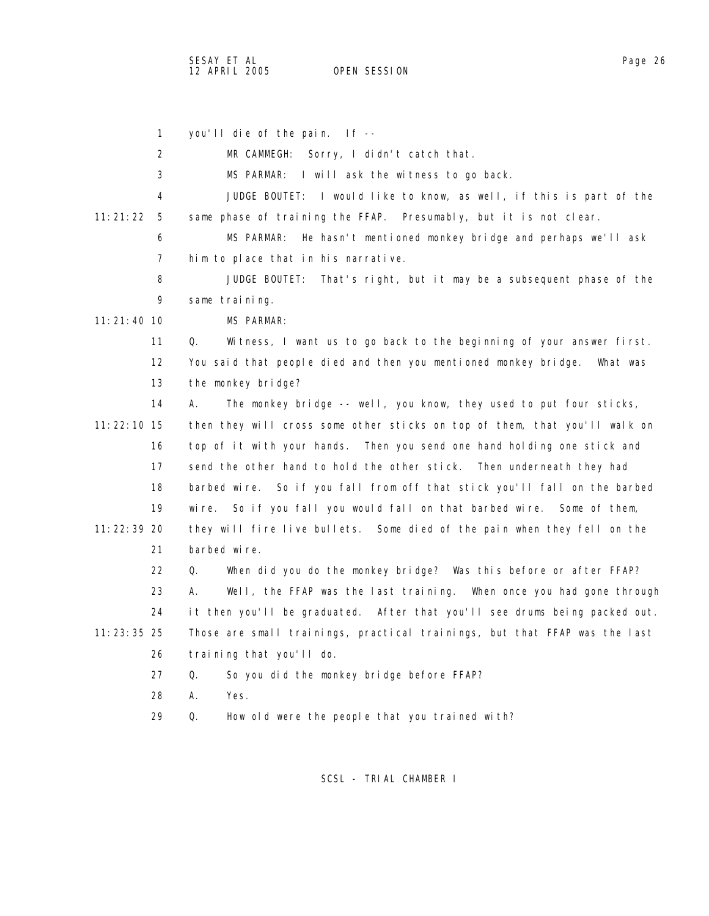1 you'll die of the pain. If -- 2 MR CAMMEGH: Sorry, I didn't catch that. 3 MS PARMAR: I will ask the witness to go back. 4 JUDGE BOUTET: I would like to know, as well, if this is part of the 11:21:22 5 same phase of training the FFAP. Presumably, but it is not clear. 6 MS PARMAR: He hasn't mentioned monkey bridge and perhaps we'll ask 7 him to place that in his narrative. 8 JUDGE BOUTET: That's right, but it may be a subsequent phase of the 9 same training. 11:21:40 10 MS PARMAR: 11 Q. Witness, I want us to go back to the beginning of your answer first. 12 You said that people died and then you mentioned monkey bridge. What was 13 the monkey bridge? 14 A. The monkey bridge -- well, you know, they used to put four sticks, 11:22:10 15 then they will cross some other sticks on top of them, that you'll walk on 16 top of it with your hands. Then you send one hand holding one stick and 17 send the other hand to hold the other stick. Then underneath they had 18 barbed wire. So if you fall from off that stick you'll fall on the barbed 19 wire. So if you fall you would fall on that barbed wire. Some of them, 11:22:39 20 they will fire live bullets. Some died of the pain when they fell on the 21 barbed wire. 22 Q. When did you do the monkey bridge? Was this before or after FFAP? 23 A. Well, the FFAP was the last training. When once you had gone through 24 it then you'll be graduated. After that you'll see drums being packed out. 11:23:35 25 Those are small trainings, practical trainings, but that FFAP was the last 26 training that you'll do. 27 Q. So you did the monkey bridge before FFAP? 28 A. Yes. 29 Q. How old were the people that you trained with?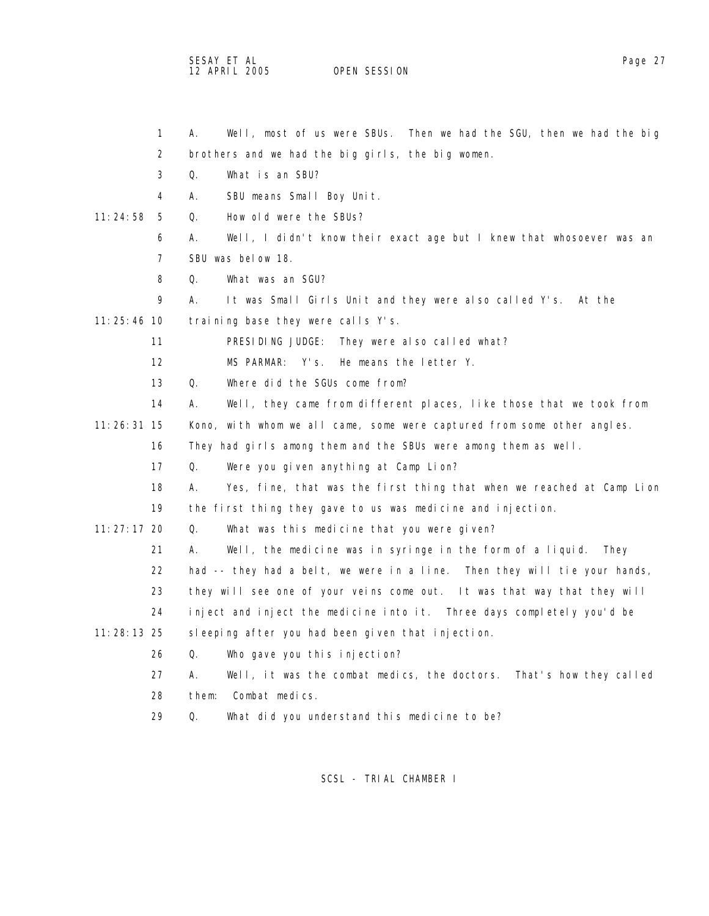## SESAY ET AL<br>12 APRIL 2005 OPEN SESSION OPEN SESSION

|               | $\mathbf{1}$      | А.<br>Well, most of us were SBUs. Then we had the SGU, then we had the big   |
|---------------|-------------------|------------------------------------------------------------------------------|
|               | 2                 | brothers and we had the big girls, the big women.                            |
|               | 3                 | Q.<br>What is an SBU?                                                        |
|               | 4                 | А.<br>SBU means Small Boy Unit.                                              |
| 11:24:58      | 5                 | Q.<br>How old were the SBUs?                                                 |
|               | 6                 | Well, I didn't know their exact age but I knew that whosoever was an<br>Α.   |
|               | 7                 | SBU was below 18.                                                            |
|               | 8                 | What was an SGU?<br>Q.                                                       |
|               | 9                 | А.<br>It was Small Girls Unit and they were also called Y's.<br>At the       |
| $11:25:46$ 10 |                   | training base they were calls Y's.                                           |
|               | 11                | PRESIDING JUDGE:<br>They were also called what?                              |
|               | $12 \overline{ }$ | Y's.<br>MS PARMAR:<br>He means the letter Y.                                 |
|               | 13                | Q.<br>Where did the SGUs come from?                                          |
|               | 14                | Well, they came from different places, like those that we took from<br>А.    |
| $11:26:31$ 15 |                   | Kono, with whom we all came, some were captured from some other angles.      |
|               | 16                | They had girls among them and the SBUs were among them as well.              |
|               | 17                | Q.<br>Were you given anything at Camp Lion?                                  |
|               | 18                | Yes, fine, that was the first thing that when we reached at Camp Lion<br>А.  |
|               | 19                | the first thing they gave to us was medicine and injection.                  |
| $11:27:17$ 20 |                   | Q.<br>What was this medicine that you were given?                            |
|               | 21                | Well, the medicine was in syringe in the form of a liquid.<br>А.<br>They     |
|               | 22                | had -- they had a belt, we were in a line. Then they will tie your hands,    |
|               | 23                | they will see one of your veins come out. It was that way that they will     |
|               | 24                | inject and inject the medicine into it. Three days completely you'd be       |
| $11:28:13$ 25 |                   | sleeping after you had been given that injection.                            |
|               | 26                | Q.<br>Who gave you this injection?                                           |
|               | 27                | А.<br>Well, it was the combat medics, the doctors.<br>That's how they called |
|               | 28                | them:<br>Combat medics.                                                      |
|               | 29                | Q.<br>What did you understand this medicine to be?                           |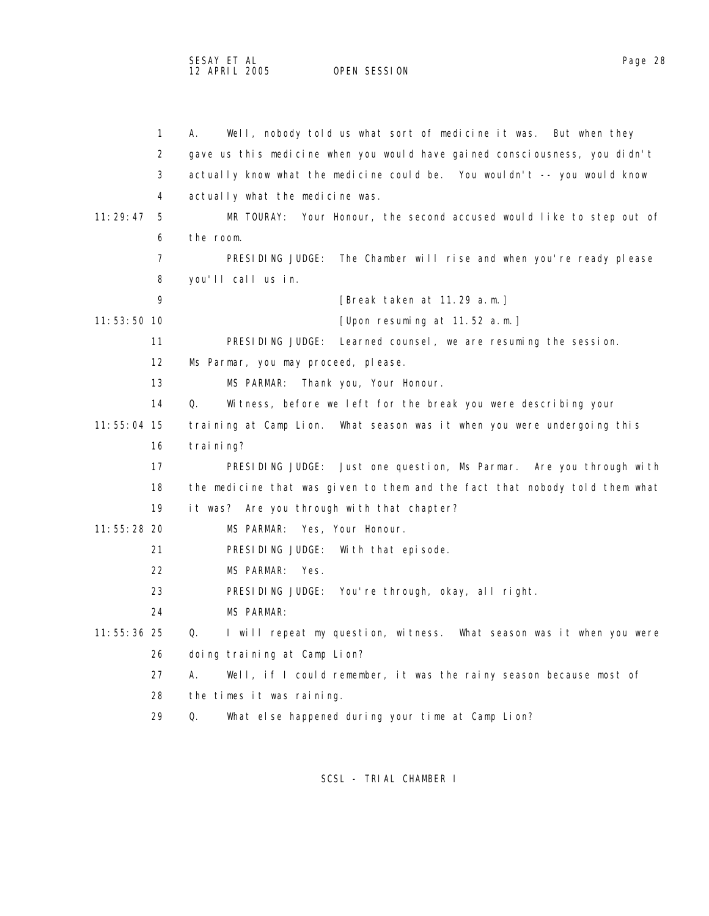| $\mathbf{1}$  | Well, nobody told us what sort of medicine it was. But when they<br>А.      |  |
|---------------|-----------------------------------------------------------------------------|--|
| 2             | gave us this medicine when you would have gained consciousness, you didn't  |  |
| 3             | actually know what the medicine could be. You wouldn't -- you would know    |  |
| 4             | actually what the medicine was.                                             |  |
| 11:29:47<br>5 | Your Honour, the second accused would like to step out of<br>MR TOURAY:     |  |
| 6             | the room.                                                                   |  |
| 7             | PRESIDING JUDGE:<br>The Chamber will rise and when you're ready please      |  |
| 8             | you'll call us in.                                                          |  |
| 9             | [Break taken at 11.29 a.m.]                                                 |  |
| 11:53:50 10   | [Upon resuming at 11.52 a.m.]                                               |  |
| 11            | PRESIDING JUDGE:<br>Learned counsel, we are resuming the session.           |  |
| 12            | Ms Parmar, you may proceed, please.                                         |  |
| 13            | MS PARMAR:<br>Thank you, Your Honour.                                       |  |
| 14            | Q.<br>Witness, before we left for the break you were describing your        |  |
| 11:55:04 15   | training at Camp Lion. What season was it when you were undergoing this     |  |
| 16            | training?                                                                   |  |
| 17            | PRESIDING JUDGE: Just one question, Ms Parmar. Are you through with         |  |
| 18            | the medicine that was given to them and the fact that nobody told them what |  |
| 19            | it was? Are you through with that chapter?                                  |  |
| $11:55:28$ 20 | MS PARMAR:<br>Yes, Your Honour.                                             |  |
| 21            | PRESIDING JUDGE:<br>With that episode.                                      |  |
| 22            | MS PARMAR:<br>Yes.                                                          |  |
| 23            | PRESIDING JUDGE: You're through, okay, all right.                           |  |
| 24            | <b>MS PARMAR:</b>                                                           |  |
| 11:55:36 25   | I will repeat my question, witness. What season was it when you were<br>Q.  |  |
| 26            | doing training at Camp Lion?                                                |  |
| 27            | А.<br>Well, if I could remember, it was the rainy season because most of    |  |
| 28            | the times it was raining.                                                   |  |
| 29            | Q.<br>What else happened during your time at Camp Lion?                     |  |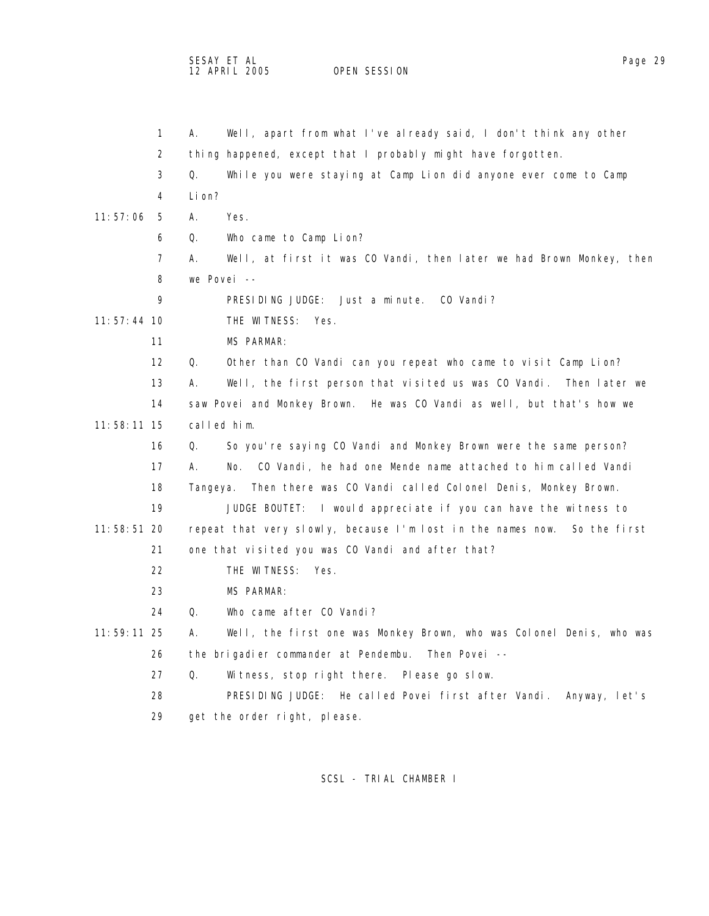SESAY ET AL<br>12 APRIL 2005 OPEN SESSION

OPEN SESSION

|               | 1                 | Well, apart from what I've already said, I don't think any other<br>А.     |
|---------------|-------------------|----------------------------------------------------------------------------|
|               | 2                 | thing happened, except that I probably might have forgotten.               |
|               | 3                 | Q.<br>While you were staying at Camp Lion did anyone ever come to Camp     |
|               | 4                 | Li on?                                                                     |
| 11:57:06      | 5                 | Yes.<br>А.                                                                 |
|               | 6                 | Who came to Camp Lion?<br>Q.                                               |
|               | 7                 | Well, at first it was CO Vandi, then later we had Brown Monkey, then<br>Α. |
|               | 8                 | we Povei --                                                                |
|               | 9                 | PRESIDING JUDGE: Just a minute. CO Vandi?                                  |
| 11:57:44 10   |                   | THE WITNESS: Yes.                                                          |
|               | 11                | <b>MS PARMAR:</b>                                                          |
|               | $12 \overline{ }$ | Q.<br>Other than CO Vandi can you repeat who came to visit Camp Lion?      |
|               | 13                | Well, the first person that visited us was CO Vandi. Then later we<br>А.   |
|               | 14                | saw Povei and Monkey Brown. He was CO Vandi as well, but that's how we     |
| $11:58:11$ 15 |                   | called him.                                                                |
|               | 16                | So you're saying CO Vandi and Monkey Brown were the same person?<br>Q.     |
|               | 17                | CO Vandi, he had one Mende name attached to him called Vandi<br>А.<br>No.  |
|               | 18                | Then there was CO Vandi called Colonel Denis, Monkey Brown.<br>Tangeya.    |
|               | 19                | JUDGE BOUTET: I would appreciate if you can have the witness to            |
| 11:58:51 20   |                   | repeat that very slowly, because I'm lost in the names now. So the first   |
|               | 21                | one that visited you was CO Vandi and after that?                          |
|               | 22                | THE WITNESS: Yes.                                                          |
|               | 23                | <b>MS PARMAR:</b>                                                          |
|               | 24                | Who came after CO Vandi?<br>Q.                                             |
| 11:59:11 25   |                   | Well, the first one was Monkey Brown, who was Colonel Denis, who was<br>А. |
|               | 26                | the brigadier commander at Pendembu. Then Povei --                         |
|               | 27                | Q.<br>Witness, stop right there. Please go slow.                           |
|               | 28                | PRESIDING JUDGE: He called Povei first after Vandi. Anyway, let's          |
|               | 29                | get the order right, please.                                               |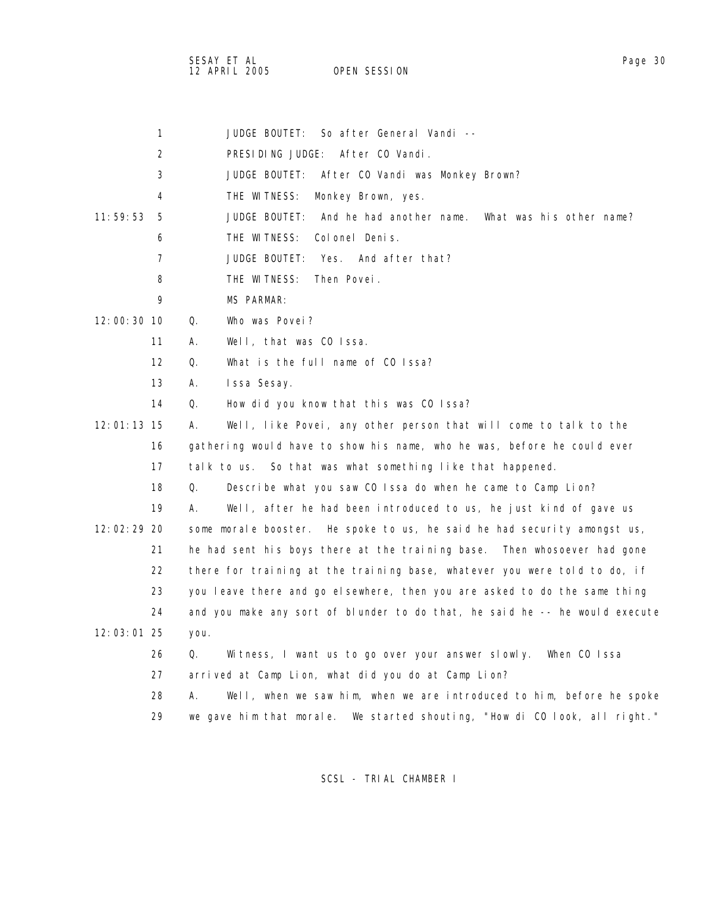SESAY ET AL Page 30 12 APRIL 2005 OPEN SESSION

|             | $\mathbf{1}$      | So after General Vandi --<br><b>JUDGE BOUTET:</b>                            |
|-------------|-------------------|------------------------------------------------------------------------------|
|             | 2                 | PRESIDING JUDGE: After CO Vandi.                                             |
|             | 3                 | JUDGE BOUTET:<br>After CO Vandi was Monkey Brown?                            |
|             | 4                 | THE WITNESS:<br>Monkey Brown, yes.                                           |
| 11:59:53    | 5                 | <b>JUDGE BOUTET:</b><br>And he had another name.<br>What was his other name? |
|             | 6                 | THE WITNESS:<br>Colonel Denis.                                               |
|             | $\overline{7}$    | <b>JUDGE BOUTET:</b><br>Yes. And after that?                                 |
|             | 8                 | THE WITNESS:<br>Then Povei.                                                  |
|             | 9                 | <b>MS PARMAR:</b>                                                            |
| 12:00:30 10 |                   | Who was Povei?<br>Q.                                                         |
|             | 11                | Well, that was CO Issa.<br>А.                                                |
|             | $12 \overline{ }$ | What is the full name of CO Issa?<br>0.                                      |
|             | 13                | Issa Sesay.<br>А.                                                            |
|             | 14                | How did you know that this was CO Issa?<br>Q.                                |
| 12:01:13 15 |                   | А.<br>Well, like Povei, any other person that will come to talk to the       |
|             | 16                | gathering would have to show his name, who he was, before he could ever      |
|             | 17                | talk to us. So that was what something like that happened.                   |
|             | 18                | Q.<br>Describe what you saw CO Issa do when he came to Camp Lion?            |
|             | 19                | Well, after he had been introduced to us, he just kind of gave us<br>А.      |
| 12:02:29 20 |                   | some morale booster. He spoke to us, he said he had security amongst us,     |
|             | 21                | he had sent his boys there at the training base. Then whosoever had gone     |
|             | 22                | there for training at the training base, whatever you were told to do, if    |
|             | 23                | you leave there and go elsewhere, then you are asked to do the same thing    |
|             | 24                | and you make any sort of blunder to do that, he said he -- he would execute  |
| 12:03:01 25 |                   | you.                                                                         |
|             | 26                | Q.<br>Witness, I want us to go over your answer slowly. When CO Issa         |
|             | 27                | arrived at Camp Lion, what did you do at Camp Lion?                          |
|             | 28                | Well, when we saw him, when we are introduced to him, before he spoke<br>А.  |
|             | 29                | we gave him that morale. We started shouting, "How di CO look, all right."   |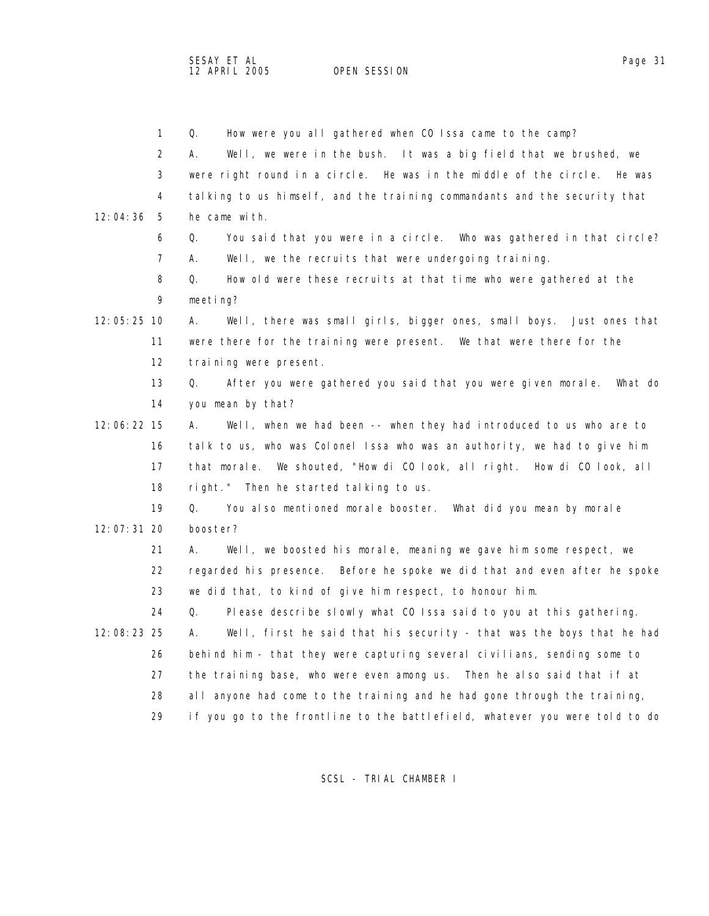OPEN SESSION

| $\mathbf{1}$    | Q.<br>How were you all gathered when CO Issa came to the camp?              |
|-----------------|-----------------------------------------------------------------------------|
| 2               | Well, we were in the bush. It was a big field that we brushed, we<br>А.     |
| 3               | were right round in a circle. He was in the middle of the circle. He was    |
| 4               | talking to us himself, and the training commandants and the security that   |
| 12:04:36<br>- 5 | he came with.                                                               |
| 6               | You said that you were in a circle. Who was gathered in that circle?<br>Q.  |
| 7               | Well, we the recruits that were undergoing training.<br>А.                  |
| 8               | How old were these recruits at that time who were gathered at the<br>Q.     |
| 9               | meeting?                                                                    |
| 12:05:25 10     | Well, there was small girls, bigger ones, small boys. Just ones that<br>А.  |
| 11              | were there for the training were present. We that were there for the        |
| 12              | training were present.                                                      |
| 13              | After you were gathered you said that you were given morale. What do<br>Q.  |
| 14              | you mean by that?                                                           |
| 12:06:22 15     | Well, when we had been -- when they had introduced to us who are to<br>А.   |
| 16              | talk to us, who was Colonel Issa who was an authority, we had to give him   |
| 17              | that morale. We shouted, "How di CO look, all right. How di CO look, all    |
| 18              | right." Then he started talking to us.                                      |
| 19              | Q.<br>You also mentioned morale booster. What did you mean by morale        |
| 12:07:31 20     | booster?                                                                    |
| 21              | Well, we boosted his morale, meaning we gave him some respect, we<br>А.     |
| 22              | regarded his presence. Before he spoke we did that and even after he spoke  |
| 23              | we did that, to kind of give him respect, to honour him.                    |
| 24              | Q.<br>Please describe slowly what CO Issa said to you at this gathering.    |
| 12:08:23 25     | Well, first he said that his security - that was the boys that he had<br>Α. |
| 26              | behind him - that they were capturing several civilians, sending some to    |
| 27              | the training base, who were even among us.<br>Then he also said that if at  |
| 28              | all anyone had come to the training and he had gone through the training,   |
| 29              | if you go to the frontline to the battlefield, whatever you were told to do |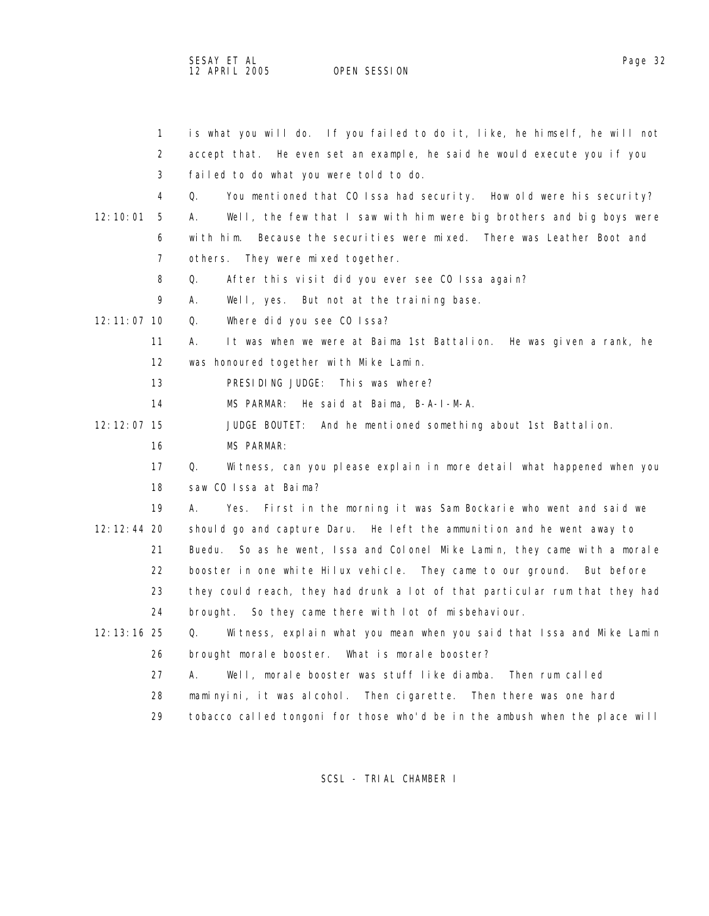SESAY ET AL<br>12 APRIL 2005 OPEN SESSION

OPEN SESSION

|               | $\mathbf{1}$      | is what you will do. If you failed to do it, like, he himself, he will not    |
|---------------|-------------------|-------------------------------------------------------------------------------|
|               | 2                 | accept that. He even set an example, he said he would execute you if you      |
|               | 3                 | failed to do what you were told to do.                                        |
|               | 4                 | You mentioned that CO Issa had security. How old were his security?<br>0.     |
| 12:10:01      | 5                 | Well, the few that I saw with him were big brothers and big boys were<br>А.   |
|               | 6                 | Because the securities were mixed. There was Leather Boot and<br>with him.    |
|               | 7                 | others. They were mixed together.                                             |
|               | 8                 | Q.<br>After this visit did you ever see CO Issa again?                        |
|               | 9                 | А.<br>Well, yes. But not at the training base.                                |
| 12:11:07 10   |                   | Where did you see CO Issa?<br>Q.                                              |
|               | 11                | It was when we were at Baima 1st Battalion. He was given a rank, he<br>А.     |
|               | $12 \overline{ }$ | was honoured together with Mike Lamin.                                        |
|               | 13                | PRESIDING JUDGE: This was where?                                              |
|               | 14                | He said at Baima, B-A-I-M-A.<br>MS PARMAR:                                    |
| $12:12:07$ 15 |                   | JUDGE BOUTET: And he mentioned something about 1st Battalion.                 |
|               | 16                | MS PARMAR:                                                                    |
|               | 17                | Q.<br>Witness, can you please explain in more detail what happened when you   |
|               | 18                | saw CO Issa at Baima?                                                         |
|               | 19                | А.<br>Yes.<br>First in the morning it was Sam Bockarie who went and said we   |
| $12:12:44$ 20 |                   | should go and capture Daru. He left the ammunition and he went away to        |
|               | 21                | So as he went, Issa and Colonel Mike Lamin, they came with a morale<br>Buedu. |
|               | 22                | booster in one white Hilux vehicle. They came to our ground. But before       |
|               | 23                | they could reach, they had drunk a lot of that particular rum that they had   |
|               | 24                | brought. So they came there with lot of misbehaviour.                         |
| $12:13:16$ 25 |                   | Q.<br>Witness, explain what you mean when you said that Issa and Mike Lamin   |
|               | 26                | brought morale booster. What is morale booster?                               |
|               | 27                | А.<br>Well, morale booster was stuff like diamba. Then rum called             |
|               | 28                | maminyini, it was alcohol. Then cigarette.<br>Then there was one hard         |
|               | 29                | tobacco called tongoni for those who'd be in the ambush when the place will   |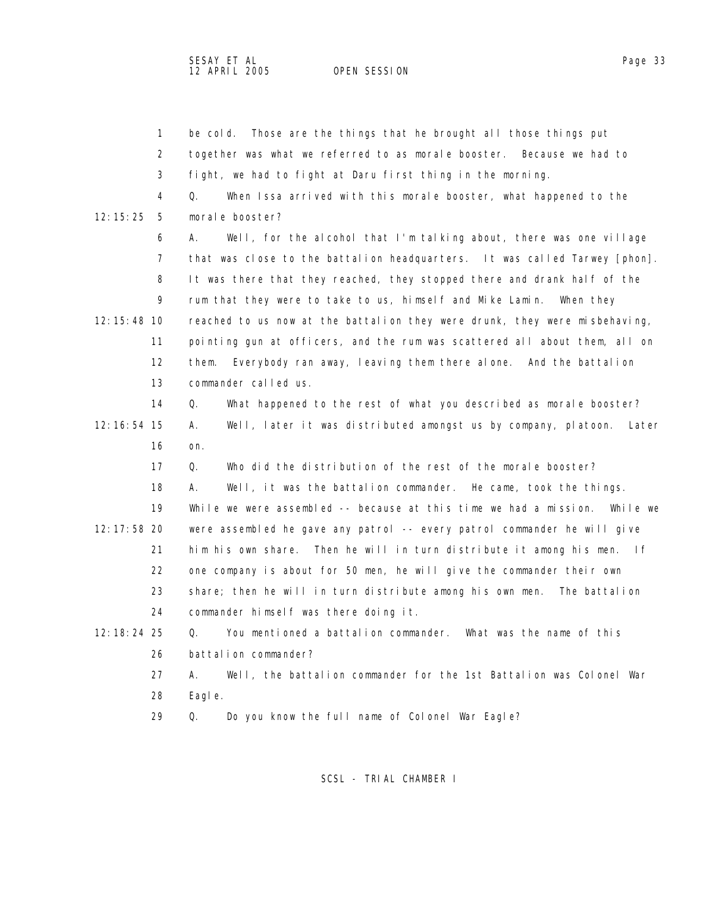SESAY ET AL<br>12 APRIL 2005 OPEN SESSION

OPEN SESSION

|               | $\mathbf{1}$      | Those are the things that he brought all those things put<br>be cold.               |
|---------------|-------------------|-------------------------------------------------------------------------------------|
|               | 2                 | together was what we referred to as morale booster. Because we had to               |
|               | 3                 | fight, we had to fight at Daru first thing in the morning.                          |
|               | 4                 | When Issa arrived with this morale booster, what happened to the<br>Q.              |
| 12:15:25      | - 5               | morale booster?                                                                     |
|               | 6                 | Well, for the alcohol that I'm talking about, there was one village<br>А.           |
|               | 7                 | that was close to the battalion headquarters. It was called Tarwey [phon].          |
|               | 8                 | It was there that they reached, they stopped there and drank half of the            |
|               | 9                 | rum that they were to take to us, himself and Mike Lamin. When they                 |
| 12: 15: 48 10 |                   | reached to us now at the battalion they were drunk, they were misbehaving,          |
|               | 11                | pointing gun at officers, and the rum was scattered all about them, all on          |
|               | $12 \overline{ }$ | Everybody ran away, leaving them there alone. And the battalion<br>them.            |
|               | 13                | commander called us.                                                                |
|               | 14                | What happened to the rest of what you described as morale booster?<br>Q.            |
| 12: 16: 54 15 |                   | Well, later it was distributed amongst us by company, platoon.<br>А.<br>Later       |
|               | 16                | on.                                                                                 |
|               | 17                | Who did the distribution of the rest of the morale booster?<br>Q.                   |
|               | 18                | Well, it was the battalion commander. He came, took the things.<br>А.               |
|               | 19                | While we were assembled -- because at this time we had a mission.<br>While we       |
| 12: 17: 58 20 |                   | were assembled he gave any patrol -- every patrol commander he will give            |
|               | 21                | him his own share. Then he will in turn distribute it among his men.<br>$ $ $ $ $f$ |
|               | 22                | one company is about for 50 men, he will give the commander their own               |
|               | 23                | share; then he will in turn distribute among his own men. The battalion             |
|               | 24                | commander himself was there doing it.                                               |
| 12: 18: 24 25 |                   | You mentioned a battalion commander. What was the name of this<br>Q.                |
|               | 26                | battalion commander?                                                                |
|               | 27                | Well, the battalion commander for the 1st Battalion was Colonel War<br>А.           |
|               | 28                | Eagl e.                                                                             |
|               | 29                | Do you know the full name of Colonel War Eagle?<br>Q.                               |
|               |                   |                                                                                     |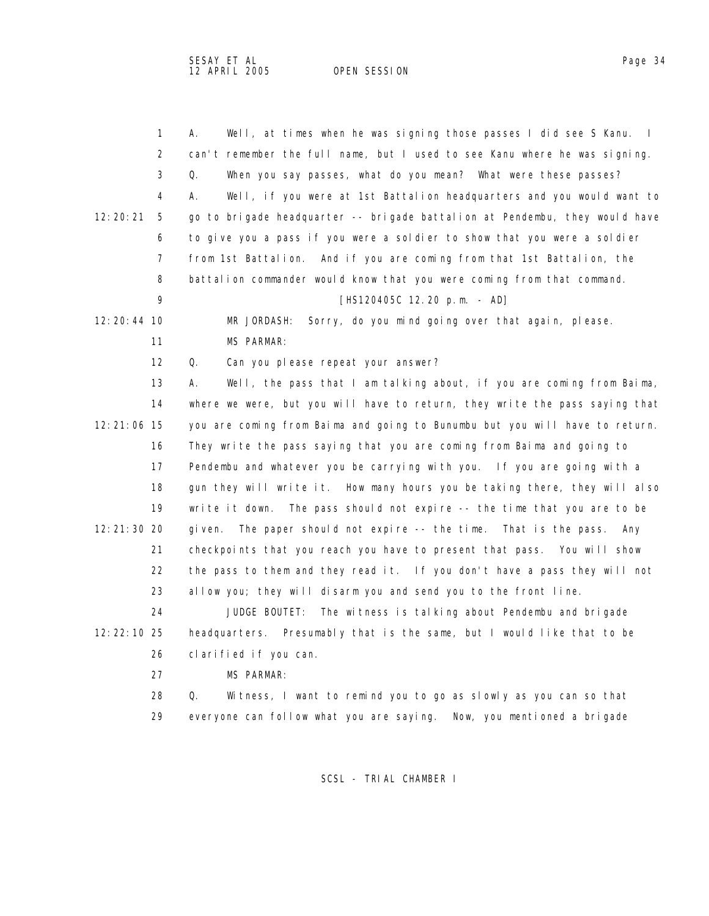OPEN SESSION

| $\mathbf{1}$  | Well, at times when he was signing those passes I did see S Kanu. I<br>А.   |
|---------------|-----------------------------------------------------------------------------|
| 2             | can't remember the full name, but I used to see Kanu where he was signing.  |
| 3             | When you say passes, what do you mean? What were these passes?<br>Q.        |
| 4             | Well, if you were at 1st Battalion headquarters and you would want to<br>А. |
| 12:20:21<br>5 | go to brigade headquarter -- brigade battalion at Pendembu, they would have |
| 6             | to give you a pass if you were a soldier to show that you were a soldier    |
| 7             | from 1st Battalion. And if you are coming from that 1st Battalion, the      |
| 8             | battalion commander would know that you were coming from that command.      |
| 9             | $[HS120405C 12.20 p.m. - AD]$                                               |
| 12:20:44 10   | Sorry, do you mind going over that again, please.<br>MR JORDASH:            |
| 11            | <b>MS PARMAR:</b>                                                           |
| 12            | Can you please repeat your answer?<br>Q.                                    |
| 13            | Well, the pass that I am talking about, if you are coming from Baima,<br>А. |
| 14            | where we were, but you will have to return, they write the pass saying that |
| 12:21:06 15   | you are coming from Baima and going to Bunumbu but you will have to return. |
| 16            | They write the pass saying that you are coming from Baima and going to      |
| 17            | Pendembu and whatever you be carrying with you. If you are going with a     |
| 18            | gun they will write it. How many hours you be taking there, they will also  |
| 19            | write it down. The pass should not expire -- the time that you are to be    |
| 12:21:30 20   | The paper should not expire -- the time. That is the pass. Any<br>gi ven.   |
| 21            | checkpoints that you reach you have to present that pass. You will show     |
| 22            | the pass to them and they read it. If you don't have a pass they will not   |
| 23            | allow you; they will disarm you and send you to the front line.             |
| 24            | JUDGE BOUTET:<br>The witness is talking about Pendembu and brigade          |
| 12:22:10 25   | headquarters. Presumably that is the same, but I would like that to be      |
| 26            | clarified if you can.                                                       |
| 27            | <b>MS PARMAR:</b>                                                           |
| 28            | Q.<br>Witness, I want to remind you to go as slowly as you can so that      |
| 29            | everyone can follow what you are saying. Now, you mentioned a brigade       |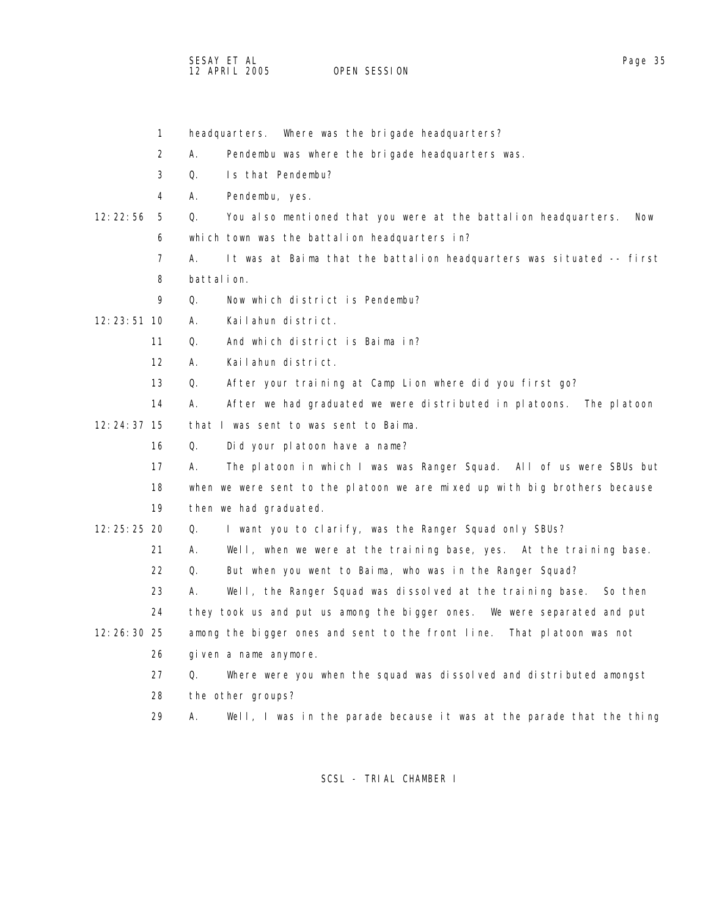SESAY ET AL<br>12 APRIL 2005 OPEN SESSION

OPEN SESSION

|               | $\mathbf{1}$      | Where was the brigade headquarters?<br>headquarters.                                |
|---------------|-------------------|-------------------------------------------------------------------------------------|
|               | 2                 | А.<br>Pendembu was where the brigade headquarters was.                              |
|               | 3                 | Q.<br>Is that Pendembu?                                                             |
|               | 4                 | А.<br>Pendembu, yes.                                                                |
| 12:22:56      | 5                 | Q.<br>You also mentioned that you were at the battalion headquarters.<br><b>Now</b> |
|               | 6                 | which town was the battalion headquarters in?                                       |
|               | $\overline{7}$    | А.<br>It was at Baima that the battalion headquarters was situated -- first         |
|               | 8                 | battal i on.                                                                        |
|               | 9                 | Now which district is Pendembu?<br>Q.                                               |
| $12:23:51$ 10 |                   | Kailahun district.<br>А.                                                            |
|               | 11                | And which district is Baima in?<br>Q.                                               |
|               | $12 \overline{ }$ | Kailahun district.<br>А.                                                            |
|               | 13                | Q.<br>After your training at Camp Lion where did you first go?                      |
|               | 14                | А.<br>After we had graduated we were distributed in platoons.<br>The platoon        |
| $12:24:37$ 15 |                   | that I was sent to was sent to Baima.                                               |
|               | 16                | Did your platoon have a name?<br>Q.                                                 |
|               | 17                | The platoon in which I was was Ranger Squad. All of us were SBUs but<br>А.          |
|               | 18                | when we were sent to the platoon we are mixed up with big brothers because          |
|               | 19                | then we had graduated.                                                              |
| 12: 25: 25 20 |                   | I want you to clarify, was the Ranger Squad only SBUs?<br>Q.                        |
|               | 21                | Well, when we were at the training base, yes. At the training base.<br>А.           |
|               | 22                | 0.<br>But when you went to Baima, who was in the Ranger Squad?                      |
|               | 23                | Well, the Ranger Squad was dissolved at the training base. So then<br>А.            |
|               | 24                | they took us and put us among the bigger ones. We were separated and put            |
| $12:26:30$ 25 |                   | among the bigger ones and sent to the front line. That platoon was not              |
|               | 26                | given a name anymore.                                                               |
|               | 27                | Where were you when the squad was dissolved and distributed amongst<br>Q.           |
|               | 28                | the other groups?                                                                   |
|               | 29                | А.<br>Well, I was in the parade because it was at the parade that the thing         |
|               |                   |                                                                                     |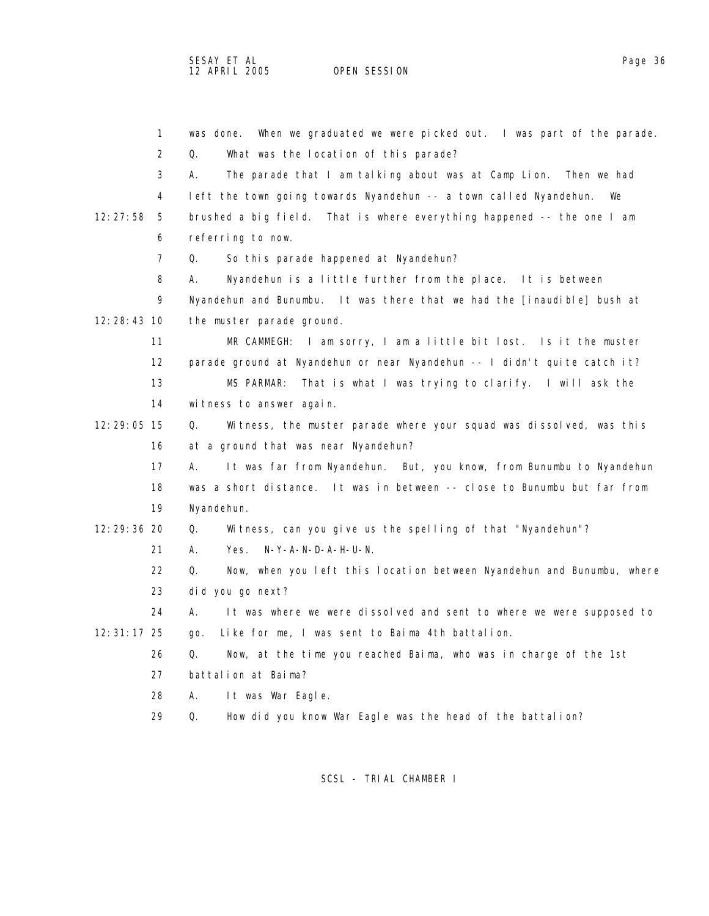SESAY ET AL Page 36

OPEN SESSION

 1 was done. When we graduated we were picked out. I was part of the parade. 2 Q. What was the location of this parade? 3 A. The parade that I am talking about was at Camp Lion. Then we had 4 left the town going towards Nyandehun -- a town called Nyandehun. We 12:27:58 5 brushed a big field. That is where everything happened -- the one I am 6 referring to now. 7 Q. So this parade happened at Nyandehun? 8 A. Nyandehun is a little further from the place. It is between 9 Nyandehun and Bunumbu. It was there that we had the [inaudible] bush at 12:28:43 10 the muster parade ground. 11 MR CAMMEGH: I am sorry, I am a little bit lost. Is it the muster 12 parade ground at Nyandehun or near Nyandehun -- I didn't quite catch it? 13 MS PARMAR: That is what I was trying to clarify. I will ask the 14 witness to answer again. 12:29:05 15 Q. Witness, the muster parade where your squad was dissolved, was this 16 at a ground that was near Nyandehun? 17 A. It was far from Nyandehun. But, you know, from Bunumbu to Nyandehun 18 was a short distance. It was in between -- close to Bunumbu but far from 19 Nyandehun. 12:29:36 20 Q. Witness, can you give us the spelling of that "Nyandehun"? 21 A. Yes. N-Y-A-N-D-A-H-U-N. 22 Q. Now, when you left this location between Nyandehun and Bunumbu, where 23 did you go next? 24 A. It was where we were dissolved and sent to where we were supposed to 12:31:17 25 go. Like for me, I was sent to Baima 4th battalion. 26 Q. Now, at the time you reached Baima, who was in charge of the 1st 27 battalion at Baima? 28 A. It was War Eagle. 29 Q. How did you know War Eagle was the head of the battalion?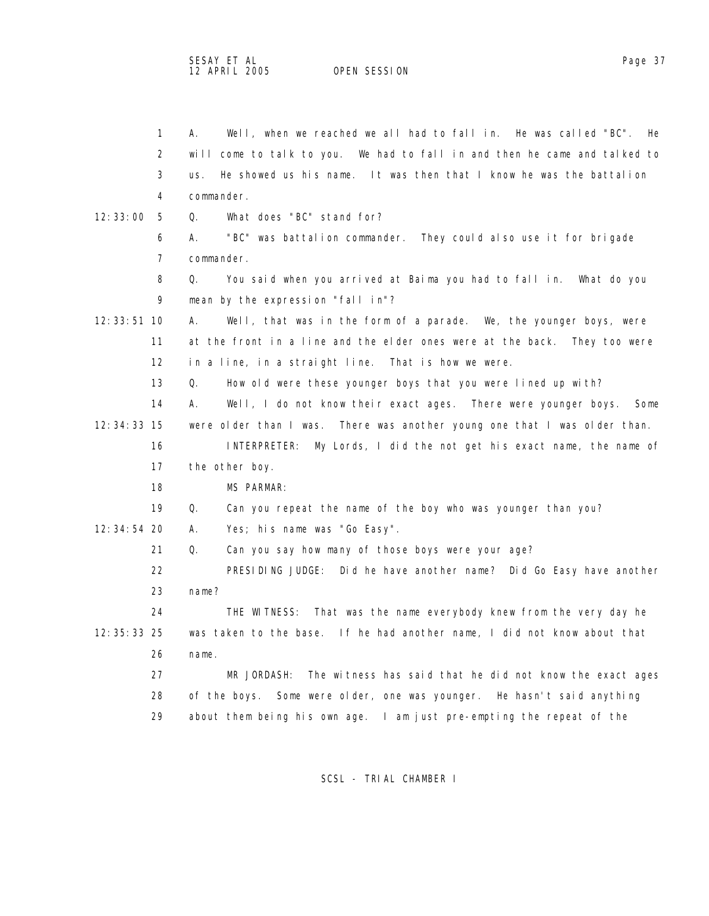OPEN SESSION

|               | $\mathbf{1}$      | Well, when we reached we all had to fall in. He was called "BC". He<br>А.    |
|---------------|-------------------|------------------------------------------------------------------------------|
|               | 2                 | will come to talk to you. We had to fall in and then he came and talked to   |
|               | 3                 | He showed us his name. It was then that I know he was the battalion<br>us.   |
|               | 4                 | commander.                                                                   |
| 12:33:00      | - 5               | What does "BC" stand for?<br>Q.                                              |
|               | 6                 | "BC" was battalion commander. They could also use it for brigade<br>А.       |
|               | 7                 | commander.                                                                   |
|               | 8                 | You said when you arrived at Baima you had to fall in. What do you<br>Q.     |
|               | 9                 | mean by the expression "fall in"?                                            |
| 12: 33: 51 10 |                   | Well, that was in the form of a parade. We, the younger boys, were<br>А.     |
|               | 11                | at the front in a line and the elder ones were at the back. They too were    |
|               | $12 \overline{ }$ | in a line, in a straight line. That is how we were.                          |
|               | 13                | How old were these younger boys that you were lined up with?<br>Q.           |
|               | 14                | Well, I do not know their exact ages. There were younger boys.<br>А.<br>Some |
| 12: 34: 33 15 |                   | were older than I was. There was another young one that I was older than.    |
|               | 16                | My Lords, I did the not get his exact name, the name of<br>I NTERPRETER:     |
|               | 17                | the other boy.                                                               |
|               | 18                | MS PARMAR:                                                                   |
|               | 19                | Q.<br>Can you repeat the name of the boy who was younger than you?           |
| 12:34:54 20   |                   | Yes; his name was "Go Easy".<br>Α.                                           |
|               | 21                | Q.<br>Can you say how many of those boys were your age?                      |
|               | 22                | PRESIDING JUDGE: Did he have another name? Did Go Easy have another          |
|               | 23                | name?                                                                        |
|               | 24                | THE WITNESS: That was the name everybody knew from the very day he           |
| 12: 35: 33 25 |                   | was taken to the base. If he had another name, I did not know about that     |
|               | 26                | name.                                                                        |
|               | 27                | The witness has said that he did not know the exact ages<br>MR JORDASH:      |
|               | 28                | of the boys. Some were older, one was younger. He hasn't said anything       |
|               | 29                | about them being his own age. I am just pre-empting the repeat of the        |
|               |                   |                                                                              |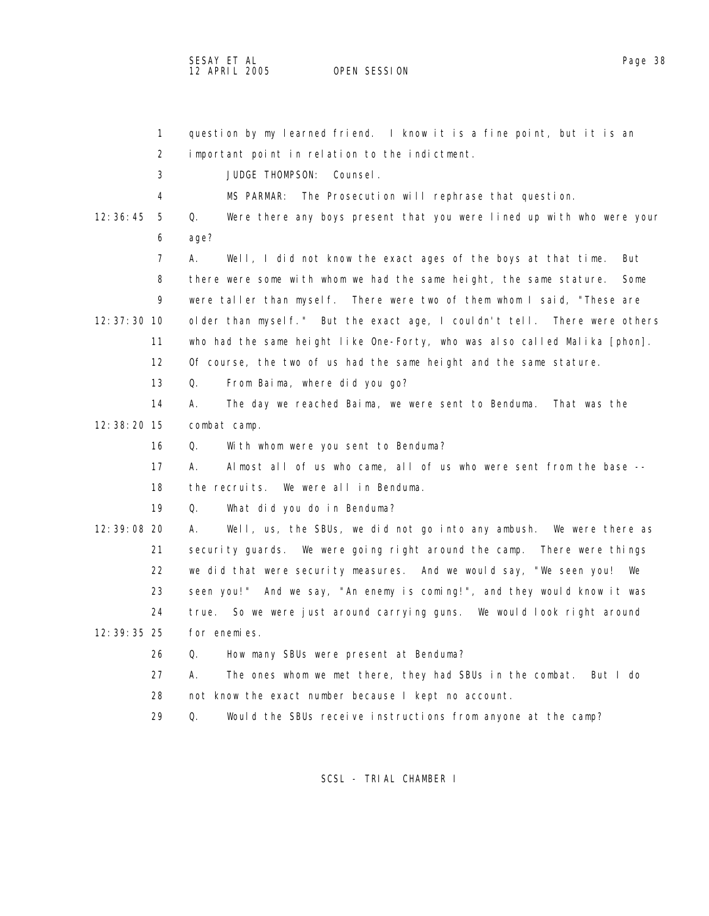|               | $\mathbf{1}$      | question by my learned friend. I know it is a fine point, but it is an      |
|---------------|-------------------|-----------------------------------------------------------------------------|
|               | 2                 | important point in relation to the indictment.                              |
|               | 3                 | JUDGE THOMPSON:<br>Counsel.                                                 |
|               | 4                 | MS PARMAR:<br>The Prosecution will rephrase that question.                  |
| 12:36:45      | 5                 | Were there any boys present that you were lined up with who were your<br>Q. |
|               | 6                 | age?                                                                        |
|               | 7                 | А.<br>Well, I did not know the exact ages of the boys at that time.<br>But  |
|               | 8                 | there were some with whom we had the same height, the same stature.<br>Some |
|               | 9                 | were taller than myself. There were two of them whom I said, "These are     |
| $12:37:30$ 10 |                   | older than myself." But the exact age, I couldn't tell. There were others   |
|               | 11                | who had the same height like One-Forty, who was also called Malika [phon].  |
|               | $12 \overline{ }$ | Of course, the two of us had the same height and the same stature.          |
|               | 13                | Q.<br>From Baima, where did you go?                                         |
|               | 14                | The day we reached Baima, we were sent to Benduma. That was the<br>А.       |
| 12:38:20 15   |                   | combat camp.                                                                |
|               | 16                | Q.<br>With whom were you sent to Benduma?                                   |
|               | 17                | Almost all of us who came, all of us who were sent from the base --<br>А.   |
|               | 18                | the recruits. We were all in Benduma.                                       |
|               | 19                | What did you do in Benduma?<br>Q.                                           |
| 12:39:08 20   |                   | А.<br>Well, us, the SBUs, we did not go into any ambush. We were there as   |
|               | 21                | security guards. We were going right around the camp. There were things     |
|               | 22                | we did that were security measures. And we would say, "We seen you! We      |
|               | 23                | seen you!" And we say, "An enemy is coming!", and they would know it was    |
|               | 24                | So we were just around carrying guns. We would look right around<br>true.   |
| 12: 39: 35 25 |                   | for enemies.                                                                |
|               | 26                | Q.<br>How many SBUs were present at Benduma?                                |
|               | 27                | А.<br>The ones whom we met there, they had SBUs in the combat.<br>But I do  |
|               | 28                | not know the exact number because I kept no account.                        |
|               | 29                | Q.<br>Would the SBUs receive instructions from anyone at the camp?          |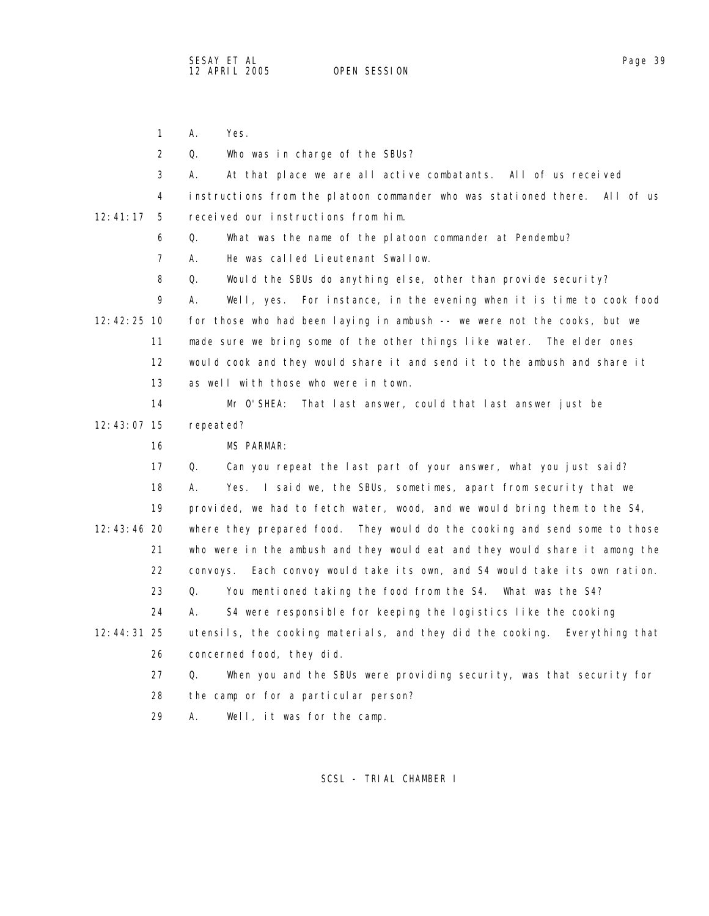1 A. Yes.

2 Q. Who was in charge of the SBUs?

 3 A. At that place we are all active combatants. All of us received 4 instructions from the platoon commander who was stationed there. All of us 12:41:17 5 received our instructions from him.

6 Q. What was the name of the platoon commander at Pendembu?

7 A. He was called Lieutenant Swallow.

8 Q. Would the SBUs do anything else, other than provide security?

 9 A. Well, yes. For instance, in the evening when it is time to cook food 12:42:25 10 for those who had been laying in ambush -- we were not the cooks, but we 11 made sure we bring some of the other things like water. The elder ones 12 would cook and they would share it and send it to the ambush and share it 13 as well with those who were in town.

 14 Mr O'SHEA: That last answer, could that last answer just be 12:43:07 15 repeated?

16 MS PARMAR:

 17 Q. Can you repeat the last part of your answer, what you just said? 18 A. Yes. I said we, the SBUs, sometimes, apart from security that we 19 provided, we had to fetch water, wood, and we would bring them to the S4, 12:43:46 20 where they prepared food. They would do the cooking and send some to those 21 who were in the ambush and they would eat and they would share it among the 22 convoys. Each convoy would take its own, and S4 would take its own ration. 23 Q. You mentioned taking the food from the S4. What was the S4? 24 A. S4 were responsible for keeping the logistics like the cooking 12:44:31 25 utensils, the cooking materials, and they did the cooking. Everything that 26 concerned food, they did.

27 Q. When you and the SBUs were providing security, was that security for

28 the camp or for a particular person?

29 A. Well, it was for the camp.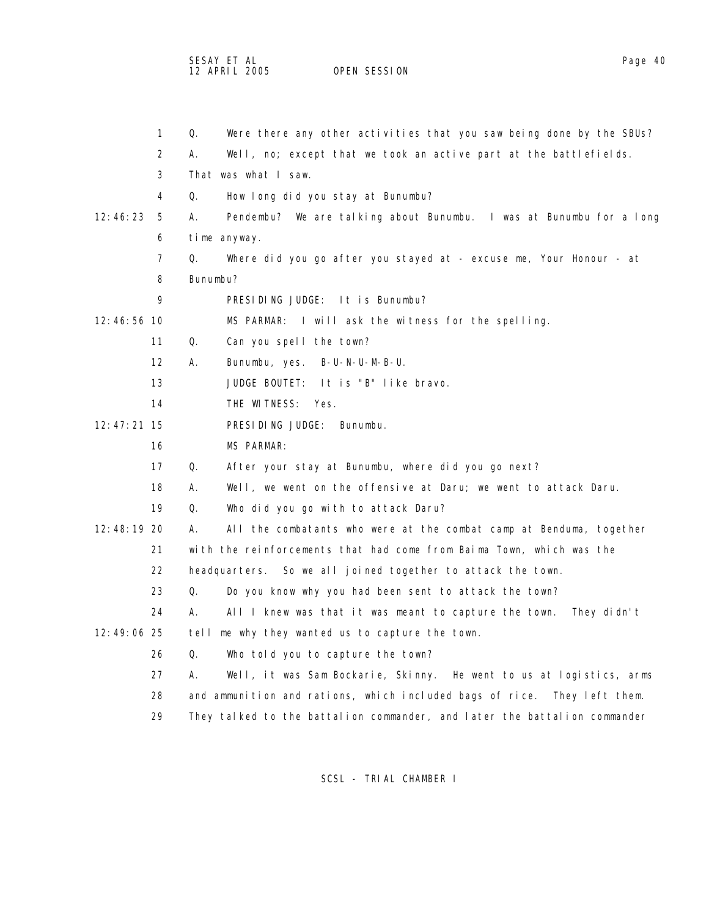SESAY ET AL Page 40 12 APRIL 2005 OPEN SESSION

|                 | $\mathbf{1}$      | Were there any other activities that you saw being done by the SBUs?<br>Q. |
|-----------------|-------------------|----------------------------------------------------------------------------|
|                 | 2                 | Well, no; except that we took an active part at the battlefields.<br>А.    |
|                 | 3                 | That was what I saw.                                                       |
|                 | 4                 | Q.<br>How long did you stay at Bunumbu?                                    |
| 12:46:23        | 5                 | А.<br>Pendembu? We are talking about Bunumbu. I was at Bunumbu for a long  |
|                 | 6                 | time anyway.                                                               |
|                 | 7                 | Q.<br>Where did you go after you stayed at - excuse me, Your Honour - at   |
|                 | 8                 | Bunumbu?                                                                   |
|                 | 9                 | PRESIDING JUDGE: It is Bunumbu?                                            |
| $12:46:56$ 10   |                   | MS PARMAR: I will ask the witness for the spelling.                        |
|                 | 11                | Can you spell the town?<br>Q.                                              |
|                 | $12 \overline{ }$ | Bunumbu, yes. B-U-N-U-M-B-U.<br>А.                                         |
|                 | 13                | JUDGE BOUTET: It is "B" like bravo.                                        |
|                 | 14                | THE WITNESS: Yes.                                                          |
| $12: 47: 21$ 15 |                   | PRESIDING JUDGE:<br>Bunumbu.                                               |
|                 | 16                | MS PARMAR:                                                                 |
|                 | 17                | Q.<br>After your stay at Bunumbu, where did you go next?                   |
|                 | 18                | Well, we went on the offensive at Daru; we went to attack Daru.<br>А.      |
|                 | 19                | Q.<br>Who did you go with to attack Daru?                                  |
| 12:48:19 20     |                   | All the combatants who were at the combat camp at Benduma, together<br>А.  |
|                 | 21                | with the reinforcements that had come from Baima Town, which was the       |
|                 | 22                | headquarters. So we all joined together to attack the town.                |
|                 | 23                | Q.<br>Do you know why you had been sent to attack the town?                |
|                 | 24                | А.<br>All I knew was that it was meant to capture the town.<br>They didn't |
| 12:49:06 25     |                   | me why they wanted us to capture the town.<br>tell                         |
|                 | 26                | Q.<br>Who told you to capture the town?                                    |
|                 | 27                | А.<br>Well, it was Sam Bockarie, Skinny. He went to us at logistics, arms  |
|                 | 28                | and ammunition and rations, which included bags of rice. They left them.   |
|                 | 29                | They talked to the battalion commander, and later the battalion commander  |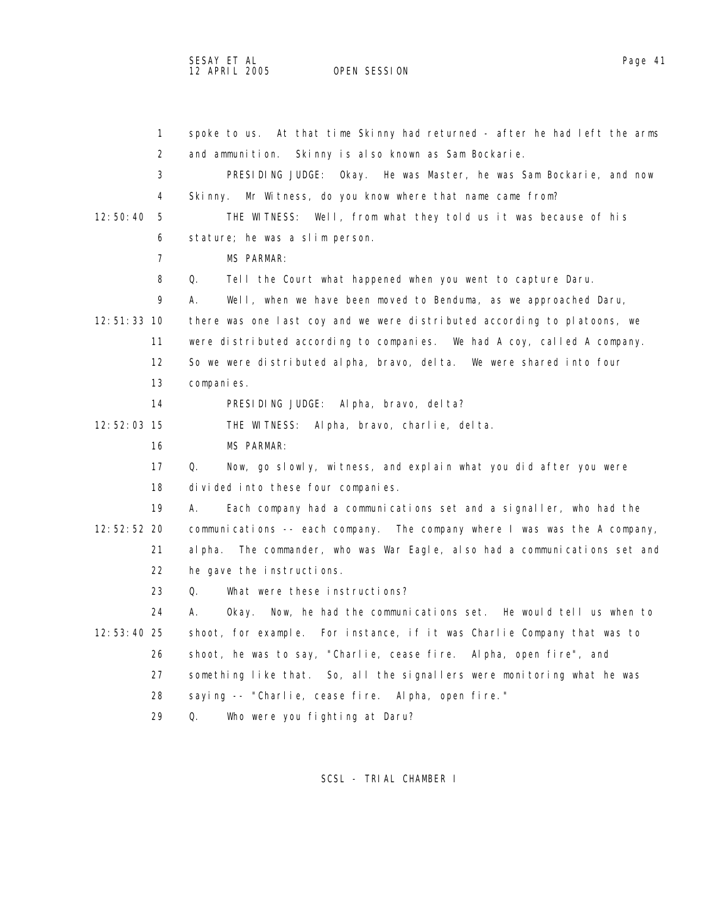## SESAY ET AL Page 41

OPEN SESSION

 1 spoke to us. At that time Skinny had returned - after he had left the arms 2 and ammunition. Skinny is also known as Sam Bockarie. 3 PRESIDING JUDGE: Okay. He was Master, he was Sam Bockarie, and now 4 Skinny. Mr Witness, do you know where that name came from? 12:50:40 5 THE WITNESS: Well, from what they told us it was because of his 6 stature; he was a slim person. 7 MS PARMAR: 8 Q. Tell the Court what happened when you went to capture Daru. 9 A. Well, when we have been moved to Benduma, as we approached Daru, 12:51:33 10 there was one last coy and we were distributed according to platoons, we 11 were distributed according to companies. We had A coy, called A company. 12 So we were distributed alpha, bravo, delta. We were shared into four 13 companies. 14 PRESIDING JUDGE: Alpha, bravo, delta? 12:52:03 15 THE WITNESS: Alpha, bravo, charlie, delta. 16 MS PARMAR: 17 Q. Now, go slowly, witness, and explain what you did after you were 18 divided into these four companies. 19 A. Each company had a communications set and a signaller, who had the 12:52:52 20 communications -- each company. The company where I was was the A company, 21 alpha. The commander, who was War Eagle, also had a communications set and 22 he gave the instructions. 23 Q. What were these instructions? 24 A. Okay. Now, he had the communications set. He would tell us when to 12:53:40 25 shoot, for example. For instance, if it was Charlie Company that was to 26 shoot, he was to say, "Charlie, cease fire. Alpha, open fire", and 27 something like that. So, all the signallers were monitoring what he was

- 28 saying -- "Charlie, cease fire. Alpha, open fire."
- 29 Q. Who were you fighting at Daru?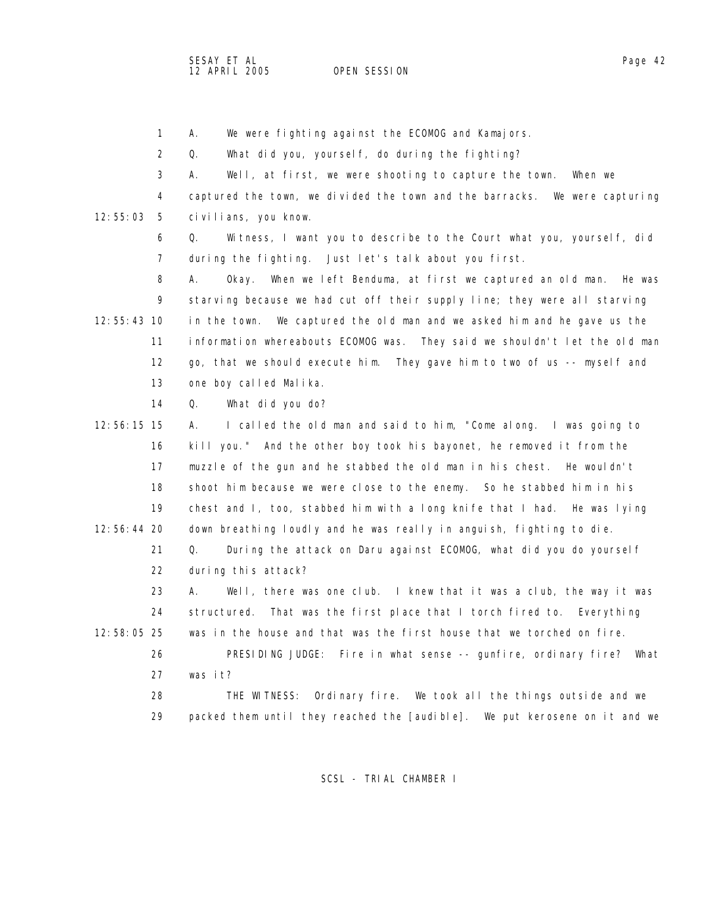OPEN SESSION

1 A. We were fighting against the ECOMOG and Kamajors.

2 Q. What did you, yourself, do during the fighting?

3 A. Well, at first, we were shooting to capture the town. When we

 4 captured the town, we divided the town and the barracks. We were capturing 12:55:03 5 civilians, you know.

 6 Q. Witness, I want you to describe to the Court what you, yourself, did 7 during the fighting. Just let's talk about you first.

 8 A. Okay. When we left Benduma, at first we captured an old man. He was 9 starving because we had cut off their supply line; they were all starving 12:55:43 10 in the town. We captured the old man and we asked him and he gave us the 11 information whereabouts ECOMOG was. They said we shouldn't let the old man 12 go, that we should execute him. They gave him to two of us -- myself and 13 one boy called Malika.

14 Q. What did you do?

 12:56:15 15 A. I called the old man and said to him, "Come along. I was going to 16 kill you." And the other boy took his bayonet, he removed it from the 17 muzzle of the gun and he stabbed the old man in his chest. He wouldn't 18 shoot him because we were close to the enemy. So he stabbed him in his 19 chest and I, too, stabbed him with a long knife that I had. He was lying 12:56:44 20 down breathing loudly and he was really in anguish, fighting to die. 21 Q. During the attack on Daru against ECOMOG, what did you do yourself

22 during this attack?

 23 A. Well, there was one club. I knew that it was a club, the way it was 24 structured. That was the first place that I torch fired to. Everything 12:58:05 25 was in the house and that was the first house that we torched on fire.

 26 PRESIDING JUDGE: Fire in what sense -- gunfire, ordinary fire? What 27 was it?

 28 THE WITNESS: Ordinary fire. We took all the things outside and we 29 packed them until they reached the [audible]. We put kerosene on it and we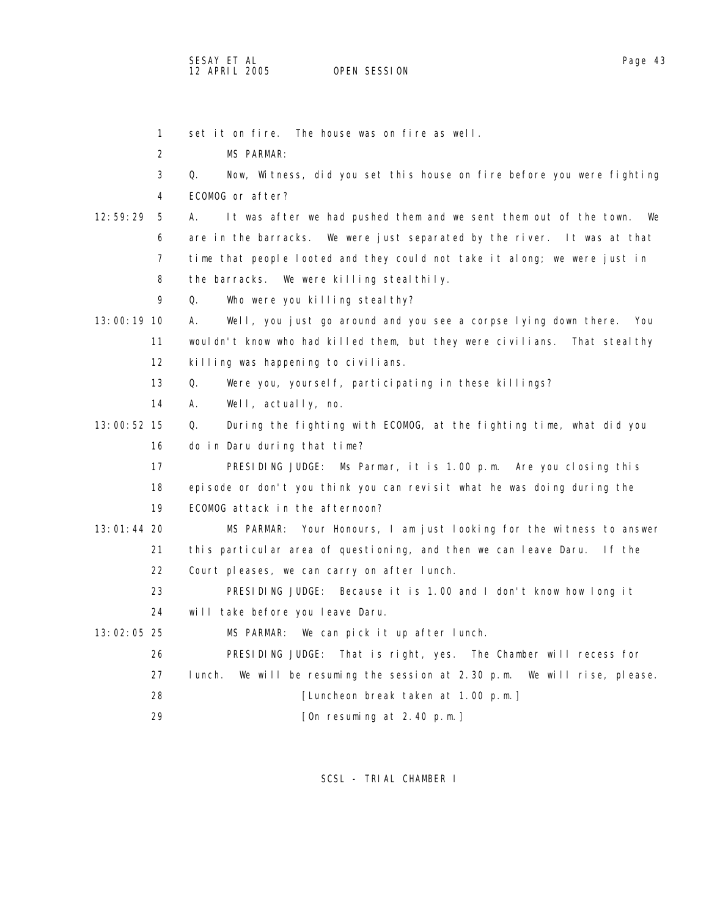| $\mathbf{1}$  | set it on fire. The house was on fire as well.                                 |
|---------------|--------------------------------------------------------------------------------|
| 2             | <b>MS PARMAR:</b>                                                              |
| 3             | Q.<br>Now, Witness, did you set this house on fire before you were fighting    |
| 4             | ECOMOG or after?                                                               |
| 12:59:29<br>5 | It was after we had pushed them and we sent them out of the town.<br>А.<br>We  |
| 6             | are in the barracks. We were just separated by the river. It was at that       |
| 7             | time that people looted and they could not take it along; we were just in      |
| 8             | the barracks. We were killing steal thily.                                     |
| 9             | Who were you killing steal thy?<br>Q.                                          |
| 13:00:19 10   | Well, you just go around and you see a corpse lying down there.<br>А.<br>- You |
| 11            | wouldn't know who had killed them, but they were civilians. That stealthy      |
| 12            | killing was happening to civilians.                                            |
| 13            | Q.<br>Were you, yourself, participating in these killings?                     |
| 14            | Well, actually, no.<br>А.                                                      |
| 13:00:52 15   | During the fighting with ECOMOG, at the fighting time, what did you<br>Q.      |
| 16            | do in Daru during that time?                                                   |
| 17            | PRESIDING JUDGE: Ms Parmar, it is 1.00 p.m. Are you closing this               |
| 18            | episode or don't you think you can revisit what he was doing during the        |
| 19            | ECOMOG attack in the afternoon?                                                |
| 13:01:44 20   | Your Honours, I am just looking for the witness to answer<br>MS PARMAR:        |
| 21            | this particular area of questioning, and then we can leave Daru. If the        |
| 22            | Court pleases, we can carry on after lunch.                                    |
| 23            | PRESIDING JUDGE: Because it is 1.00 and I don't know how long it               |
| 24            | will take before you leave Daru.                                               |
| 13:02:05 25   | MS PARMAR: We can pick it up after lunch.                                      |
| 26            | PRESIDING JUDGE: That is right, yes. The Chamber will recess for               |
| 27            | I unch.<br>We will be resuming the session at 2.30 p.m. We will rise, please.  |
| 28            | [Luncheon break taken at 1.00 p.m.]                                            |
| 29            | [On resuming at 2.40 p.m.]                                                     |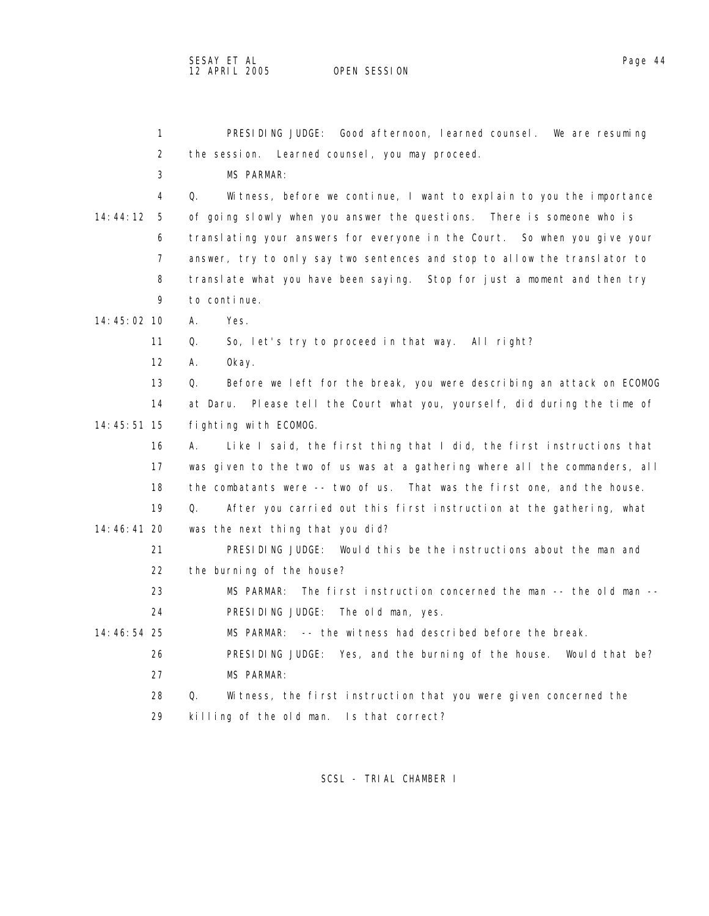1 PRESIDING JUDGE: Good afternoon, learned counsel. We are resuming 2 the session. Learned counsel, you may proceed. 3 MS PARMAR: 4 Q. Witness, before we continue, I want to explain to you the importance 14:44:12 5 of going slowly when you answer the questions. There is someone who is 6 translating your answers for everyone in the Court. So when you give your 7 answer, try to only say two sentences and stop to allow the translator to 8 translate what you have been saying. Stop for just a moment and then try 9 to continue. 14:45:02 10 A. Yes. 11 Q. So, let's try to proceed in that way. All right? 12 A. Okay. 13 Q. Before we left for the break, you were describing an attack on ECOMOG 14 at Daru. Please tell the Court what you, yourself, did during the time of 14:45:51 15 fighting with ECOMOG. 16 A. Like I said, the first thing that I did, the first instructions that 17 was given to the two of us was at a gathering where all the commanders, all 18 the combatants were -- two of us. That was the first one, and the house. 19 Q. After you carried out this first instruction at the gathering, what 14:46:41 20 was the next thing that you did? 21 PRESIDING JUDGE: Would this be the instructions about the man and 22 the burning of the house? 23 MS PARMAR: The first instruction concerned the man -- the old man -- 24 PRESIDING JUDGE: The old man, yes. 14:46:54 25 MS PARMAR: -- the witness had described before the break. 26 PRESIDING JUDGE: Yes, and the burning of the house. Would that be? 27 MS PARMAR: 28 Q. Witness, the first instruction that you were given concerned the 29 killing of the old man. Is that correct?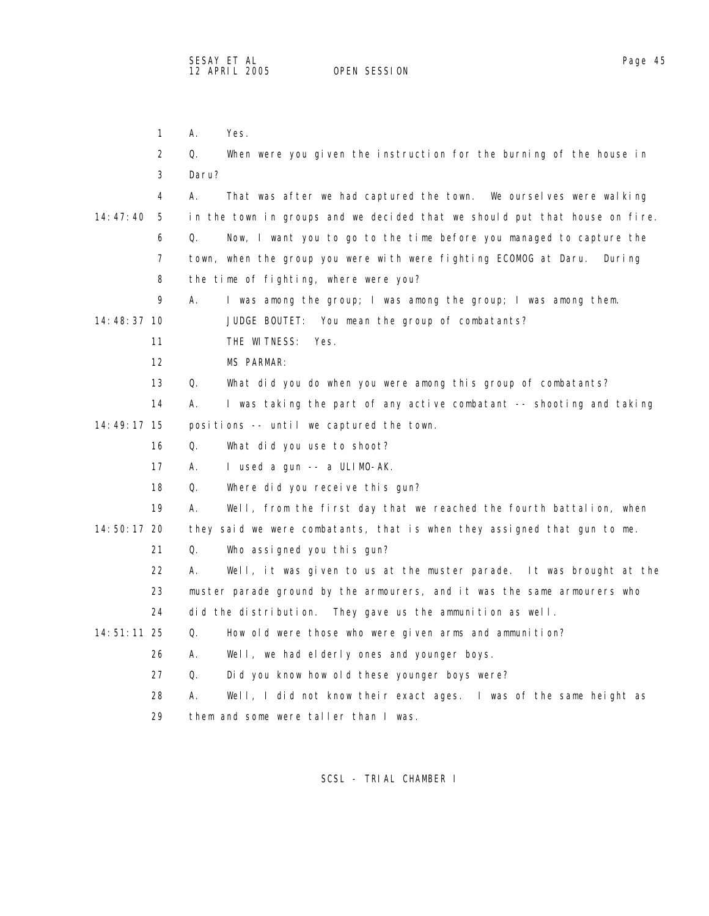| $\mathbf{1}$   | А.    | Yes.                                                                        |
|----------------|-------|-----------------------------------------------------------------------------|
| 2              | Q.    | When were you given the instruction for the burning of the house in         |
| 3              | Daru? |                                                                             |
| 4              | А.    | That was after we had captured the town. We ourselves were walking          |
| 14:47:40<br>-5 |       | in the town in groups and we decided that we should put that house on fire. |
| 6              | Q.    | Now, I want you to go to the time before you managed to capture the         |
| 7              |       | town, when the group you were with were fighting ECOMOG at Daru.<br>Duri ng |
| 8              |       | the time of fighting, where were you?                                       |
| 9              | А.    | I was among the group; I was among the group; I was among them.             |
| 14:48:37 10    |       | JUDGE BOUTET: You mean the group of combatants?                             |
| 11             |       | THE WITNESS:<br>Yes.                                                        |
| 12             |       | <b>MS PARMAR:</b>                                                           |
| 13             | Q.    | What did you do when you were among this group of combatants?               |
| 14             | А.    | I was taking the part of any active combatant -- shooting and taking        |
| 14:49:17 15    |       | positions -- until we captured the town.                                    |
| 16             | Q.    | What did you use to shoot?                                                  |
| 17             | А.    | I used a gun -- a ULIMO-AK.                                                 |
| 18             | Q.    | Where did you receive this gun?                                             |
| 19             | А.    | Well, from the first day that we reached the fourth battalion, when         |
| 14:50:17 20    |       | they said we were combatants, that is when they assigned that gun to me.    |
| 21             | Q.    | Who assigned you this gun?                                                  |
| 22             | А.    | Well, it was given to us at the muster parade. It was brought at the        |
| 23             |       | muster parade ground by the armourers, and it was the same armourers who    |
| 24             |       | did the distribution. They gave us the ammunition as well.                  |
| 14:51:11 25    | Q.    | How old were those who were given arms and ammunition?                      |
| 26             | Α.    | Well, we had elderly ones and younger boys.                                 |
| 27             | Q.    | Did you know how old these younger boys were?                               |
| 28             | Α.    | Well, I did not know their exact ages. I was of the same height as          |
| 29             |       | them and some were taller than I was.                                       |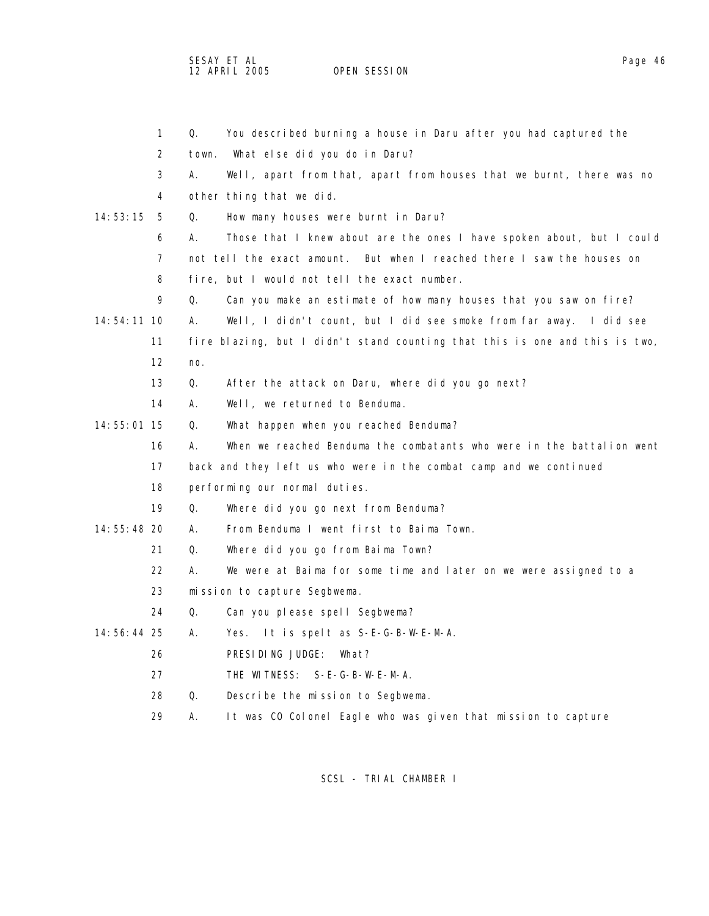SESAY ET AL Page 46 12 APRIL 2005 OPEN SESSION

|               | 1   | Q.    | You described burning a house in Daru after you had captured the            |
|---------------|-----|-------|-----------------------------------------------------------------------------|
|               | 2   | town. | What else did you do in Daru?                                               |
|               | 3   | А.    | Well, apart from that, apart from houses that we burnt, there was no        |
|               | 4   |       | other thing that we did.                                                    |
| 14:53:15      | - 5 | Q.    | How many houses were burnt in Daru?                                         |
|               | 6   | А.    | Those that I knew about are the ones I have spoken about, but I could       |
|               | 7   |       | not tell the exact amount. But when I reached there I saw the houses on     |
|               | 8   |       | fire, but I would not tell the exact number.                                |
|               | 9   | Q.    | Can you make an estimate of how many houses that you saw on fire?           |
| $14:54:11$ 10 |     | А.    | Well, I didn't count, but I did see smoke from far away. I did see          |
|               | 11  |       | fire blazing, but I didn't stand counting that this is one and this is two, |
|               | 12  | no.   |                                                                             |
|               | 13  | Q.    | After the attack on Daru, where did you go next?                            |
|               | 14  | А.    | Well, we returned to Benduma.                                               |
| 14:55:01 15   |     | Q.    | What happen when you reached Benduma?                                       |
|               | 16  | А.    | When we reached Benduma the combatants who were in the battalion went       |
|               | 17  |       | back and they left us who were in the combat camp and we continued          |
|               | 18  |       | performing our normal duties.                                               |
|               | 19  | Q.    | Where did you go next from Benduma?                                         |
| 14:55:48 20   |     | А.    | From Benduma I went first to Baima Town.                                    |
|               | 21  | Q.    | Where did you go from Baima Town?                                           |
|               | 22  | А.    | We were at Baima for some time and later on we were assigned to a           |
|               | 23  |       | mission to capture Segbwema.                                                |
|               | 24  | Q.    | Can you please spell Segbwema?                                              |
| 14:56:44 25   |     | А.    | Yes. It is spelt as S-E-G-B-W-E-M-A.                                        |
|               | 26  |       | PRESIDING JUDGE:<br>What?                                                   |
|               | 27  |       | THE WITNESS: S-E-G-B-W-E-M-A.                                               |
|               | 28  | Q.    | Describe the mission to Segbwema.                                           |
|               | 29  | Α.    | It was CO Colonel Eagle who was given that mission to capture               |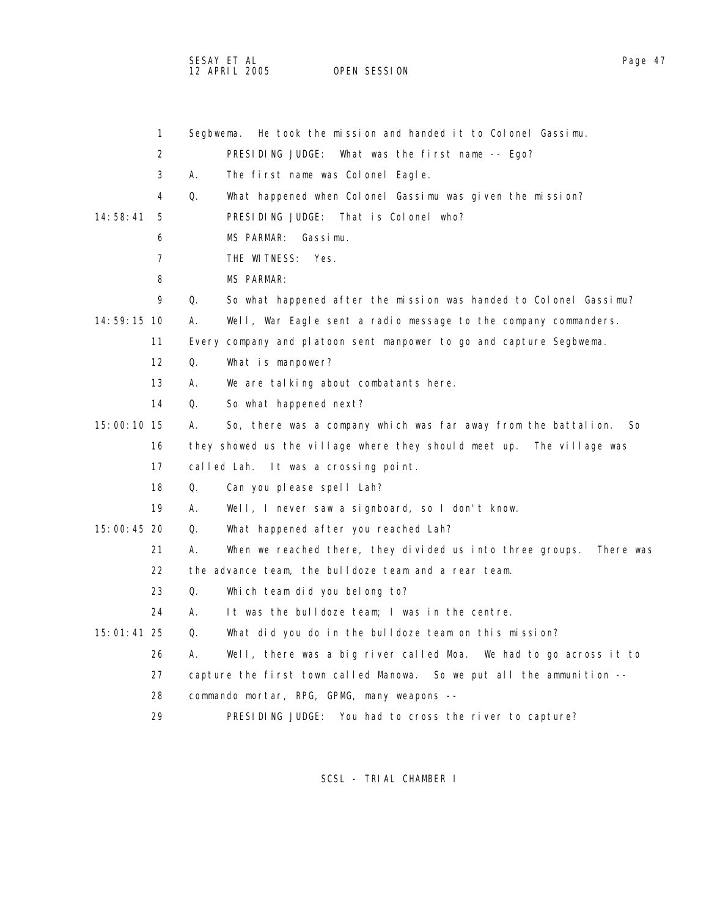SESAY ET AL Page 47 12 APRIL 2005 OPEN SESSION

|               | 1                 | Segbwema. | He took the mission and handed it to Colonel Gassimu.                  |
|---------------|-------------------|-----------|------------------------------------------------------------------------|
|               | 2                 |           | PRESIDING JUDGE:<br>What was the first name $-$ Ego?                   |
|               | 3                 | А.        | The first name was Colonel Eagle.                                      |
|               | 4                 | Q.        | What happened when Colonel Gassimu was given the mission?              |
| 14:58:41      | 5                 |           | That is Colonel who?<br>PRESIDING JUDGE:                               |
|               | 6                 |           | MS PARMAR:<br>Gassimu.                                                 |
|               | $\overline{7}$    |           | THE WITNESS:<br>Yes.                                                   |
|               | 8                 |           | <b>MS PARMAR:</b>                                                      |
|               | 9                 | Q.        | So what happened after the mission was handed to Colonel Gassimu?      |
| $14:59:15$ 10 |                   | А.        | Well, War Eagle sent a radio message to the company commanders.        |
|               | 11                |           | Every company and platoon sent manpower to go and capture Segbwema.    |
|               | $12 \overline{ }$ | Q.        | What is manpower?                                                      |
|               | 13                | А.        | We are talking about combatants here.                                  |
|               | 14                | Q.        | So what happened next?                                                 |
| 15:00:10 15   |                   | А.        | So, there was a company which was far away from the battalion.<br>So   |
|               | 16                |           | they showed us the village where they should meet up. The village was  |
|               | 17                |           | called Lah. It was a crossing point.                                   |
|               | 18                | Q.        | Can you please spell Lah?                                              |
|               | 19                | А.        | Well, I never saw a signboard, so I don't know.                        |
| 15:00:45 20   |                   | Q.        | What happened after you reached Lah?                                   |
|               | 21                | А.        | When we reached there, they divided us into three groups.<br>There was |
|               | 22                |           | the advance team, the bulldoze team and a rear team.                   |
|               | 23                | Q.        | Which team did you belong to?                                          |
|               | 24                | А.        | It was the bulldoze team; I was in the centre.                         |
| $15:01:41$ 25 |                   | Q.        | What did you do in the bulldoze team on this mission?                  |
|               | 26                | А.        | Well, there was a big river called Moa.  We had to go across it to     |
|               | 27                |           | capture the first town called Manowa. So we put all the ammunition --  |
|               | 28                |           | commando mortar, RPG, GPMG, many weapons --                            |
|               | 29                |           | PRESIDING JUDGE: You had to cross the river to capture?                |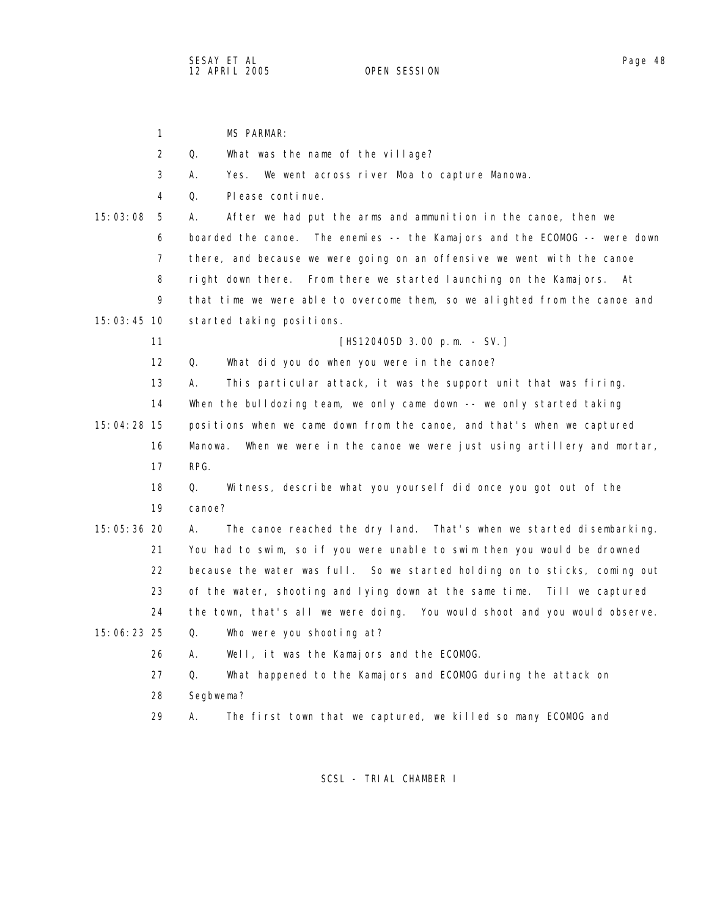1 MS PARMAR: 2 Q. What was the name of the village? 3 A. Yes. We went across river Moa to capture Manowa. 4 Q. Please continue. 15:03:08 5 A. After we had put the arms and ammunition in the canoe, then we 6 boarded the canoe. The enemies -- the Kamajors and the ECOMOG -- were down 7 there, and because we were going on an offensive we went with the canoe 8 right down there. From there we started launching on the Kamajors. At 9 that time we were able to overcome them, so we alighted from the canoe and 15:03:45 10 started taking positions. 11 **[HS120405D** 3.00 p.m. - SV.] 12 Q. What did you do when you were in the canoe? 13 A. This particular attack, it was the support unit that was firing. 14 When the bulldozing team, we only came down -- we only started taking 15:04:28 15 positions when we came down from the canoe, and that's when we captured 16 Manowa. When we were in the canoe we were just using artillery and mortar, 17 RPG. 18 Q. Witness, describe what you yourself did once you got out of the 19 canoe? 15:05:36 20 A. The canoe reached the dry land. That's when we started disembarking. 21 You had to swim, so if you were unable to swim then you would be drowned 22 because the water was full. So we started holding on to sticks, coming out 23 of the water, shooting and lying down at the same time. Till we captured 24 the town, that's all we were doing. You would shoot and you would observe. 15:06:23 25 Q. Who were you shooting at? 26 A. Well, it was the Kamajors and the ECOMOG. 27 Q. What happened to the Kamajors and ECOMOG during the attack on 28 Segbwema? 29 A. The first town that we captured, we killed so many ECOMOG and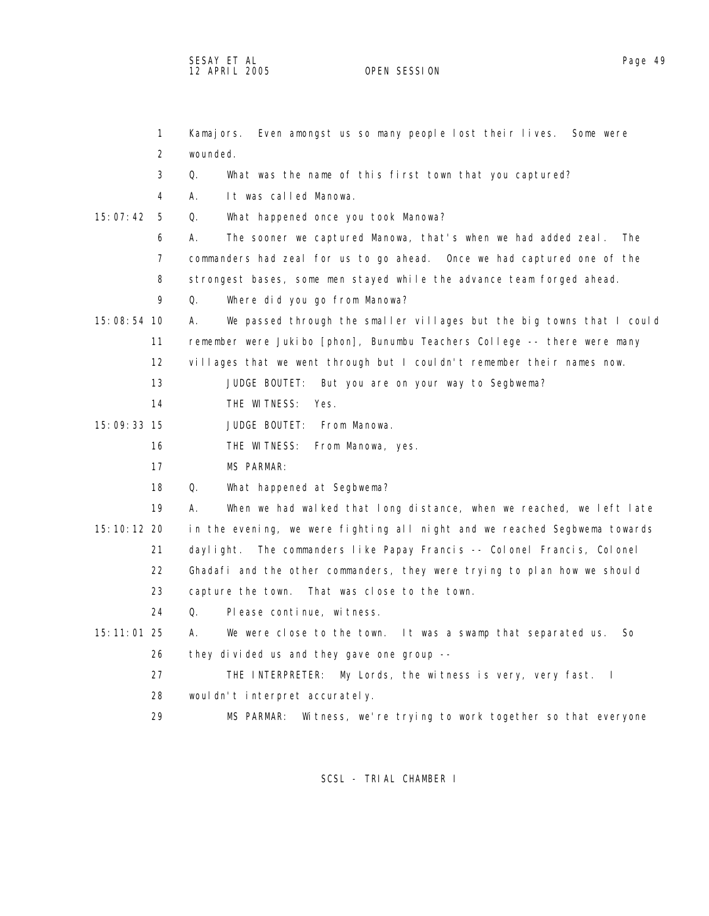SESAY ET AL Page 49 12 APRIL 2005 OPEN SESSION

|               | $\mathbf{1}$ | Kamajors. Even amongst us so many people lost their lives. Some were        |
|---------------|--------------|-----------------------------------------------------------------------------|
|               | 2            | wounded.                                                                    |
|               | 3            | Q.<br>What was the name of this first town that you captured?               |
|               | 4            | А.<br>It was called Manowa.                                                 |
| 15:07:42      | -5           | Q.<br>What happened once you took Manowa?                                   |
|               | 6            | The sooner we captured Manowa, that's when we had added zeal. The<br>А.     |
|               | 7            | commanders had zeal for us to go ahead. Once we had captured one of the     |
|               | 8            | strongest bases, some men stayed while the advance team forged ahead.       |
|               | 9            | Where did you go from Manowa?<br>Q.                                         |
| 15:08:54 10   |              | We passed through the smaller villages but the big towns that I could<br>А. |
|               | 11           | remember were Jukibo [phon], Bunumbu Teachers College -- there were many    |
|               | 12           | villages that we went through but I couldn't remember their names now.      |
|               | 13           |                                                                             |
|               |              | JUDGE BOUTET: But you are on your way to Segbwema?                          |
|               | 14           | THE WITNESS:<br>Yes.                                                        |
| 15:09:33 15   |              | JUDGE BOUTET: From Manowa.                                                  |
|               | 16           | THE WITNESS: From Manowa, yes.                                              |
|               | 17           | <b>MS PARMAR:</b>                                                           |
|               | 18           | Q.<br>What happened at Segbwema?                                            |
|               | 19           | When we had walked that long distance, when we reached, we left late<br>А.  |
| 15: 10: 12 20 |              | in the evening, we were fighting all night and we reached Segbwema towards  |
|               | 21           | The commanders like Papay Francis -- Colonel Francis, Colonel<br>daylight.  |
|               | 22           | Ghadafi and the other commanders, they were trying to plan how we should    |
|               | 23           | capture the town. That was close to the town.                               |
|               | 24           | Q.<br>Please continue, witness.                                             |
| 15:11:01 25   |              | We were close to the town. It was a swamp that separated us.<br>А.<br>So    |
|               | 26           | they divided us and they gave one group --                                  |
|               | 27           | THE INTERPRETER: My Lords, the witness is very, very fast. I                |
|               | 28           | wouldn't interpret accurately.                                              |
|               | 29           | Witness, we're trying to work together so that everyone<br>MS PARMAR:       |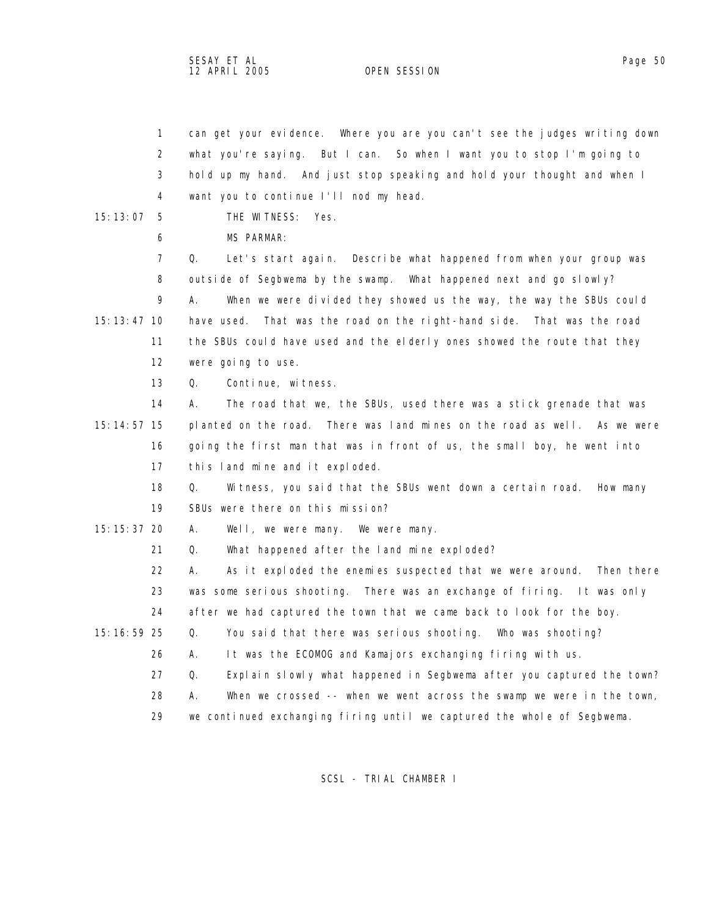SESAY ET AL Page 50 12 APRIL 2005

 1 can get your evidence. Where you are you can't see the judges writing down 2 what you're saying. But I can. So when I want you to stop I'm going to 3 hold up my hand. And just stop speaking and hold your thought and when I

 4 want you to continue I'll nod my head. 15:13:07 5 THE WITNESS: Yes. 6 MS PARMAR: 7 Q. Let's start again. Describe what happened from when your group was 8 outside of Segbwema by the swamp. What happened next and go slowly? 9 A. When we were divided they showed us the way, the way the SBUs could 15:13:47 10 have used. That was the road on the right-hand side. That was the road 11 the SBUs could have used and the elderly ones showed the route that they 12 were going to use. 13 Q. Continue, witness. 14 A. The road that we, the SBUs, used there was a stick grenade that was 15:14:57 15 planted on the road. There was land mines on the road as well. As we were 16 going the first man that was in front of us, the small boy, he went into 17 this land mine and it exploded. 18 Q. Witness, you said that the SBUs went down a certain road. How many 19 SBUs were there on this mission? 15:15:37 20 A. Well, we were many. We were many. 21 Q. What happened after the land mine exploded? 22 A. As it exploded the enemies suspected that we were around. Then there 23 was some serious shooting. There was an exchange of firing. It was only 24 after we had captured the town that we came back to look for the boy. 15:16:59 25 Q. You said that there was serious shooting. Who was shooting? 26 A. It was the ECOMOG and Kamajors exchanging firing with us. 27 Q. Explain slowly what happened in Segbwema after you captured the town? 28 A. When we crossed -- when we went across the swamp we were in the town, 29 we continued exchanging firing until we captured the whole of Segbwema. SCSL - TRIAL CHAMBER I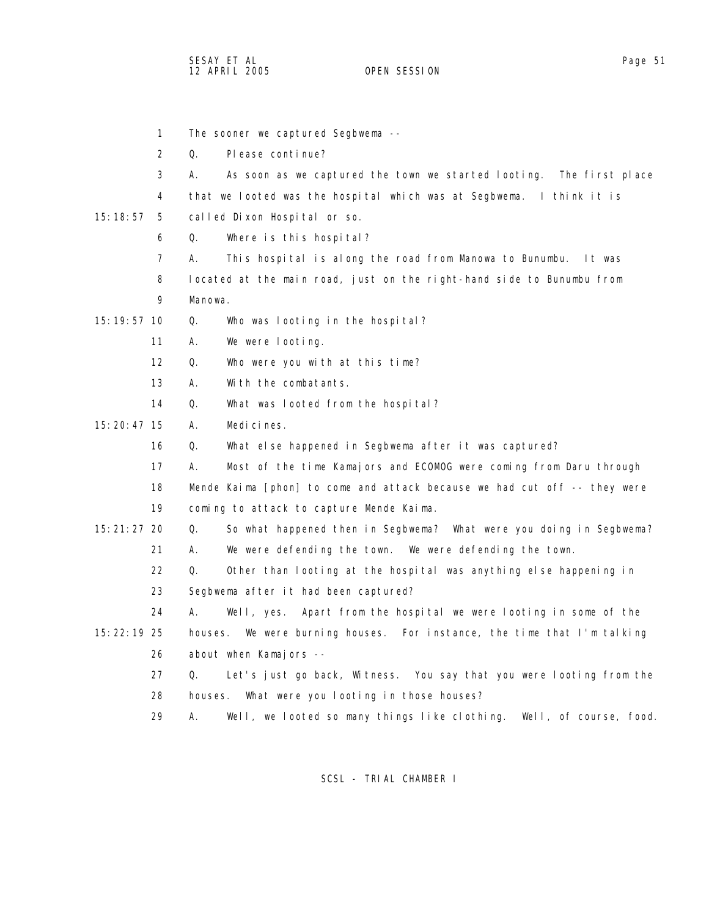SESAY ET AL Page 51 12 APRIL 2005

 1 The sooner we captured Segbwema -- 2 Q. Please continue? 3 A. As soon as we captured the town we started looting. The first place 4 that we looted was the hospital which was at Segbwema. I think it is 15:18:57 5 called Dixon Hospital or so. 6 Q. Where is this hospital? 7 A. This hospital is along the road from Manowa to Bunumbu. It was 8 located at the main road, just on the right-hand side to Bunumbu from 9 Manowa. 15:19:57 10 Q. Who was looting in the hospital? 11 A. We were looting. 12 Q. Who were you with at this time? 13 A. With the combatants. 14 Q. What was looted from the hospital? 15:20:47 15 A. Medicines. 16 Q. What else happened in Segbwema after it was captured? 17 A. Most of the time Kamajors and ECOMOG were coming from Daru through 18 Mende Kaima [phon] to come and attack because we had cut off -- they were 19 coming to attack to capture Mende Kaima. 15:21:27 20 Q. So what happened then in Segbwema? What were you doing in Segbwema? 21 A. We were defending the town. We were defending the town. 22 Q. Other than looting at the hospital was anything else happening in 23 Segbwema after it had been captured? 24 A. Well, yes. Apart from the hospital we were looting in some of the 15:22:19 25 houses. We were burning houses. For instance, the time that I'm talking 26 about when Kamajors -- 27 Q. Let's just go back, Witness. You say that you were looting from the 28 houses. What were you looting in those houses? 29 A. Well, we looted so many things like clothing. Well, of course, food.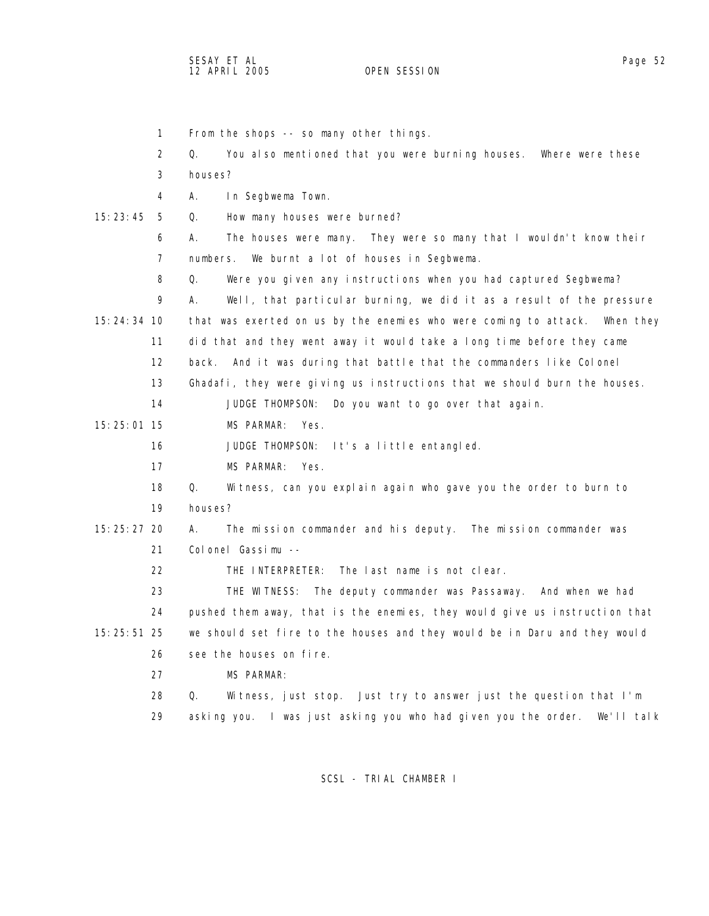SESAY ET AL Page 52 12 APRIL 2005

 1 From the shops -- so many other things. 2 Q. You also mentioned that you were burning houses. Where were these 3 houses? 4 A. In Segbwema Town. 15:23:45 5 Q. How many houses were burned? 6 A. The houses were many. They were so many that I wouldn't know their 7 numbers. We burnt a lot of houses in Segbwema. 8 Q. Were you given any instructions when you had captured Segbwema? 9 A. Well, that particular burning, we did it as a result of the pressure 15:24:34 10 that was exerted on us by the enemies who were coming to attack. When they 11 did that and they went away it would take a long time before they came 12 back. And it was during that battle that the commanders like Colonel 13 Ghadafi, they were giving us instructions that we should burn the houses. 14 JUDGE THOMPSON: Do you want to go over that again. 15:25:01 15 MS PARMAR: Yes. 16 JUDGE THOMPSON: It's a little entangled. 17 MS PARMAR: Yes. 18 Q. Witness, can you explain again who gave you the order to burn to 19 houses? 15:25:27 20 A. The mission commander and his deputy. The mission commander was 21 Colonel Gassimu -- 22 THE INTERPRETER: The last name is not clear. 23 THE WITNESS: The deputy commander was Passaway. And when we had 24 pushed them away, that is the enemies, they would give us instruction that 15:25:51 25 we should set fire to the houses and they would be in Daru and they would 26 see the houses on fire. 27 MS PARMAR: 28 Q. Witness, just stop. Just try to answer just the question that I'm 29 asking you. I was just asking you who had given you the order. We'll talk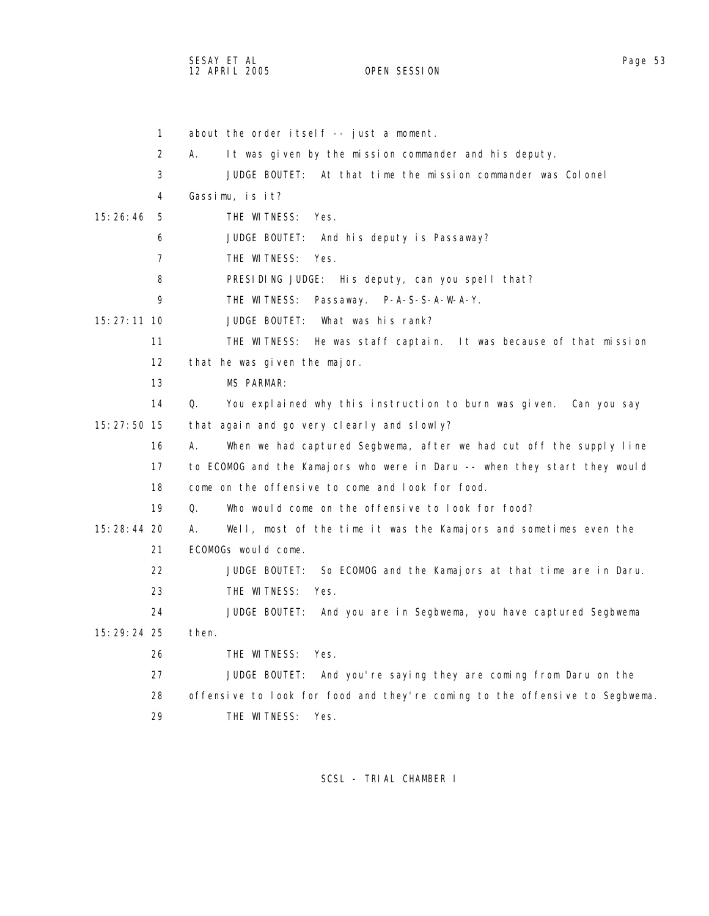SESAY ET AL Page 53 and the set of the set of the set of the set of the set of the set of the set of the set of the set of the set of the set of the set of the set of the set of the set of the set of the set of the set of 12 APRIL 2005 OPEN SESSION

| 1                 | about the order itself -- just a moment.                                    |
|-------------------|-----------------------------------------------------------------------------|
| 2                 | It was given by the mission commander and his deputy.<br>А.                 |
| 3                 | JUDGE BOUTET: At that time the mission commander was Colonel                |
| 4                 | Gassimu, is it?                                                             |
| 15:26:46<br>-5    | THE WITNESS:<br>Yes.                                                        |
| 6                 | JUDGE BOUTET:<br>And his deputy is Passaway?                                |
| 7                 | THE WITNESS:<br>Yes.                                                        |
| 8                 | PRESIDING JUDGE: His deputy, can you spell that?                            |
| 9                 | THE WITNESS:<br>Passaway. P-A-S-S-A-W-A-Y.                                  |
| 15:27:11 10       | What was his rank?<br>JUDGE BOUTET:                                         |
| 11                | THE WITNESS: He was staff captain. It was because of that mission           |
| $12 \overline{ }$ | that he was given the major.                                                |
| 13                | MS PARMAR:                                                                  |
| 14                | Q.<br>You explained why this instruction to burn was given. Can you say     |
| 15: 27: 50 15     | that again and go very clearly and slowly?                                  |
| 16                | When we had captured Segbwema, after we had cut off the supply line<br>Α.   |
| 17                | to ECOMOG and the Kamajors who were in Daru -- when they start they would   |
| 18                | come on the offensive to come and look for food.                            |
| 19                | Who would come on the offensive to look for food?<br>0.                     |
| 15:28:44 20       | Well, most of the time it was the Kamajors and sometimes even the<br>А.     |
| 21                | ECOMOGs would come.                                                         |
| 22                | JUDGE BOUTET: So ECOMOG and the Kamajors at that time are in Daru.          |
| 23                | THE WITNESS:<br>Yes.                                                        |
| 24                | JUDGE BOUTET:<br>And you are in Segbwema, you have captured Segbwema        |
| 15:29:24 25       | then.                                                                       |
| 26                | THE WITNESS:<br>Yes.                                                        |
| 27                | JUDGE BOUTET:<br>And you're saying they are coming from Daru on the         |
| 28                | offensive to look for food and they're coming to the offensive to Segbwema. |
| 29                | THE WITNESS:<br>Yes.                                                        |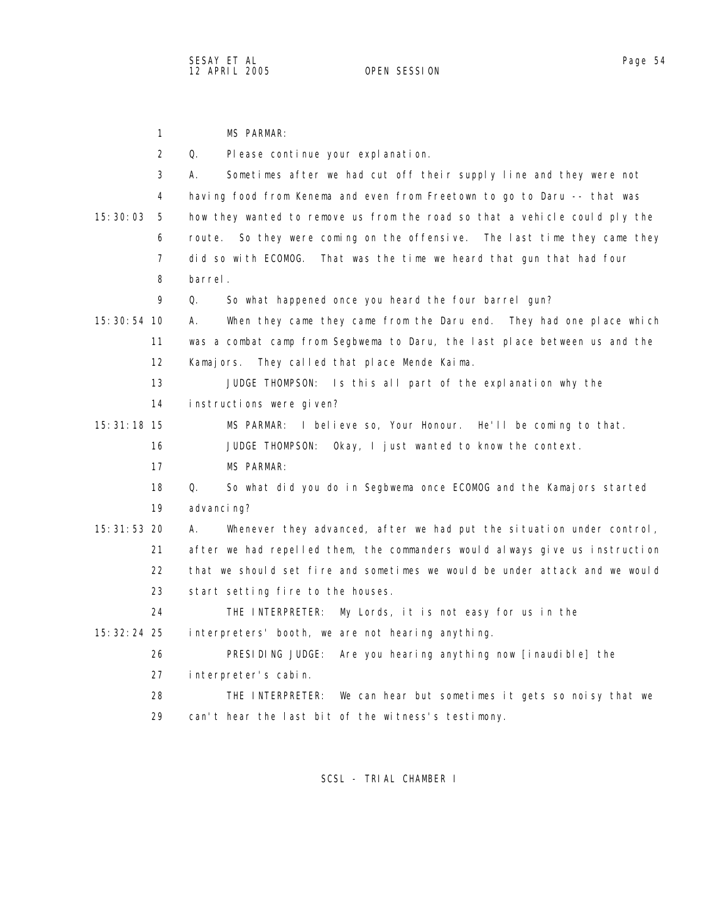1 MS PARMAR: 2 Q. Please continue your explanation. 3 A. Sometimes after we had cut off their supply line and they were not 4 having food from Kenema and even from Freetown to go to Daru -- that was 15:30:03 5 how they wanted to remove us from the road so that a vehicle could ply the 6 route. So they were coming on the offensive. The last time they came they 7 did so with ECOMOG. That was the time we heard that gun that had four 8 barrel. 9 Q. So what happened once you heard the four barrel gun? 15:30:54 10 A. When they came they came from the Daru end. They had one place which 11 was a combat camp from Segbwema to Daru, the last place between us and the 12 Kamajors. They called that place Mende Kaima. 13 JUDGE THOMPSON: Is this all part of the explanation why the 14 instructions were given? 15:31:18 15 MS PARMAR: I believe so, Your Honour. He'll be coming to that. 16 JUDGE THOMPSON: Okay, I just wanted to know the context. 17 MS PARMAR: 18 Q. So what did you do in Segbwema once ECOMOG and the Kamajors started 19 advancing? 15:31:53 20 A. Whenever they advanced, after we had put the situation under control, 21 after we had repelled them, the commanders would always give us instruction 22 that we should set fire and sometimes we would be under attack and we would 23 start setting fire to the houses. 24 THE INTERPRETER: My Lords, it is not easy for us in the 15:32:24 25 interpreters' booth, we are not hearing anything. 26 PRESIDING JUDGE: Are you hearing anything now [inaudible] the 27 interpreter's cabin. 28 THE INTERPRETER: We can hear but sometimes it gets so noisy that we 29 can't hear the last bit of the witness's testimony.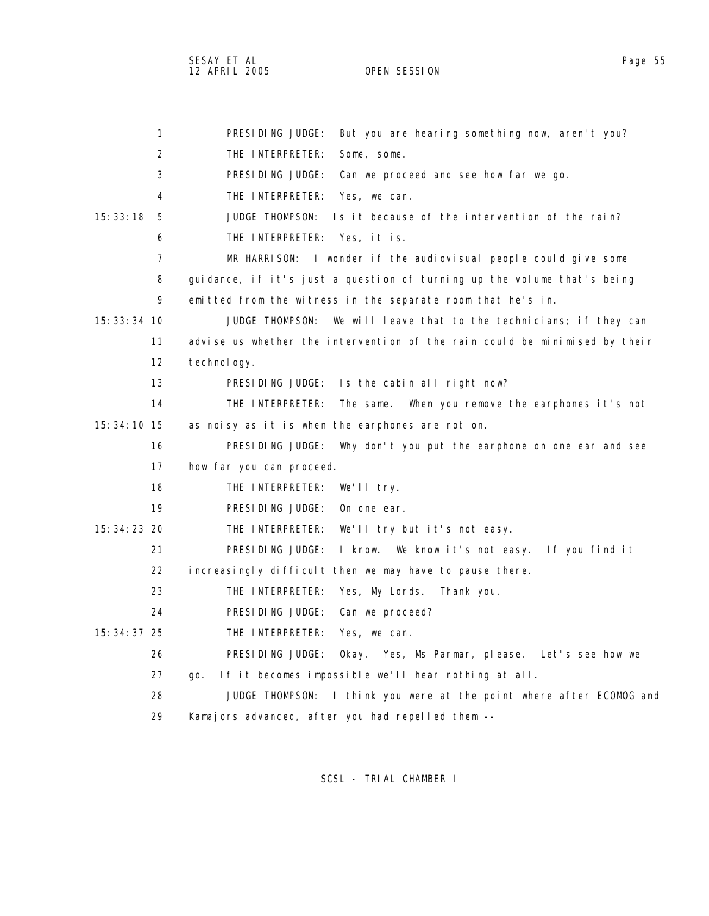SESAY ET AL Page 55 12 APRIL 2005 OPEN SESSION

| $\mathbf{1}$   | PRESIDING JUDGE:<br>But you are hearing something now, aren't you?         |
|----------------|----------------------------------------------------------------------------|
| 2              | THE INTERPRETER:<br>Some, some.                                            |
| 3              | PRESIDING JUDGE:<br>Can we proceed and see how far we go.                  |
| 4              | THE INTERPRETER:<br>Yes, we can.                                           |
| 15:33:18<br>-5 | <b>JUDGE THOMPSON:</b><br>Is it because of the intervention of the rain?   |
| 6              | THE INTERPRETER: Yes, it is.                                               |
| 7              | MR HARRISON: I wonder if the audiovisual people could give some            |
| 8              | guidance, if it's just a question of turning up the volume that's being    |
| 9              | emitted from the witness in the separate room that he's in.                |
| $15:33:34$ 10  | JUDGE THOMPSON:<br>We will leave that to the technicians; if they can      |
| 11             | advise us whether the intervention of the rain could be minimised by their |
| 12             | technol ogy.                                                               |
| 13             | PRESIDING JUDGE:<br>Is the cabin all right now?                            |
| 14             | THE INTERPRETER:<br>The same.<br>When you remove the earphones it's not    |
| 15: 34: 10 15  | as noisy as it is when the earphones are not on.                           |
| 16             | PRESIDING JUDGE:<br>Why don't you put the earphone on one ear and see      |
| 17             | how far you can proceed.                                                   |
| 18             | THE INTERPRETER:<br>We'll try.                                             |
| 19             | PRESIDING JUDGE:<br>On one ear.                                            |
| 15: 34: 23 20  | THE INTERPRETER:<br>We'll try but it's not easy.                           |
| 21             | PRESIDING JUDGE:<br>I know. We know it's not easy. If you find it          |
| 22             | increasingly difficult then we may have to pause there.                    |
| 23             | THE INTERPRETER:<br>Yes, My Lords.<br>Thank you.                           |
| 24             | PRESIDING JUDGE:<br>Can we proceed?                                        |
| 15: 34: 37 25  | THE INTERPRETER:<br>Yes, we can.                                           |
| 26             | PRESIDING JUDGE:<br>Okay. Yes, Ms Parmar, please. Let's see how we         |
| 27             | If it becomes impossible we'll hear nothing at all.<br>go.                 |
| 28             | JUDGE THOMPSON:<br>I think you were at the point where after ECOMOG and    |
| 29             | Kamajors advanced, after you had repelled them --                          |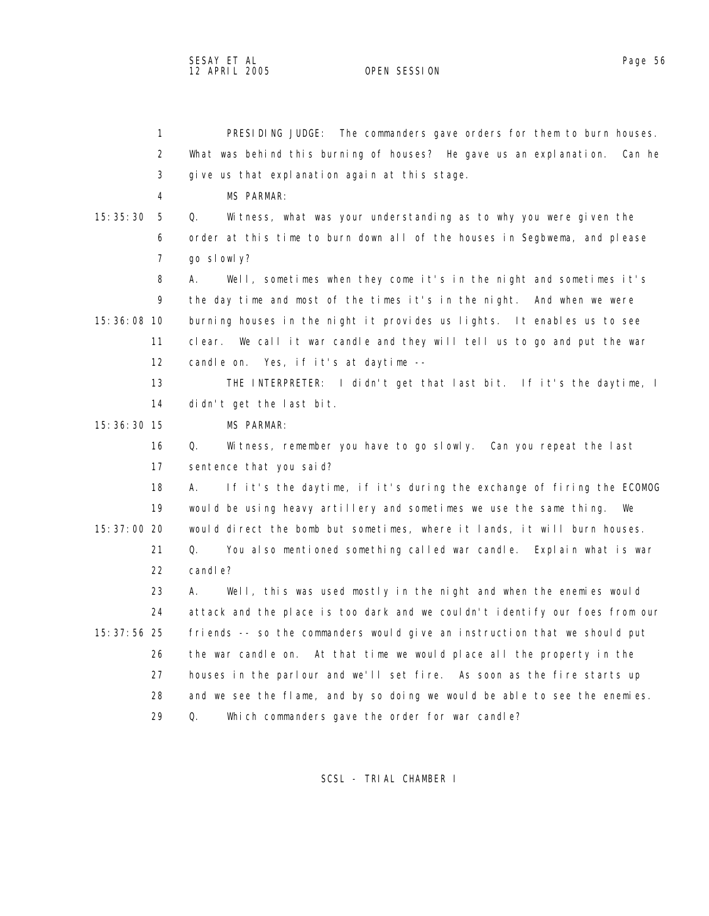1 PRESIDING JUDGE: The commanders gave orders for them to burn houses. 2 What was behind this burning of houses? He gave us an explanation. Can he 3 give us that explanation again at this stage. 4 MS PARMAR: 15:35:30 5 Q. Witness, what was your understanding as to why you were given the 6 order at this time to burn down all of the houses in Segbwema, and please 7 go slowly? 8 A. Well, sometimes when they come it's in the night and sometimes it's 9 the day time and most of the times it's in the night. And when we were 15:36:08 10 burning houses in the night it provides us lights. It enables us to see 11 clear. We call it war candle and they will tell us to go and put the war 12 candle on. Yes, if it's at daytime -- 13 THE INTERPRETER: I didn't get that last bit. If it's the daytime, I 14 didn't get the last bit. 15:36:30 15 MS PARMAR: 16 Q. Witness, remember you have to go slowly. Can you repeat the last 17 sentence that you said? 18 A. If it's the daytime, if it's during the exchange of firing the ECOMOG 19 would be using heavy artillery and sometimes we use the same thing. We 15:37:00 20 would direct the bomb but sometimes, where it lands, it will burn houses. 21 Q. You also mentioned something called war candle. Explain what is war 22 candle? 23 A. Well, this was used mostly in the night and when the enemies would 24 attack and the place is too dark and we couldn't identify our foes from our 15:37:56 25 friends -- so the commanders would give an instruction that we should put 26 the war candle on. At that time we would place all the property in the 27 houses in the parlour and we'll set fire. As soon as the fire starts up 28 and we see the flame, and by so doing we would be able to see the enemies. 29 Q. Which commanders gave the order for war candle?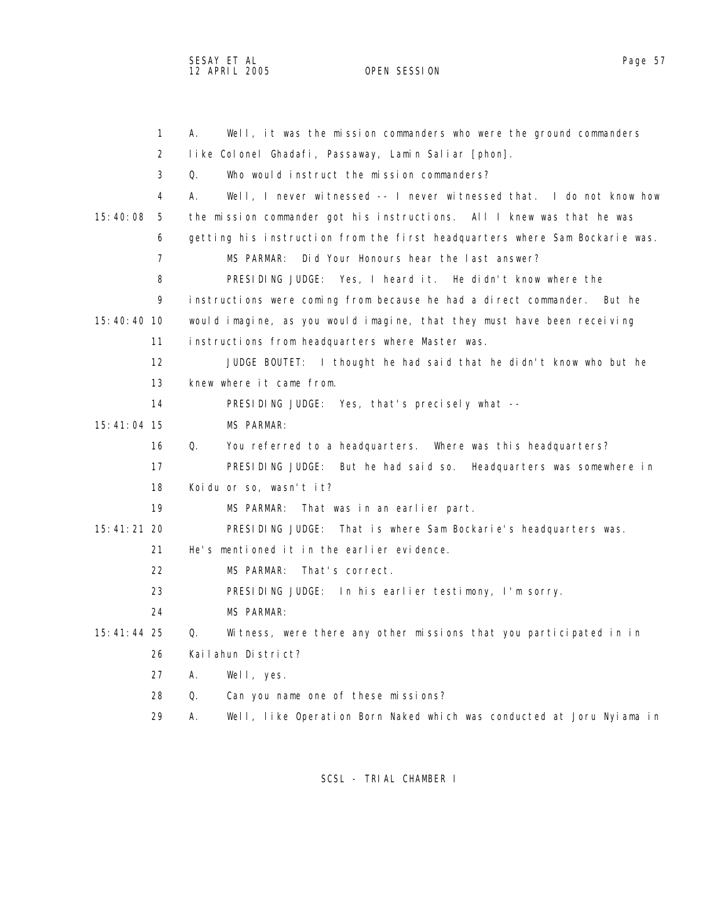SESAY ET AL Page 57 12 APRIL 2005 OPEN SESSION

|                 | 1                 | Well, it was the mission commanders who were the ground commanders<br>А.    |
|-----------------|-------------------|-----------------------------------------------------------------------------|
|                 | 2                 | like Colonel Ghadafi, Passaway, Lamin Saliar [phon].                        |
|                 | 3                 | Who would instruct the mission commanders?<br>Q.                            |
|                 | 4                 | Well, I never witnessed -- I never witnessed that. I do not know how<br>А.  |
| 15:40:08        | -5                | the mission commander got his instructions. All I knew was that he was      |
|                 | 6                 | getting his instruction from the first headquarters where Sam Bockarie was. |
|                 | $\overline{7}$    | Did Your Honours hear the last answer?<br>MS PARMAR:                        |
|                 | 8                 | PRESIDING JUDGE: Yes, I heard it. He didn't know where the                  |
|                 | 9                 | instructions were coming from because he had a direct commander.<br>But he  |
| 15:40:40 10     |                   | would imagine, as you would imagine, that they must have been receiving     |
|                 | 11                | instructions from headquarters where Master was.                            |
|                 | $12 \overline{ }$ | JUDGE BOUTET: I thought he had said that he didn't know who but he          |
|                 | 13                | knew where it came from.                                                    |
|                 | 14                | PRESIDING JUDGE: Yes, that's precisely what --                              |
| 15:41:04 15     |                   | <b>MS PARMAR:</b>                                                           |
|                 | 16                | Q.<br>You referred to a headquarters. Where was this headquarters?          |
|                 | 17                | PRESIDING JUDGE: But he had said so. Headquarters was somewhere in          |
|                 | 18                | Koidu or so, wasn't it?                                                     |
|                 | 19                | MS PARMAR:<br>That was in an earlier part.                                  |
| 15:41:21 20     |                   | PRESIDING JUDGE: That is where Sam Bockarie's headquarters was.             |
|                 | 21                | He's mentioned it in the earlier evidence.                                  |
|                 | 22                | MS PARMAR:<br>That's correct.                                               |
|                 | 23                | PRESIDING JUDGE: In his earlier testimony, I'm sorry.                       |
|                 | 24                | MS PARMAR:                                                                  |
| $15: 41: 44$ 25 |                   | Witness, were there any other missions that you participated in in<br>Q.    |
|                 | 26                | Kailahun District?                                                          |
|                 | 27                | А.<br>Well, yes.                                                            |
|                 | 28                | Q.<br>Can you name one of these missions?                                   |
|                 | 29                | Well, like Operation Born Naked which was conducted at Joru Nyiama in<br>Α. |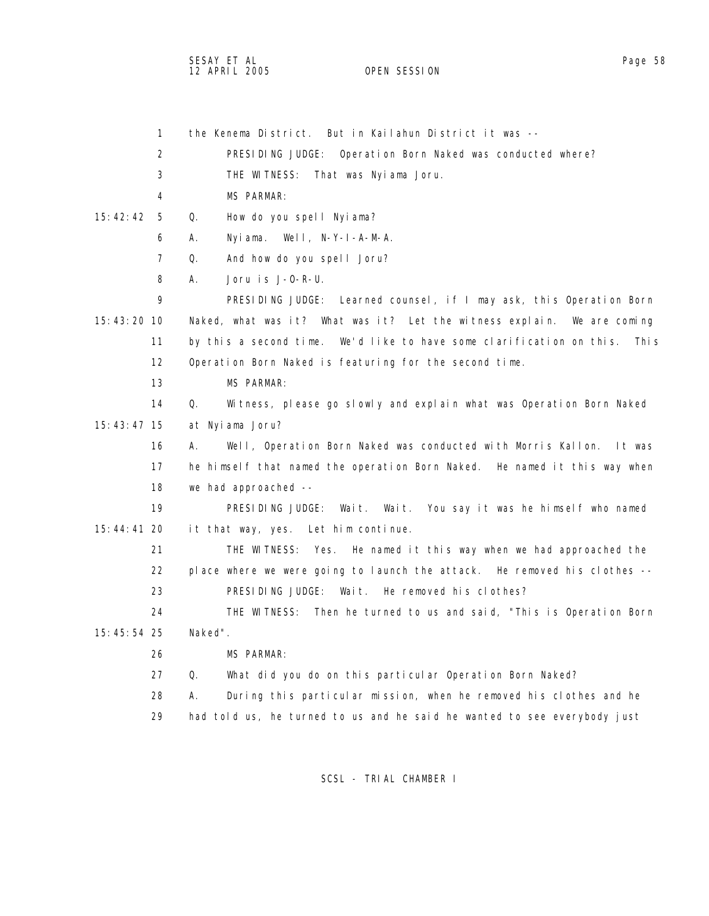SESAY ET AL Page 58 12 APRIL 2005 OPEN SESSION

| $\mathbf{1}$   | the Kenema District. But in Kailahun District it was --                      |
|----------------|------------------------------------------------------------------------------|
| $\overline{2}$ | PRESIDING JUDGE: Operation Born Naked was conducted where?                   |
| 3              | THE WITNESS:<br>That was Nyiama Joru.                                        |
| 4              | <b>MS PARMAR:</b>                                                            |
| 15:42:42<br>-5 | How do you spell Nyiama?<br>Q.                                               |
| 6              | Nyiama. Well, N-Y-I-A-M-A.<br>А.                                             |
| 7              | And how do you spell Joru?<br>Q.                                             |
| 8              | А.<br>Joru is J-0-R-U.                                                       |
| 9              | PRESIDING JUDGE: Learned counsel, if I may ask, this Operation Born          |
| 15:43:20 10    | Naked, what was it? What was it? Let the witness explain. We are coming      |
| 11             | by this a second time. We'd like to have some clarification on this. This    |
| 12             | Operation Born Naked is featuring for the second time.                       |
| 13             | <b>MS PARMAR:</b>                                                            |
| 14             | Q.<br>Witness, please go slowly and explain what was Operation Born Naked    |
| 15:43:47 15    | at Nyiama Joru?                                                              |
| 16             | Well, Operation Born Naked was conducted with Morris Kallon.<br>А.<br>lt was |
| 17             | he himself that named the operation Born Naked. He named it this way when    |
| 18             | we had approached --                                                         |
| 19             | PRESIDING JUDGE: Wait.<br>Wait. You say it was he himself who named          |
| 15:44:41 20    | it that way, yes. Let him continue.                                          |
| 21             | THE WITNESS: Yes. He named it this way when we had approached the            |
| 22             | place where we were going to launch the attack. He removed his clothes --    |
| 23             | PRESIDING JUDGE: Wait. He removed his clothes?                               |
| 24             | THE WITNESS: Then he turned to us and said, "This is Operation Born          |
| $15:45:54$ 25  | Naked".                                                                      |
| 26             | MS PARMAR:                                                                   |
| 27             | Q.<br>What did you do on this particular Operation Born Naked?               |
| 28             | During this particular mission, when he removed his clothes and he<br>Α.     |
| 29             | had told us, he turned to us and he said he wanted to see everybody just     |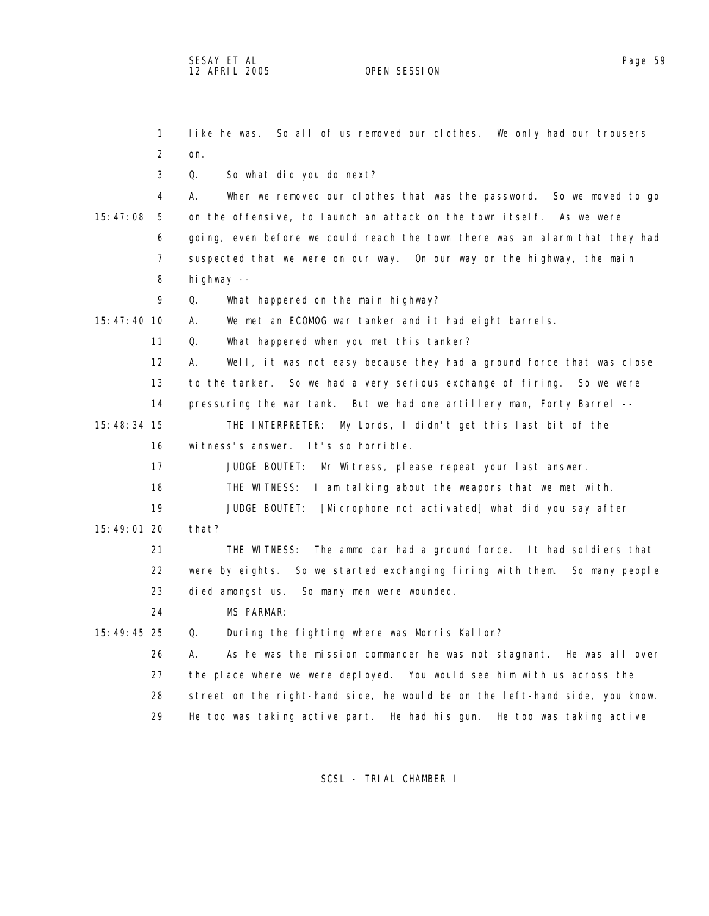1 like he was. So all of us removed our clothes. We only had our trousers 2 on. 3 Q. So what did you do next? 4 A. When we removed our clothes that was the password. So we moved to go 15:47:08 5 on the offensive, to launch an attack on the town itself. As we were 6 going, even before we could reach the town there was an alarm that they had 7 suspected that we were on our way. On our way on the highway, the main 8 highway -- 9 Q. What happened on the main highway? 15:47:40 10 A. We met an ECOMOG war tanker and it had eight barrels. 11 Q. What happened when you met this tanker? 12 A. Well, it was not easy because they had a ground force that was close 13 to the tanker. So we had a very serious exchange of firing. So we were 14 pressuring the war tank. But we had one artillery man, Forty Barrel -- 15:48:34 15 THE INTERPRETER: My Lords, I didn't get this last bit of the 16 witness's answer. It's so horrible. 17 JUDGE BOUTET: Mr Witness, please repeat your last answer. 18 THE WITNESS: I am talking about the weapons that we met with. 19 JUDGE BOUTET: [Microphone not activated] what did you say after 15:49:01 20 that? 21 THE WITNESS: The ammo car had a ground force. It had soldiers that 22 were by eights. So we started exchanging firing with them. So many people 23 died amongst us. So many men were wounded. 24 MS PARMAR: 15:49:45 25 Q. During the fighting where was Morris Kallon? 26 A. As he was the mission commander he was not stagnant. He was all over 27 the place where we were deployed. You would see him with us across the 28 street on the right-hand side, he would be on the left-hand side, you know.

SCSL - TRIAL CHAMBER I

29 He too was taking active part. He had his gun. He too was taking active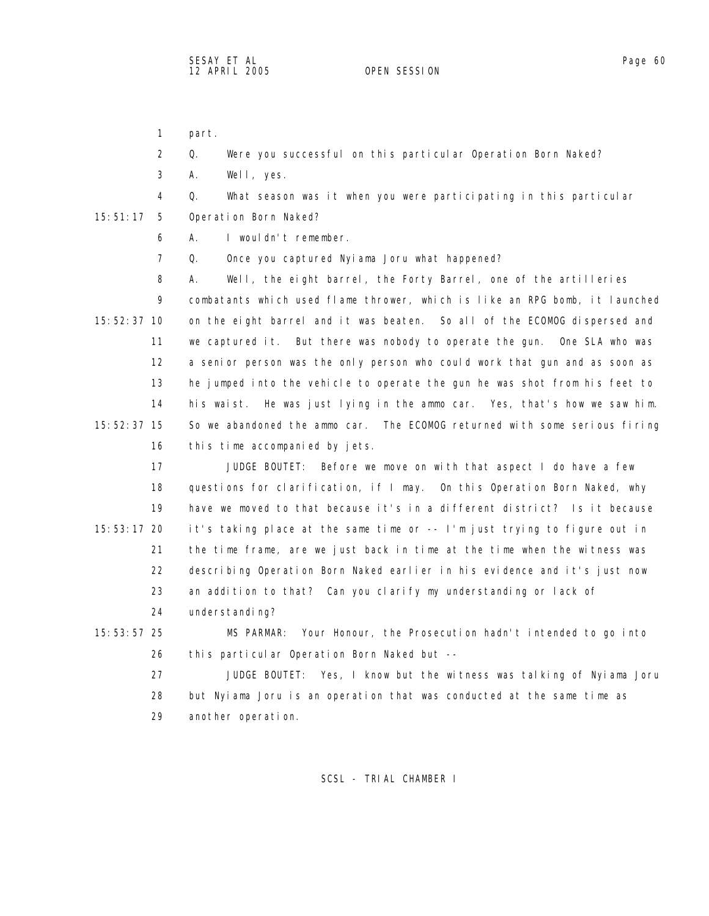1 part.

2 Q. Were you successful on this particular Operation Born Naked?

3 A. Well, yes.

4 Q. What season was it when you were participating in this particular

15:51:17 5 Operation Born Naked?

6 A. I wouldn't remember.

7 Q. Once you captured Nyiama Joru what happened?

 8 A. Well, the eight barrel, the Forty Barrel, one of the artilleries 9 combatants which used flame thrower, which is like an RPG bomb, it launched 15:52:37 10 on the eight barrel and it was beaten. So all of the ECOMOG dispersed and 11 we captured it. But there was nobody to operate the gun. One SLA who was 12 a senior person was the only person who could work that gun and as soon as 13 he jumped into the vehicle to operate the gun he was shot from his feet to 14 his waist. He was just lying in the ammo car. Yes, that's how we saw him. 15:52:37 15 So we abandoned the ammo car. The ECOMOG returned with some serious firing 16 this time accompanied by jets.

 17 JUDGE BOUTET: Before we move on with that aspect I do have a few 18 questions for clarification, if I may. On this Operation Born Naked, why 19 have we moved to that because it's in a different district? Is it because 15:53:17 20 it's taking place at the same time or -- I'm just trying to figure out in 21 the time frame, are we just back in time at the time when the witness was 22 describing Operation Born Naked earlier in his evidence and it's just now 23 an addition to that? Can you clarify my understanding or lack of

24 understanding?

 15:53:57 25 MS PARMAR: Your Honour, the Prosecution hadn't intended to go into 26 this particular Operation Born Naked but --

 27 JUDGE BOUTET: Yes, I know but the witness was talking of Nyiama Joru 28 but Nyiama Joru is an operation that was conducted at the same time as 29 another operation.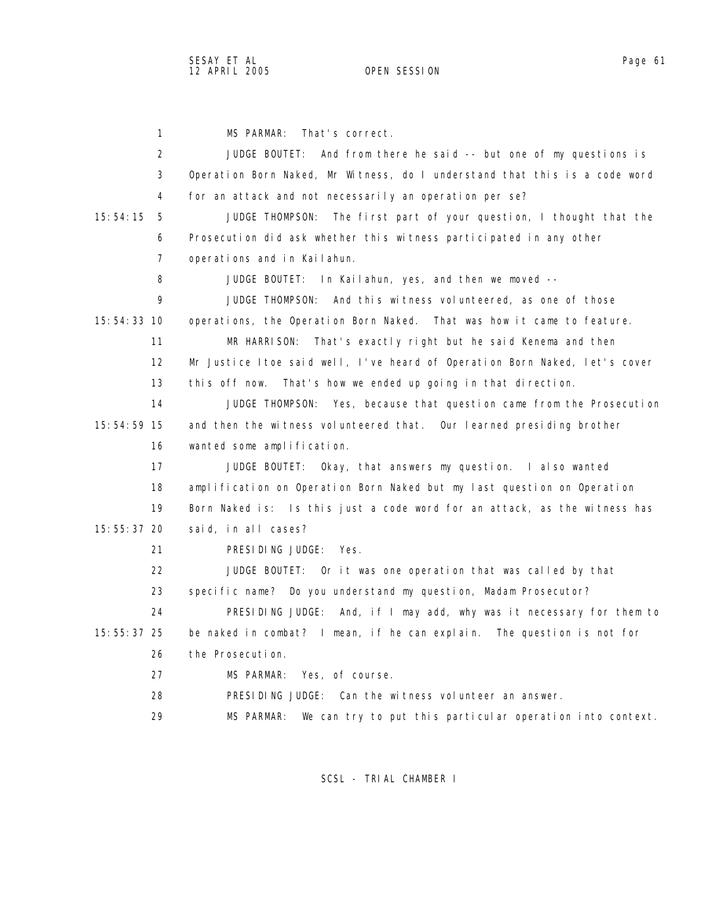1 MS PARMAR: That's correct. 2 JUDGE BOUTET: And from there he said -- but one of my questions is 3 Operation Born Naked, Mr Witness, do I understand that this is a code word 4 for an attack and not necessarily an operation per se? 15:54:15 5 JUDGE THOMPSON: The first part of your question, I thought that the 6 Prosecution did ask whether this witness participated in any other 7 operations and in Kailahun. 8 JUDGE BOUTET: In Kailahun, yes, and then we moved -- 9 JUDGE THOMPSON: And this witness volunteered, as one of those 15:54:33 10 operations, the Operation Born Naked. That was how it came to feature. 11 MR HARRISON: That's exactly right but he said Kenema and then 12 Mr Justice Itoe said well, I've heard of Operation Born Naked, let's cover 13 this off now. That's how we ended up going in that direction. 14 JUDGE THOMPSON: Yes, because that question came from the Prosecution 15:54:59 15 and then the witness volunteered that. Our learned presiding brother 16 wanted some amplification. 17 JUDGE BOUTET: Okay, that answers my question. I also wanted 18 amplification on Operation Born Naked but my last question on Operation 19 Born Naked is: Is this just a code word for an attack, as the witness has 15:55:37 20 said, in all cases? 21 PRESIDING JUDGE: Yes. 22 JUDGE BOUTET: Or it was one operation that was called by that 23 specific name? Do you understand my question, Madam Prosecutor? 24 PRESIDING JUDGE: And, if I may add, why was it necessary for them to 15:55:37 25 be naked in combat? I mean, if he can explain. The question is not for 26 the Prosecution. 27 MS PARMAR: Yes, of course. 28 PRESIDING JUDGE: Can the witness volunteer an answer. 29 MS PARMAR: We can try to put this particular operation into context.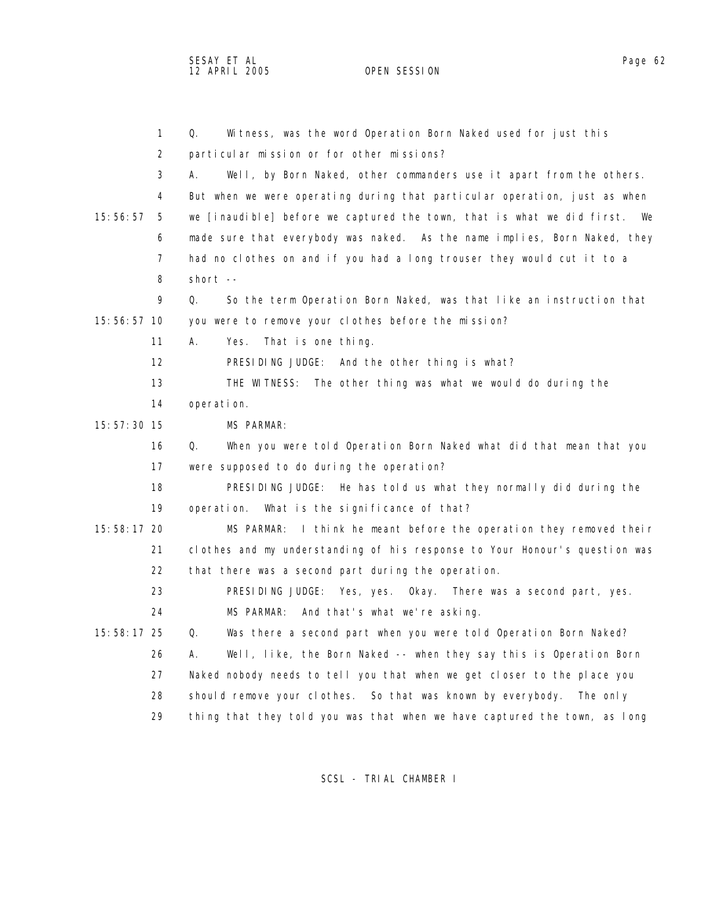SESAY ET AL Page 62 12 APRIL 2005 OPEN SESSION

|             | $\mathbf{1}$      | Witness, was the word Operation Born Naked used for just this<br>Q.        |
|-------------|-------------------|----------------------------------------------------------------------------|
|             | 2                 | particular mission or for other missions?                                  |
|             | 3                 | Well, by Born Naked, other commanders use it apart from the others.<br>А.  |
|             | 4                 | But when we were operating during that particular operation, just as when  |
| 15:56:57    | 5                 | we [inaudible] before we captured the town, that is what we did first. We  |
|             | 6                 | made sure that everybody was naked. As the name implies, Born Naked, they  |
|             | 7                 | had no clothes on and if you had a long trouser they would cut it to a     |
|             | 8                 | short $--$                                                                 |
|             | 9                 | So the term Operation Born Naked, was that like an instruction that<br>Q.  |
| 15:56:57 10 |                   | you were to remove your clothes before the mission?                        |
|             | 11                | That is one thing.<br>А.<br>Yes.                                           |
|             | $12 \overline{ }$ | PRESIDING JUDGE: And the other thing is what?                              |
|             | 13                | THE WITNESS: The other thing was what we would do during the               |
|             | 14                | operation.                                                                 |
| 15:57:30 15 |                   | MS PARMAR:                                                                 |
|             | 16                | Q.<br>When you were told Operation Born Naked what did that mean that you  |
|             | 17                | were supposed to do during the operation?                                  |
|             | 18                | PRESIDING JUDGE: He has told us what they normally did during the          |
|             | 19                | operation. What is the significance of that?                               |
| 15:58:17 20 |                   | I think he meant before the operation they removed their<br>MS PARMAR:     |
|             | 21                | clothes and my understanding of his response to Your Honour's question was |
|             | 22                | that there was a second part during the operation.                         |
|             | 23                | PRESIDING JUDGE:<br>Yes, yes. Okay. There was a second part, yes.          |
|             | 24                | MS PARMAR:<br>And that's what we're asking.                                |
| 15:58:17 25 |                   | Was there a second part when you were told Operation Born Naked?<br>Q.     |
|             | 26                | Well, like, the Born Naked -- when they say this is Operation Born<br>А.   |
|             | 27                | Naked nobody needs to tell you that when we get closer to the place you    |
|             | 28                | should remove your clothes. So that was known by everybody.<br>The only    |
|             | 29                | thing that they told you was that when we have captured the town, as long  |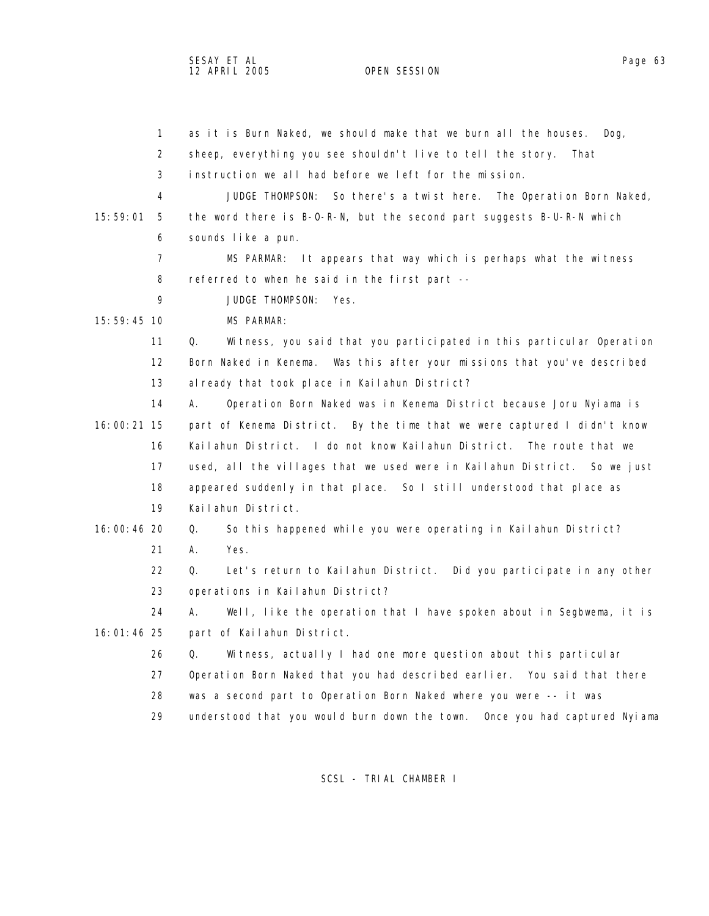SESAY ET AL Page 63 12 APRIL 2005 OPEN SESSION

|             | $\mathbf{1}$ | as it is Burn Naked, we should make that we burn all the houses.<br>$\log$ , |
|-------------|--------------|------------------------------------------------------------------------------|
|             | 2            | sheep, everything you see shouldn't live to tell the story.<br>That          |
|             | 3            | instruction we all had before we left for the mission.                       |
|             | 4            | JUDGE THOMPSON: So there's a twist here. The Operation Born Naked,           |
| 15:59:01    | 5            | the word there is B-O-R-N, but the second part suggests B-U-R-N which        |
|             | 6            | sounds like a pun.                                                           |
|             | 7            | It appears that way which is perhaps what the witness<br>MS PARMAR:          |
|             | 8            | referred to when he said in the first part --                                |
|             | 9            | JUDGE THOMPSON:<br>Yes.                                                      |
| 15:59:45 10 |              | <b>MS PARMAR:</b>                                                            |
|             | 11           | Witness, you said that you participated in this particular Operation<br>Q.   |
|             | 12           | Born Naked in Kenema. Was this after your missions that you've described     |
|             | 13           | al ready that took place in Kailahun District?                               |
|             | 14           | Operation Born Naked was in Kenema District because Joru Nyiama is<br>А.     |
| 16:00:21 15 |              | part of Kenema District. By the time that we were captured I didn't know     |
|             | 16           | Kailahun District. I do not know Kailahun District. The route that we        |
|             | 17           | used, all the villages that we used were in Kailahun District. So we just    |
|             | 18           | appeared suddenly in that place. So I still understood that place as         |
|             | 19           | Kailahun District.                                                           |
| 16:00:46 20 |              | So this happened while you were operating in Kailahun District?<br>Q.        |
|             | 21           | Yes.<br>А.                                                                   |
|             | 22           | Let's return to Kailahun District. Did you participate in any other<br>Q.    |
|             | 23           | operations in Kailahun District?                                             |
|             | 24           | Well, like the operation that I have spoken about in Segbwema, it is<br>А.   |
| 16:01:46 25 |              | part of Kailahun District.                                                   |
|             | 26           | Witness, actually I had one more question about this particular<br>Q.        |
|             | 27           | Operation Born Naked that you had described earlier. You said that there     |
|             | 28           | was a second part to Operation Born Naked where you were -- it was           |
|             | 29           | understood that you would burn down the town. Once you had captured Nyiama   |
|             |              |                                                                              |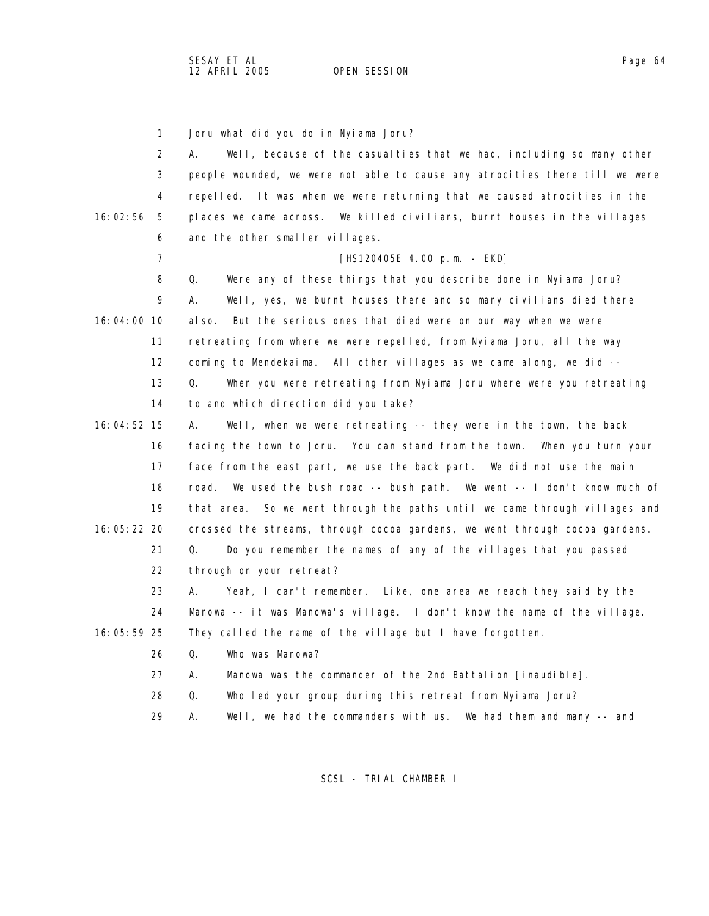1 Joru what did you do in Nyiama Joru?

2 A. Well, because of the casualties that we had, including so many other 3 people wounded, we were not able to cause any atrocities there till we were 4 repelled. It was when we were returning that we caused atrocities in the 16:02:56 5 places we came across. We killed civilians, burnt houses in the villages 6 and the other smaller villages. 7 [HS120405E 4.00 p.m. - EKD] 8 Q. Were any of these things that you describe done in Nyiama Joru? 9 A. Well, yes, we burnt houses there and so many civilians died there 16:04:00 10 also. But the serious ones that died were on our way when we were 11 retreating from where we were repelled, from Nyiama Joru, all the way 12 coming to Mendekaima. All other villages as we came along, we did -- 13 Q. When you were retreating from Nyiama Joru where were you retreating 14 to and which direction did you take? 16:04:52 15 A. Well, when we were retreating -- they were in the town, the back 16 facing the town to Joru. You can stand from the town. When you turn your 17 face from the east part, we use the back part. We did not use the main 18 road. We used the bush road -- bush path. We went -- I don't know much of 19 that area. So we went through the paths until we came through villages and 16:05:22 20 crossed the streams, through cocoa gardens, we went through cocoa gardens. 21 Q. Do you remember the names of any of the villages that you passed 22 through on your retreat? 23 A. Yeah, I can't remember. Like, one area we reach they said by the 24 Manowa -- it was Manowa's village. I don't know the name of the village. 16:05:59 25 They called the name of the village but I have forgotten. 26 Q. Who was Manowa? 27 A. Manowa was the commander of the 2nd Battalion [inaudible]. 28 Q. Who led your group during this retreat from Nyiama Joru? 29 A. Well, we had the commanders with us. We had them and many -- and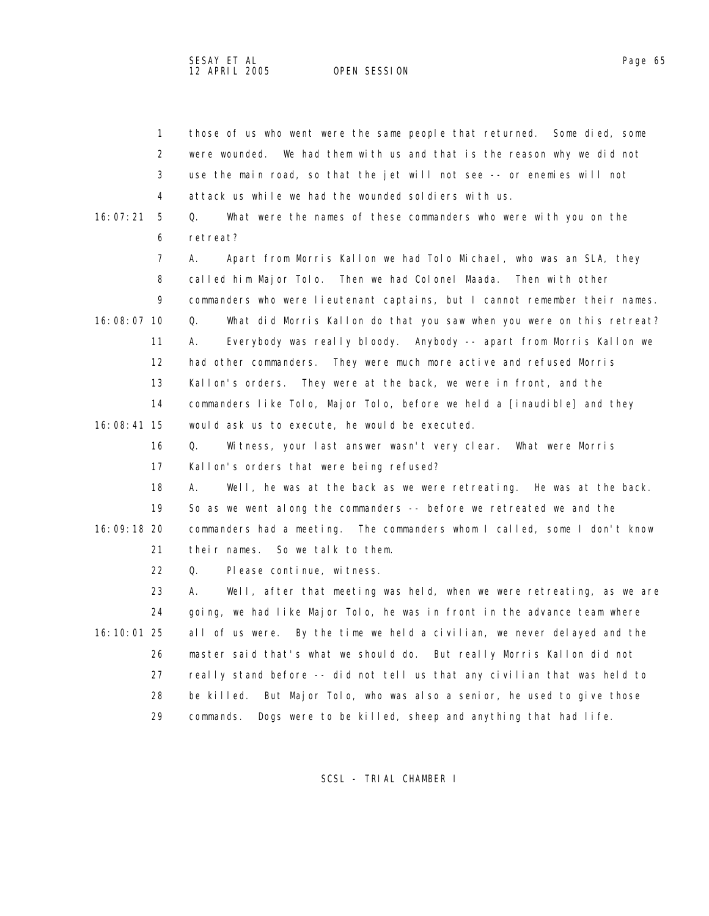|               | $\mathbf{1}$      | those of us who went were the same people that returned. Some died, some    |
|---------------|-------------------|-----------------------------------------------------------------------------|
|               | 2                 | were wounded. We had them with us and that is the reason why we did not     |
|               | 3                 | use the main road, so that the jet will not see -- or enemies will not      |
|               | 4                 | attack us while we had the wounded soldiers with us.                        |
| 16:07:21      | 5                 | What were the names of these commanders who were with you on the<br>Q.      |
|               | 6                 | retreat?                                                                    |
|               | 7                 | Apart from Morris Kallon we had Tolo Michael, who was an SLA, they<br>А.    |
|               | 8                 | called him Major Tolo. Then we had Colonel Maada.<br>Then with other        |
|               | 9                 | commanders who were lieutenant captains, but I cannot remember their names. |
| 16:08:07 10   |                   | What did Morris Kallon do that you saw when you were on this retreat?<br>Q. |
|               | 11                | Everybody was really bloody. Anybody -- apart from Morris Kallon we<br>А.   |
|               | $12 \overline{ }$ | had other commanders. They were much more active and refused Morris         |
|               | 13                | Kallon's orders. They were at the back, we were in front, and the           |
|               | 14                | commanders like Tolo, Major Tolo, before we held a [inaudible] and they     |
| 16:08:41 15   |                   | would ask us to execute, he would be executed.                              |
|               | 16                | Q.<br>Witness, your last answer wasn't very clear. What were Morris         |
|               | 17                | Kallon's orders that were being refused?                                    |
|               | 18                | Well, he was at the back as we were retreating. He was at the back.<br>А.   |
|               | 19                | So as we went along the commanders -- before we retreated we and the        |
| 16:09:18 20   |                   | commanders had a meeting. The commanders whom I called, some I don't know   |
|               | 21                | So we talk to them.<br>their names.                                         |
|               | 22                | Please continue, witness.<br>Q.                                             |
|               | 23                | Well, after that meeting was held, when we were retreating, as we are<br>А. |
|               | 24                | going, we had like Major Tolo, he was in front in the advance team where    |
| 16: 10: 01 25 |                   | all of us were. By the time we held a civilian, we never delayed and the    |
|               | 26                | master said that's what we should do. But really Morris Kallon did not      |
|               | 27                | really stand before -- did not tell us that any civilian that was held to   |
|               | 28                | be killed. But Major Tolo, who was also a senior, he used to give those     |
|               | 29                | Dogs were to be killed, sheep and anything that had life.<br>commands.      |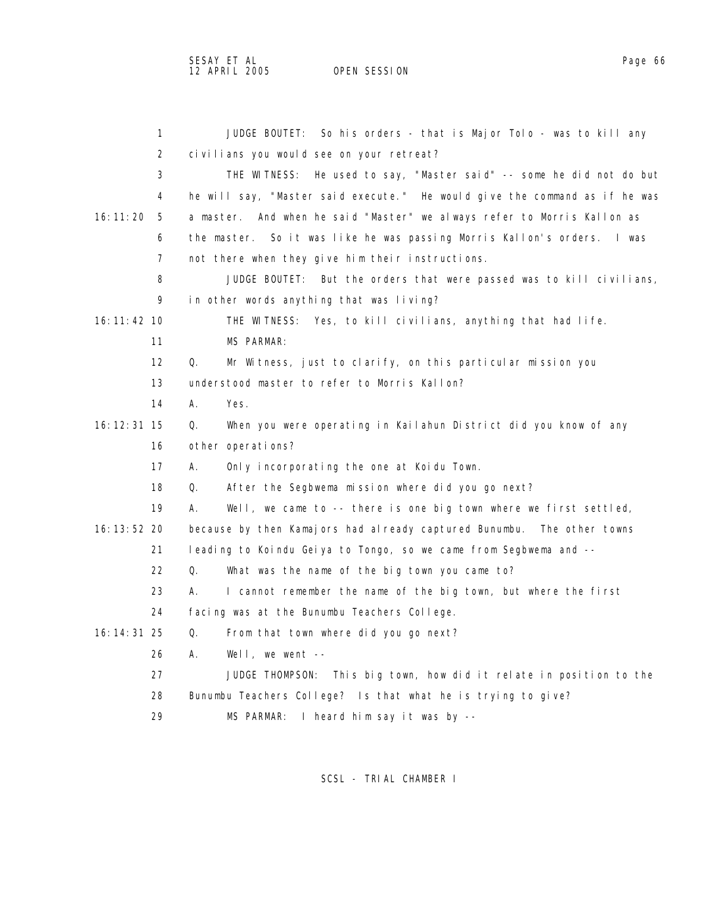OPEN SESSION

 1 JUDGE BOUTET: So his orders - that is Major Tolo - was to kill any 2 civilians you would see on your retreat? 3 THE WITNESS: He used to say, "Master said" -- some he did not do but 4 he will say, "Master said execute." He would give the command as if he was 16:11:20 5 a master. And when he said "Master" we always refer to Morris Kallon as 6 the master. So it was like he was passing Morris Kallon's orders. I was 7 not there when they give him their instructions. 8 JUDGE BOUTET: But the orders that were passed was to kill civilians, 9 in other words anything that was living? 16:11:42 10 THE WITNESS: Yes, to kill civilians, anything that had life. 11 MS PARMAR: 12 Q. Mr Witness, just to clarify, on this particular mission you 13 understood master to refer to Morris Kallon? 14 A. Yes. 16:12:31 15 Q. When you were operating in Kailahun District did you know of any 16 other operations? 17 A. Only incorporating the one at Koidu Town. 18 Q. After the Segbwema mission where did you go next? 19 A. Well, we came to -- there is one big town where we first settled, 16:13:52 20 because by then Kamajors had already captured Bunumbu. The other towns 21 leading to Koindu Geiya to Tongo, so we came from Segbwema and -- 22 Q. What was the name of the big town you came to? 23 A. I cannot remember the name of the big town, but where the first 24 facing was at the Bunumbu Teachers College. 16:14:31 25 Q. From that town where did you go next? 26 A. Well, we went -- 27 JUDGE THOMPSON: This big town, how did it relate in position to the 28 Bunumbu Teachers College? Is that what he is trying to give?

29 MS PARMAR: I heard him say it was by --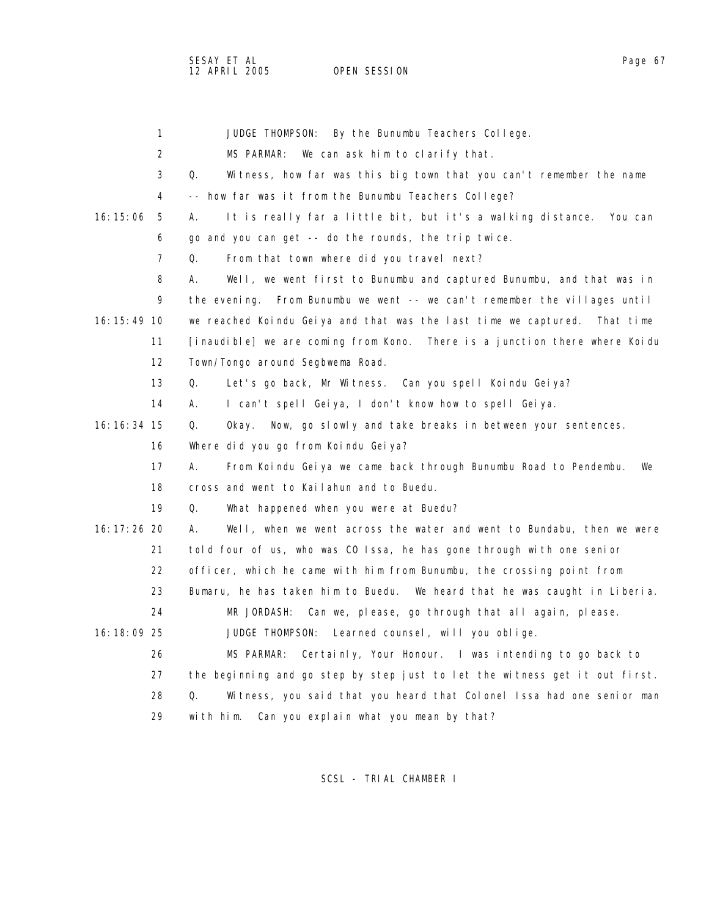|               | $\mathbf{1}$      | JUDGE THOMPSON:<br>By the Bunumbu Teachers College.                           |
|---------------|-------------------|-------------------------------------------------------------------------------|
|               | $\overline{2}$    | MS PARMAR:<br>We can ask him to clarify that.                                 |
|               | 3                 | Q.<br>Witness, how far was this big town that you can't remember the name     |
|               | 4                 | -- how far was it from the Bunumbu Teachers College?                          |
| 16:15:06      | 5                 | It is really far a little bit, but it's a walking distance.<br>You can<br>А.  |
|               | 6                 | go and you can get -- do the rounds, the trip twice.                          |
|               | $\overline{7}$    | Q.<br>From that town where did you travel next?                               |
|               | 8                 | Well, we went first to Bunumbu and captured Bunumbu, and that was in<br>А.    |
|               | 9                 | the evening. From Bunumbu we went -- we can't remember the villages until     |
| 16: 15: 49 10 |                   | we reached Koindu Geiya and that was the last time we captured.<br>That time  |
|               | 11                | [inaudible] we are coming from Kono.<br>There is a junction there where Koidu |
|               | $12 \overline{ }$ | Town/Tongo around Segbwema Road.                                              |
|               | 13                | Q.<br>Let's go back, Mr Witness. Can you spell Koindu Geiya?                  |
|               | 14                | I can't spell Geiya, I don't know how to spell Geiya.<br>А.                   |
| 16: 16: 34 15 |                   | Q.<br>Now, go slowly and take breaks in between your sentences.<br>Okay.      |
|               | 16                | Where did you go from Koindu Geiya?                                           |
|               | 17                | А.<br>From Koindu Geiya we came back through Bunumbu Road to Pendembu.<br>We  |
|               | 18                | cross and went to Kailahun and to Buedu.                                      |
|               | 19                | Q.<br>What happened when you were at Buedu?                                   |
| 16: 17: 26 20 |                   | А.<br>Well, when we went across the water and went to Bundabu, then we were   |
|               | 21                | told four of us, who was CO Issa, he has gone through with one senior         |
|               | 22                | officer, which he came with him from Bunumbu, the crossing point from         |
|               | 23                | Bumaru, he has taken him to Buedu. We heard that he was caught in Liberia.    |
|               | 24                | MR JORDASH: Can we, please, go through that all again, please.                |
| 16:18:09 25   |                   | JUDGE THOMPSON:<br>Learned counsel, will you oblige.                          |
|               | 26                | MS PARMAR:<br>Certainly, Your Honour. I was intending to go back to           |
|               | 27                | the beginning and go step by step just to let the witness get it out first.   |
|               | 28                | Witness, you said that you heard that Colonel Issa had one senior man<br>Q.   |
|               | 29                | Can you explain what you mean by that?<br>with him.                           |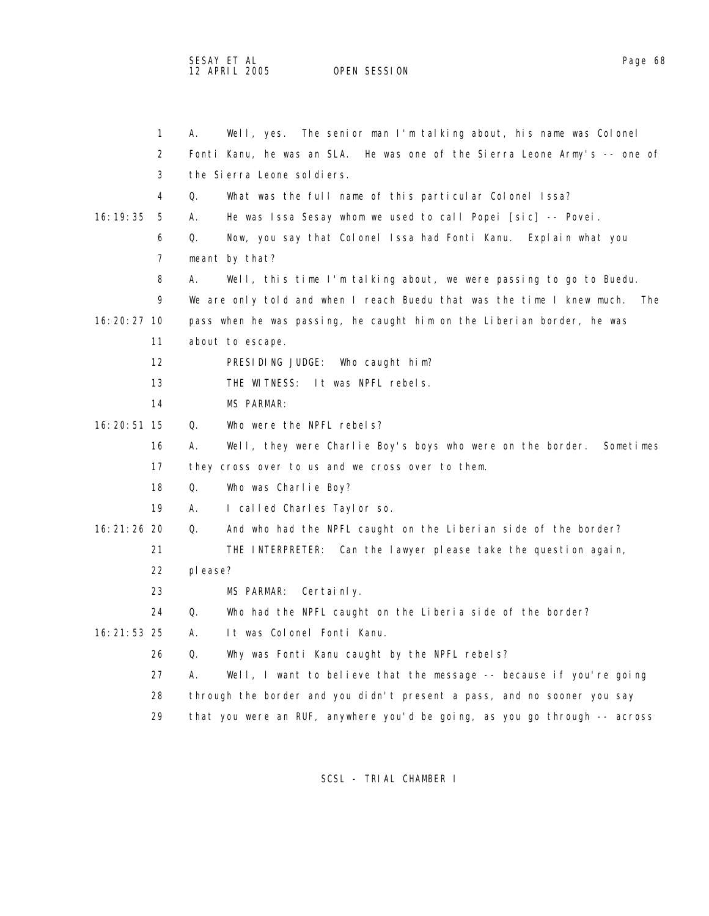SESAY ET AL Page 68 12 APRIL 2005 OPEN SESSION

|                 | 1  | А.      | Well, yes. The senior man I'm talking about, his name was Colonel          |
|-----------------|----|---------|----------------------------------------------------------------------------|
|                 | 2  |         | Fonti Kanu, he was an SLA. He was one of the Sierra Leone Army's -- one of |
|                 | 3  |         | the Sierra Leone sol diers.                                                |
|                 | 4  | Q.      | What was the full name of this particular Colonel Issa?                    |
| 16: 19: 35      | 5  | А.      | He was Issa Sesay whom we used to call Popei [sic] -- Povei.               |
|                 | 6  | Q.      | Now, you say that Colonel Issa had Fonti Kanu. Explain what you            |
|                 | 7  |         | meant by that?                                                             |
|                 | 8  | А.      | Well, this time I'm talking about, we were passing to go to Buedu.         |
|                 | 9  |         | We are only told and when I reach Buedu that was the time I knew much. The |
| 16: 20: 27 10   |    |         | pass when he was passing, he caught him on the Liberian border, he was     |
|                 | 11 |         | about to escape.                                                           |
|                 | 12 |         | PRESIDING JUDGE: Who caught him?                                           |
|                 | 13 |         | THE WITNESS: It was NPFL rebels.                                           |
|                 | 14 |         | <b>MS PARMAR:</b>                                                          |
| 16: 20: 51 15   |    | Q.      | Who were the NPFL rebels?                                                  |
|                 | 16 | А.      | Well, they were Charlie Boy's boys who were on the border.<br>Sometimes    |
|                 | 17 |         | they cross over to us and we cross over to them.                           |
|                 | 18 | Q.      | Who was Charlie Boy?                                                       |
|                 | 19 | А.      | I called Charles Taylor so.                                                |
| 16: 21: 26 20   |    | Q.      | And who had the NPFL caught on the Liberian side of the border?            |
|                 | 21 |         | THE INTERPRETER: Can the lawyer please take the question again,            |
|                 | 22 | please? |                                                                            |
|                 | 23 |         | MS PARMAR:<br>Certainly.                                                   |
|                 | 24 | Q.      | Who had the NPFL caught on the Liberia side of the border?                 |
| $16: 21: 53$ 25 |    | Α.      | It was Colonel Fonti Kanu.                                                 |
|                 | 26 | Q.      | Why was Fonti Kanu caught by the NPFL rebels?                              |
|                 | 27 | А.      | Well, I want to believe that the message -- because if you're going        |
|                 | 28 |         | through the border and you didn't present a pass, and no sooner you say    |
|                 | 29 |         | that you were an RUF, anywhere you'd be going, as you go through -- across |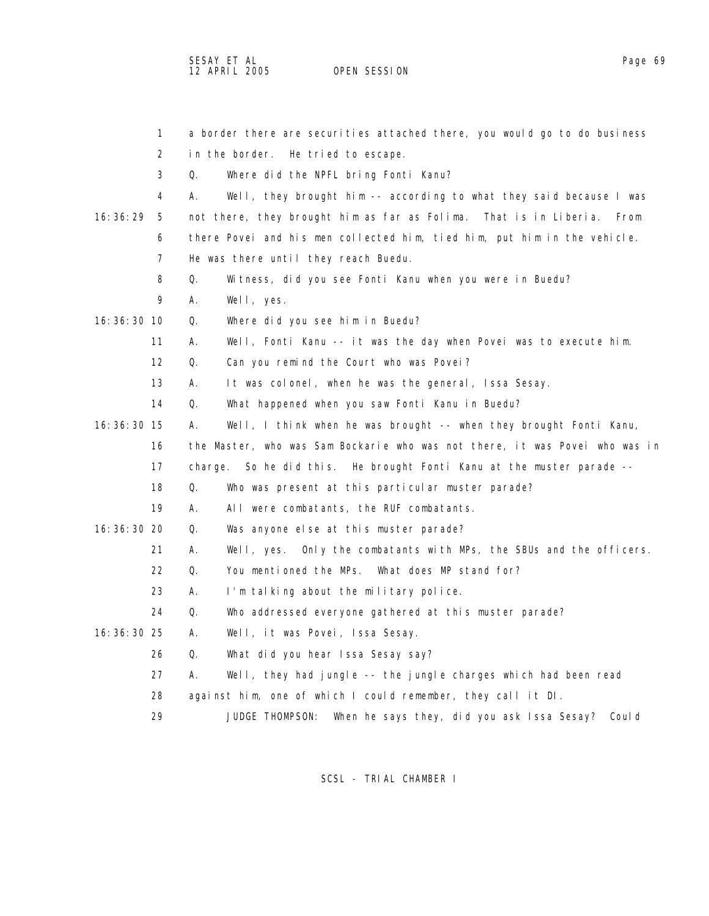SESAY ET AL Page 69 12 APRIL 2005 OPEN SESSION

|               | $\mathbf{1}$      | a border there are securities attached there, you would go to do business    |
|---------------|-------------------|------------------------------------------------------------------------------|
|               | 2                 | in the border.<br>He tried to escape.                                        |
|               | 3                 | Where did the NPFL bring Fonti Kanu?<br>Q.                                   |
|               | 4                 | А.<br>Well, they brought him -- according to what they said because I was    |
| 16:36:29      | - 5               | not there, they brought him as far as Folima. That is in Liberia.<br>From    |
|               | 6                 | there Povei and his men collected him, tied him, put him in the vehicle.     |
|               | 7                 | He was there until they reach Buedu.                                         |
|               | 8                 | Q.<br>Witness, did you see Fonti Kanu when you were in Buedu?                |
|               | 9                 | Well, yes.<br>А.                                                             |
| 16: 36: 30 10 |                   | Q.<br>Where did you see him in Buedu?                                        |
|               | 11                | А.<br>Well, Fonti Kanu -- it was the day when Povei was to execute him.      |
|               | $12 \overline{ }$ | Q.<br>Can you remind the Court who was Povei?                                |
|               | 13                | А.<br>It was colonel, when he was the general, Issa Sesay.                   |
|               | 14                | Q.<br>What happened when you saw Fonti Kanu in Buedu?                        |
| $16:36:30$ 15 |                   | Well, I think when he was brought -- when they brought Fonti Kanu,<br>А.     |
|               | 16                | the Master, who was Sam Bockarie who was not there, it was Povei who was in  |
|               | 17                | charge. So he did this. He brought Fonti Kanu at the muster parade --        |
|               | 18                | Q.<br>Who was present at this particular muster parade?                      |
|               | 19                | А.<br>All were combatants, the RUF combatants.                               |
| 16: 36: 30 20 |                   | Q.<br>Was anyone else at this muster parade?                                 |
|               | 21                | А.<br>Only the combatants with MPs, the SBUs and the officers.<br>Well, yes. |
|               | 22                | Q.<br>You mentioned the MPs. What does MP stand for?                         |
|               | 23                | А.<br>I'm talking about the military police.                                 |
|               | 24                | Q.<br>Who addressed everyone gathered at this muster parade?                 |
| 16: 36: 30 25 |                   | Well, it was Povei, Issa Sesay.<br>А.                                        |
|               | 26                | Q.<br>What did you hear Issa Sesay say?                                      |
|               | 27                | А.<br>Well, they had jungle -- the jungle charges which had been read        |
|               | 28                | against him, one of which I could remember, they call it DI.                 |
|               | 29                | JUDGE THOMPSON:<br>When he says they, did you ask Issa Sesay? Could          |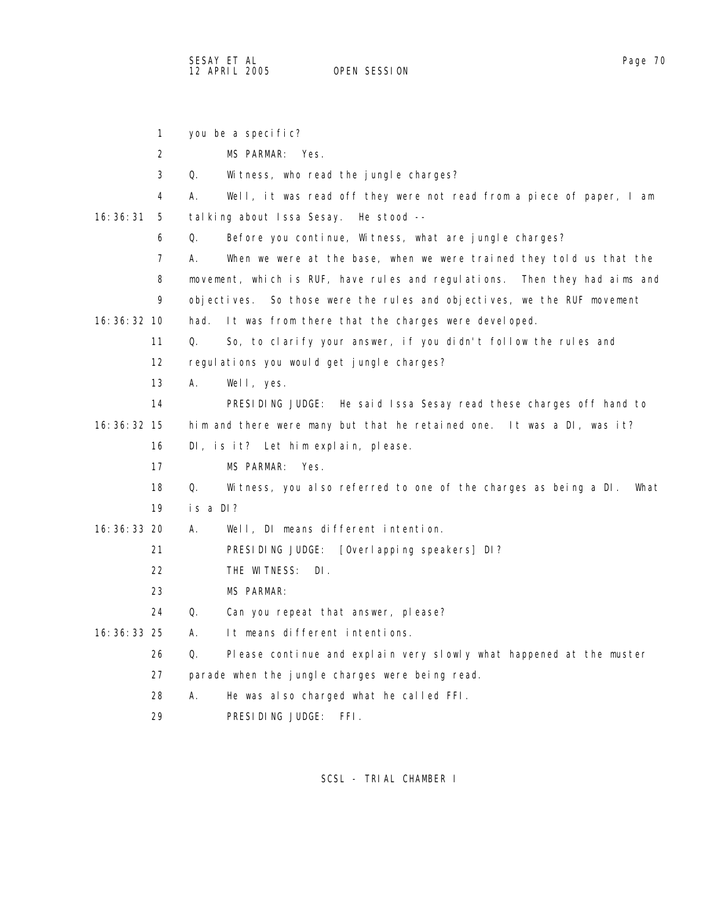1 you be a specific? 2 MS PARMAR: Yes. 3 Q. Witness, who read the jungle charges? 4 A. Well, it was read off they were not read from a piece of paper, I am 16:36:31 5 talking about Issa Sesay. He stood -- 6 Q. Before you continue, Witness, what are jungle charges? 7 A. When we were at the base, when we were trained they told us that the 8 movement, which is RUF, have rules and regulations. Then they had aims and 9 objectives. So those were the rules and objectives, we the RUF movement 16:36:32 10 had. It was from there that the charges were developed. 11 Q. So, to clarify your answer, if you didn't follow the rules and 12 regulations you would get jungle charges? 13 A. Well, yes. 14 PRESIDING JUDGE: He said Issa Sesay read these charges off hand to 16:36:32 15 him and there were many but that he retained one. It was a DI, was it? 16 DI, is it? Let him explain, please. 17 MS PARMAR: Yes. 18 Q. Witness, you also referred to one of the charges as being a DI. What 19 is a DI? 16:36:33 20 A. Well, DI means different intention. 21 PRESIDING JUDGE: [Overlapping speakers] DI? 22 THE WITNESS: DI. 23 MS PARMAR: 24 Q. Can you repeat that answer, please? 16:36:33 25 A. It means different intentions. 26 Q. Please continue and explain very slowly what happened at the muster 27 parade when the jungle charges were being read. 28 A. He was also charged what he called FFI.

29 PRESIDING JUDGE: FFI.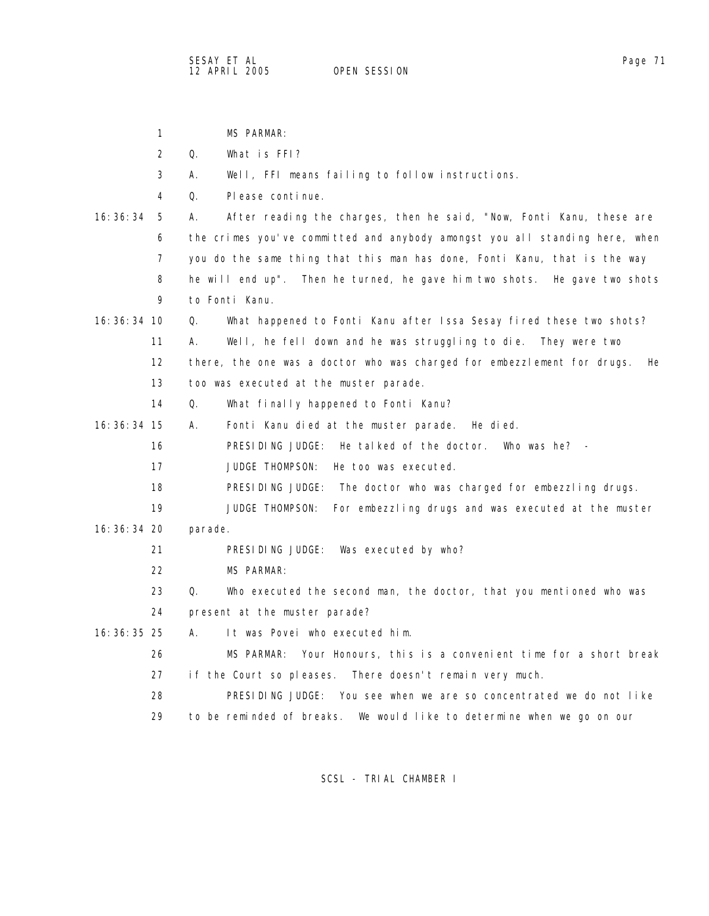|               | $\mathbf{1}$ |         | <b>MS PARMAR:</b>                                                               |
|---------------|--------------|---------|---------------------------------------------------------------------------------|
|               | 2            | Q.      | What is FFI?                                                                    |
|               | 3            | А.      | Well, FFI means failing to follow instructions.                                 |
|               | 4            | 0.      | Please continue.                                                                |
| 16:36:34      | 5            | А.      | After reading the charges, then he said, "Now, Fonti Kanu, these are            |
|               | 6            |         | the crimes you've committed and anybody amongst you all standing here, when     |
|               | 7            |         | you do the same thing that this man has done, Fonti Kanu, that is the way       |
|               | 8            |         | he will end up".<br>Then he turned, he gave him two shots. He gave two shots    |
|               | 9            |         | to Fonti Kanu.                                                                  |
| $16:36:34$ 10 |              | Q.      | What happened to Fonti Kanu after Issa Sesay fired these two shots?             |
|               | 11           | А.      | Well, he fell down and he was struggling to die.<br>They were two               |
|               | 12           |         | there, the one was a doctor who was charged for embezzlement for drugs.<br>He l |
|               | 13           |         | too was executed at the muster parade.                                          |
|               | 14           | Q.      | What finally happened to Fonti Kanu?                                            |
| $16:36:34$ 15 |              | А.      | Fonti Kanu died at the muster parade.<br>He died.                               |
|               | 16           |         | PRESIDING JUDGE:<br>He talked of the doctor.<br>Who was he? $-$                 |
|               | 17           |         | <b>JUDGE THOMPSON:</b><br>He too was executed.                                  |
|               | 18           |         | PRESIDING JUDGE: The doctor who was charged for embezzling drugs.               |
|               | 19           |         | <b>JUDGE THOMPSON:</b><br>For embezzling drugs and was executed at the muster   |
| 16: 36: 34 20 |              | parade. |                                                                                 |
|               | 21           |         | PRESIDING JUDGE:<br>Was executed by who?                                        |
|               | 22           |         | MS PARMAR:                                                                      |
|               | 23           | Q.      | Who executed the second man, the doctor, that you mentioned who was             |
|               | 24           |         | present at the muster parade?                                                   |
| 16: 36: 35 25 |              | А.      | It was Povei who executed him.                                                  |
|               | 26           |         | Your Honours, this is a convenient time for a short break<br>MS PARMAR:         |
|               | 27           |         | if the Court so pleases. There doesn't remain very much.                        |
|               | 28           |         | PRESIDING JUDGE: You see when we are so concentrated we do not like             |
|               | 29           |         | to be reminded of breaks.<br>We would like to determine when we go on our       |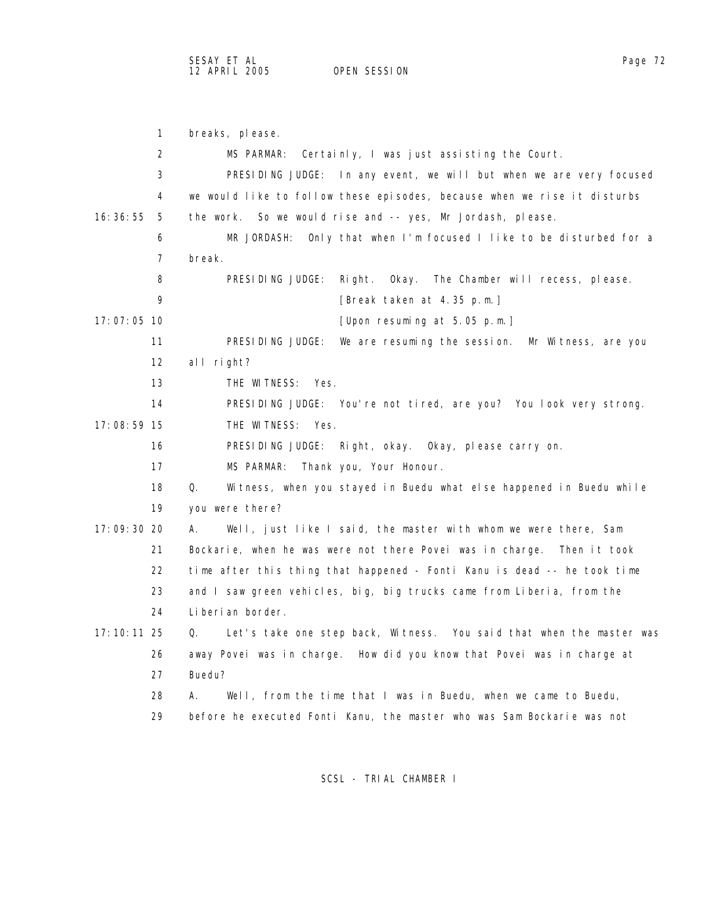1 breaks, please. 2 MS PARMAR: Certainly, I was just assisting the Court. 3 PRESIDING JUDGE: In any event, we will but when we are very focused 4 we would like to follow these episodes, because when we rise it disturbs 16:36:55 5 the work. So we would rise and -- yes, Mr Jordash, please. 6 MR JORDASH: Only that when I'm focused I like to be disturbed for a 7 break. 8 PRESIDING JUDGE: Right. Okay. The Chamber will recess, please. 9 [Break taken at 4.35 p.m.] 17:07:05 10 [Upon resuming at 5.05 p.m.] 11 PRESIDING JUDGE: We are resuming the session. Mr Witness, are you 12 all right? 13 THE WITNESS: Yes. 14 PRESIDING JUDGE: You're not tired, are you? You look very strong. 17:08:59 15 THE WITNESS: Yes. 16 PRESIDING JUDGE: Right, okay. Okay, please carry on. 17 MS PARMAR: Thank you, Your Honour. 18 Q. Witness, when you stayed in Buedu what else happened in Buedu while 19 you were there? 17:09:30 20 A. Well, just like I said, the master with whom we were there, Sam 21 Bockarie, when he was were not there Povei was in charge. Then it took 22 time after this thing that happened - Fonti Kanu is dead -- he took time 23 and I saw green vehicles, big, big trucks came from Liberia, from the 24 Liberian border. 17:10:11 25 Q. Let's take one step back, Witness. You said that when the master was 26 away Povei was in charge. How did you know that Povei was in charge at 27 Buedu? 28 A. Well, from the time that I was in Buedu, when we came to Buedu, 29 before he executed Fonti Kanu, the master who was Sam Bockarie was not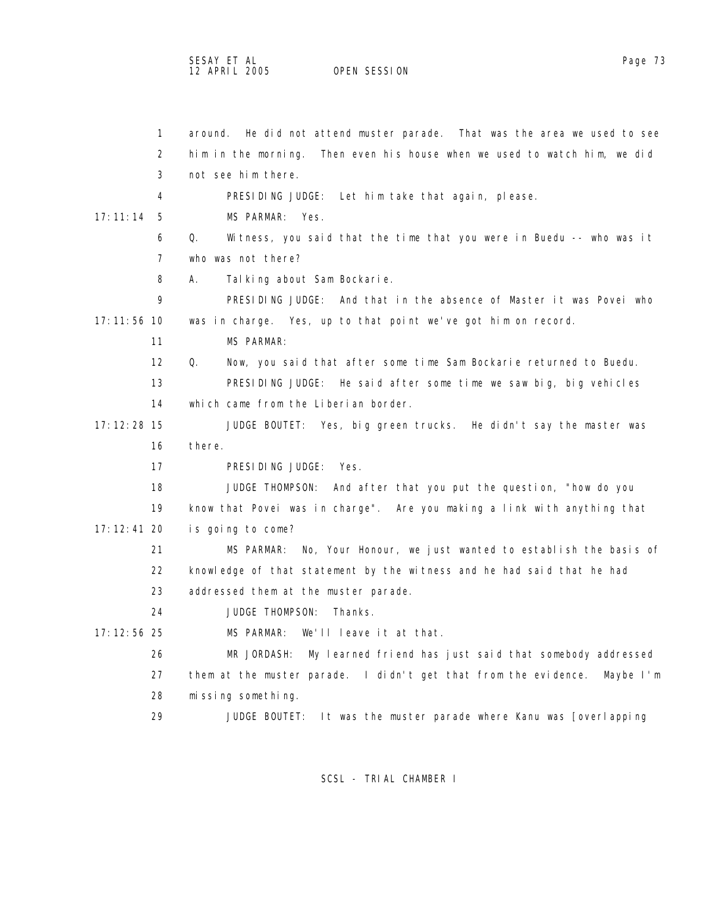| $\mathbf{1}$  | around. He did not attend muster parade. That was the area we used to see    |
|---------------|------------------------------------------------------------------------------|
| 2             | him in the morning. Then even his house when we used to watch him, we did    |
| 3             | not see him there.                                                           |
| 4             | PRESIDING JUDGE: Let him take that again, please.                            |
| 17:11:14<br>5 | MS PARMAR: Yes.                                                              |
| 6             | Q.<br>Witness, you said that the time that you were in Buedu -- who was it   |
| 7             | who was not there?                                                           |
| 8             | А.<br>Talking about Sam Bockarie.                                            |
| 9             | PRESIDING JUDGE: And that in the absence of Master it was Povei who          |
| 17: 11: 56 10 | was in charge. Yes, up to that point we've got him on record.                |
| 11            | MS PARMAR:                                                                   |
| 12            | Q.<br>Now, you said that after some time Sam Bockarie returned to Buedu.     |
| 13            | PRESIDING JUDGE: He said after some time we saw big, big vehicles            |
| 14            | which came from the Liberian border.                                         |
| $17:12:28$ 15 | JUDGE BOUTET: Yes, big green trucks. He didn't say the master was            |
| 16            | there.                                                                       |
| 17            | PRESIDING JUDGE: Yes.                                                        |
| 18            | JUDGE THOMPSON:<br>And after that you put the question, "how do you          |
| 19            | know that Povei was in charge". Are you making a link with anything that     |
| $17:12:41$ 20 | is going to come?                                                            |
| 21            | No, Your Honour, we just wanted to establish the basis of<br>MS PARMAR:      |
| 22            | knowledge of that statement by the witness and he had said that he had       |
| 23            | addressed them at the muster parade.                                         |
| 24            | <b>JUDGE THOMPSON:</b><br>Thanks.                                            |
| $17:12:56$ 25 | MS PARMAR:<br>We'll leave it at that.                                        |
| 26            | My learned friend has just said that somebody addressed<br>MR JORDASH:       |
| 27            | them at the muster parade. I didn't get that from the evidence.<br>Maybe I'm |
| 28            | missing something.                                                           |
| 29            | It was the muster parade where Kanu was [overlapping<br>JUDGE BOUTET:        |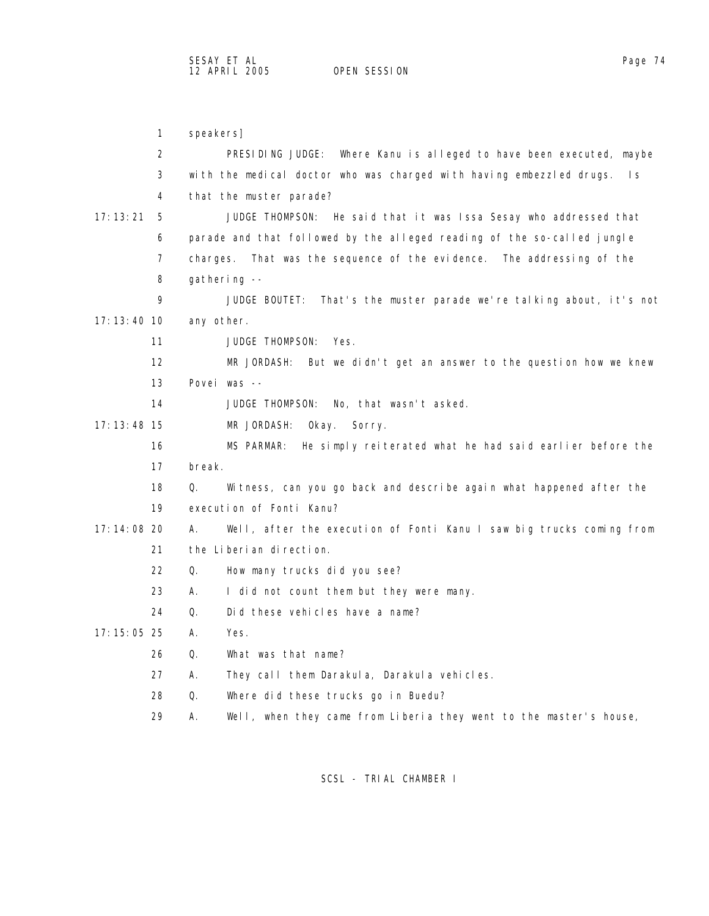1 speakers] 2 PRESIDING JUDGE: Where Kanu is alleged to have been executed, maybe 3 with the medical doctor who was charged with having embezzled drugs. Is 4 that the muster parade? 17:13:21 5 JUDGE THOMPSON: He said that it was Issa Sesay who addressed that 6 parade and that followed by the alleged reading of the so-called jungle 7 charges. That was the sequence of the evidence. The addressing of the 8 gathering -- 9 JUDGE BOUTET: That's the muster parade we're talking about, it's not 17:13:40 10 any other. 11 JUDGE THOMPSON: Yes. 12 MR JORDASH: But we didn't get an answer to the question how we knew 13 Povei was -- 14 JUDGE THOMPSON: No, that wasn't asked. 17:13:48 15 MR JORDASH: Okay. Sorry. 16 MS PARMAR: He simply reiterated what he had said earlier before the 17 break. 18 Q. Witness, can you go back and describe again what happened after the 19 execution of Fonti Kanu? 17:14:08 20 A. Well, after the execution of Fonti Kanu I saw big trucks coming from 21 the Liberian direction. 22 Q. How many trucks did you see? 23 A. I did not count them but they were many. 24 Q. Did these vehicles have a name? 17:15:05 25 A. Yes. 26 Q. What was that name? 27 A. They call them Darakula, Darakula vehicles. 28 Q. Where did these trucks go in Buedu? 29 A. Well, when they came from Liberia they went to the master's house,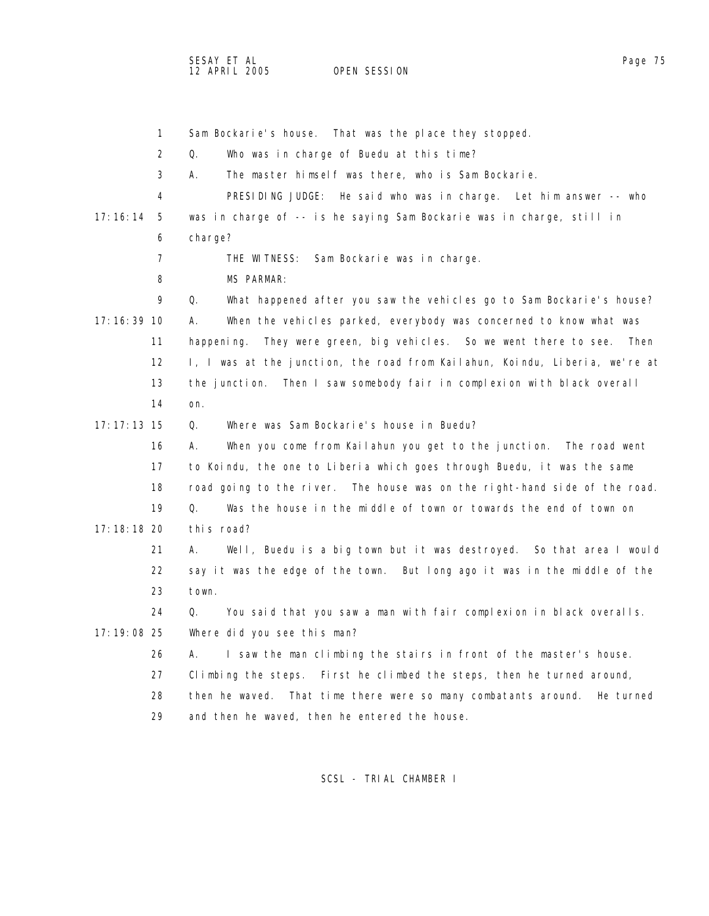1 Sam Bockarie's house. That was the place they stopped. 2 Q. Who was in charge of Buedu at this time? 3 A. The master himself was there, who is Sam Bockarie. 4 PRESIDING JUDGE: He said who was in charge. Let him answer -- who 17:16:14 5 was in charge of -- is he saying Sam Bockarie was in charge, still in 6 charge? 7 THE WITNESS: Sam Bockarie was in charge. 8 MS PARMAR: 9 Q. What happened after you saw the vehicles go to Sam Bockarie's house? 17:16:39 10 A. When the vehicles parked, everybody was concerned to know what was 11 happening. They were green, big vehicles. So we went there to see. Then 12 I, I was at the junction, the road from Kailahun, Koindu, Liberia, we're at 13 the junction. Then I saw somebody fair in complexion with black overall 14 on. 17:17:13 15 Q. Where was Sam Bockarie's house in Buedu? 16 A. When you come from Kailahun you get to the junction. The road went 17 to Koindu, the one to Liberia which goes through Buedu, it was the same 18 road going to the river. The house was on the right-hand side of the road. 19 Q. Was the house in the middle of town or towards the end of town on 17:18:18 20 this road? 21 A. Well, Buedu is a big town but it was destroyed. So that area I would 22 say it was the edge of the town. But long ago it was in the middle of the 23 town. 24 Q. You said that you saw a man with fair complexion in black overalls. 17:19:08 25 Where did you see this man? 26 A. I saw the man climbing the stairs in front of the master's house. 27 Climbing the steps. First he climbed the steps, then he turned around, 28 then he waved. That time there were so many combatants around. He turned 29 and then he waved, then he entered the house.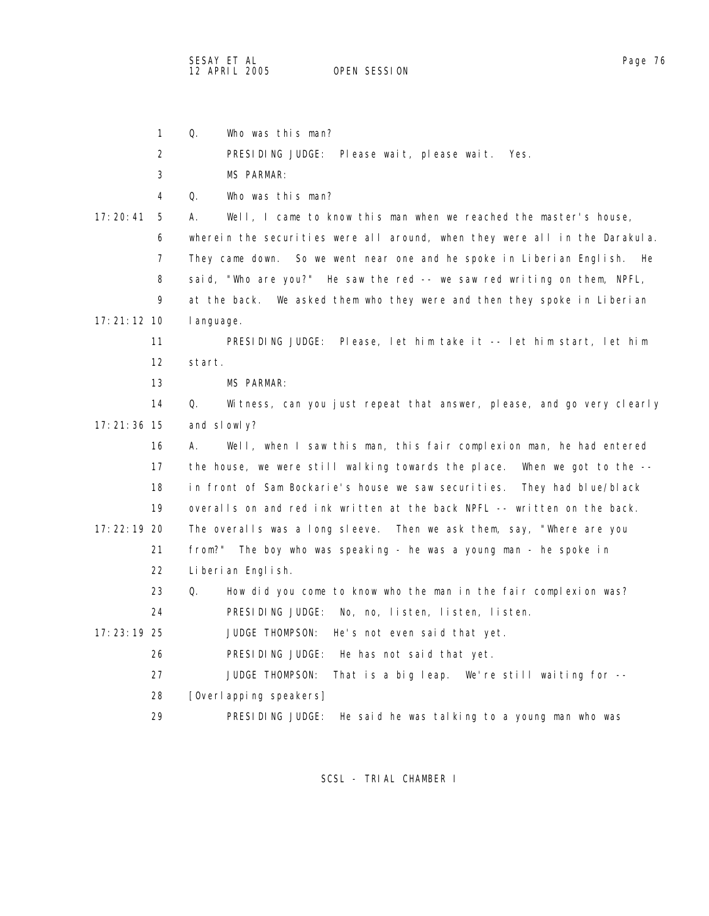SESAY ET AL Page 76 12 APRIL 2005

1 Q. Who was this man?

2 PRESIDING JUDGE: Please wait, please wait. Yes.

3 MS PARMAR:

4 Q. Who was this man?

 17:20:41 5 A. Well, I came to know this man when we reached the master's house, 6 wherein the securities were all around, when they were all in the Darakula. 7 They came down. So we went near one and he spoke in Liberian English. He 8 said, "Who are you?" He saw the red -- we saw red writing on them, NPFL, 9 at the back. We asked them who they were and then they spoke in Liberian 17:21:12 10 language.

 11 PRESIDING JUDGE: Please, let him take it -- let him start, let him 12 start.

13 MS PARMAR:

 14 Q. Witness, can you just repeat that answer, please, and go very clearly 17:21:36 15 and slowly?

 16 A. Well, when I saw this man, this fair complexion man, he had entered 17 the house, we were still walking towards the place. When we got to the -- 18 in front of Sam Bockarie's house we saw securities. They had blue/black 19 overalls on and red ink written at the back NPFL -- written on the back. 17:22:19 20 The overalls was a long sleeve. Then we ask them, say, "Where are you 21 from?" The boy who was speaking - he was a young man - he spoke in

22 Liberian English.

 23 Q. How did you come to know who the man in the fair complexion was? 24 PRESIDING JUDGE: No, no, listen, listen, listen.

17:23:19 25 JUDGE THOMPSON: He's not even said that yet.

26 PRESIDING JUDGE: He has not said that yet.

27 JUDGE THOMPSON: That is a big leap. We're still waiting for --

28 [Overlapping speakers]

29 PRESIDING JUDGE: He said he was talking to a young man who was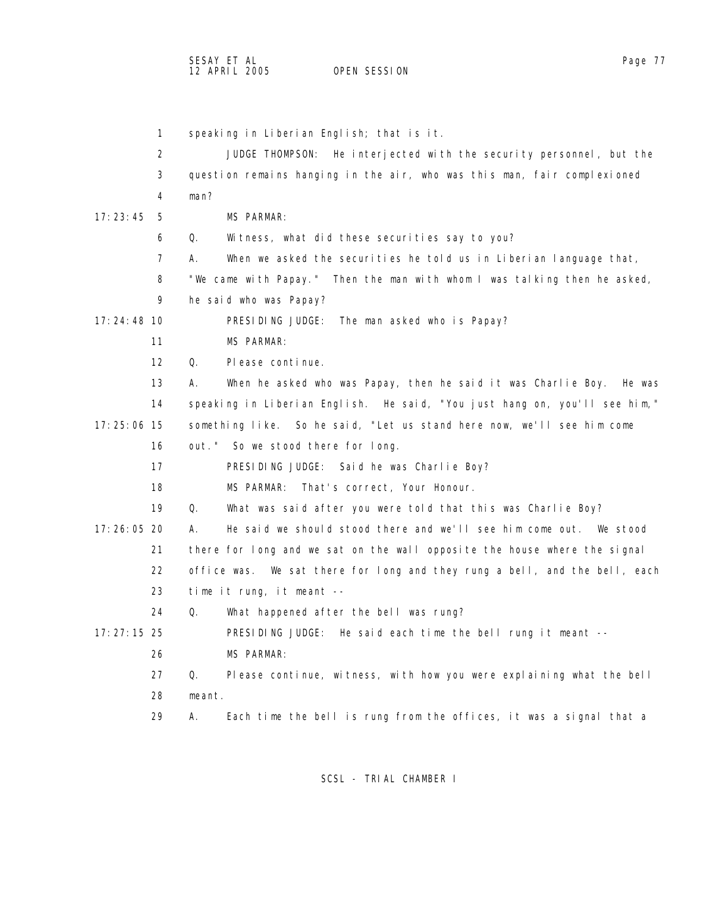1 speaking in Liberian English; that is it. 2 JUDGE THOMPSON: He interjected with the security personnel, but the 3 question remains hanging in the air, who was this man, fair complexioned 4 man? 17:23:45 5 MS PARMAR: 6 Q. Witness, what did these securities say to you? 7 A. When we asked the securities he told us in Liberian language that, 8 "We came with Papay." Then the man with whom I was talking then he asked, 9 he said who was Papay? 17:24:48 10 PRESIDING JUDGE: The man asked who is Papay? 11 MS PARMAR: 12 Q. Please continue. 13 A. When he asked who was Papay, then he said it was Charlie Boy. He was 14 speaking in Liberian English. He said, "You just hang on, you'll see him," 17:25:06 15 something like. So he said, "Let us stand here now, we'll see him come 16 out." So we stood there for long. 17 PRESIDING JUDGE: Said he was Charlie Boy? 18 MS PARMAR: That's correct, Your Honour. 19 Q. What was said after you were told that this was Charlie Boy? 17:26:05 20 A. He said we should stood there and we'll see him come out. We stood 21 there for long and we sat on the wall opposite the house where the signal 22 office was. We sat there for long and they rung a bell, and the bell, each 23 time it rung, it meant -- 24 Q. What happened after the bell was rung? 17:27:15 25 PRESIDING JUDGE: He said each time the bell rung it meant -- 26 MS PARMAR: 27 Q. Please continue, witness, with how you were explaining what the bell 28 meant. 29 A. Each time the bell is rung from the offices, it was a signal that a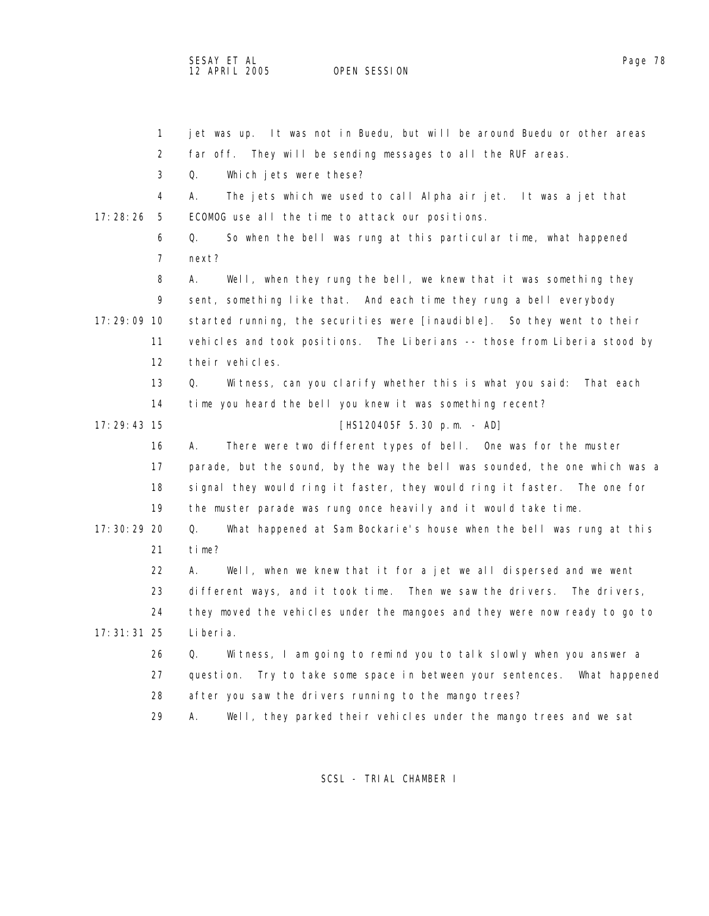OPEN SESSION

|               | $\mathbf{1}$   | jet was up. It was not in Buedu, but will be around Buedu or other areas     |
|---------------|----------------|------------------------------------------------------------------------------|
|               | 2              | far off. They will be sending messages to all the RUF areas.                 |
|               | 3              | Q.<br>Which jets were these?                                                 |
|               | 4              | А.<br>The jets which we used to call Alpha air jet. It was a jet that        |
| 17: 28: 26    | - 5            | ECOMOG use all the time to attack our positions.                             |
|               | 6              | So when the bell was rung at this particular time, what happened<br>Q.       |
|               | $\overline{7}$ | next?                                                                        |
|               | 8              | Well, when they rung the bell, we knew that it was something they<br>А.      |
|               | 9              | sent, something like that. And each time they rung a bell everybody          |
| $17:29:09$ 10 |                | started running, the securities were [inaudible]. So they went to their      |
|               | 11             | vehicles and took positions. The Liberians -- those from Liberia stood by    |
|               | 12             | their vehicles.                                                              |
|               | 13             | Q.<br>Witness, can you clarify whether this is what you said:<br>That each   |
|               | 14             | time you heard the bell you knew it was something recent?                    |
| $17:29:43$ 15 |                | $[HS120405F 5.30 p.m. - AD]$                                                 |
|               | 16             | There were two different types of bell. One was for the muster<br>А.         |
|               | 17             | parade, but the sound, by the way the bell was sounded, the one which was a  |
|               | 18             | signal they would ring it faster, they would ring it faster. The one for     |
|               | 19             | the muster parade was rung once heavily and it would take time.              |
| 17: 30: 29 20 |                | Q.<br>What happened at Sam Bockarie's house when the bell was rung at this   |
|               | 21             | time?                                                                        |
|               | 22             | Well, when we knew that it for a jet we all dispersed and we went<br>А.      |
|               | 23             | different ways, and it took time. Then we saw the drivers.<br>The drivers,   |
|               | 24             | they moved the vehicles under the mangoes and they were now ready to go to   |
| $17:31:31$ 25 |                | Li beri a.                                                                   |
|               | 26             | Witness, I am going to remind you to talk slowly when you answer a<br>Q.     |
|               | 27             | question.<br>Try to take some space in between your sentences. What happened |
|               | 28             | after you saw the drivers running to the mango trees?                        |
|               | 29             | Well, they parked their vehicles under the mango trees and we sat<br>А.      |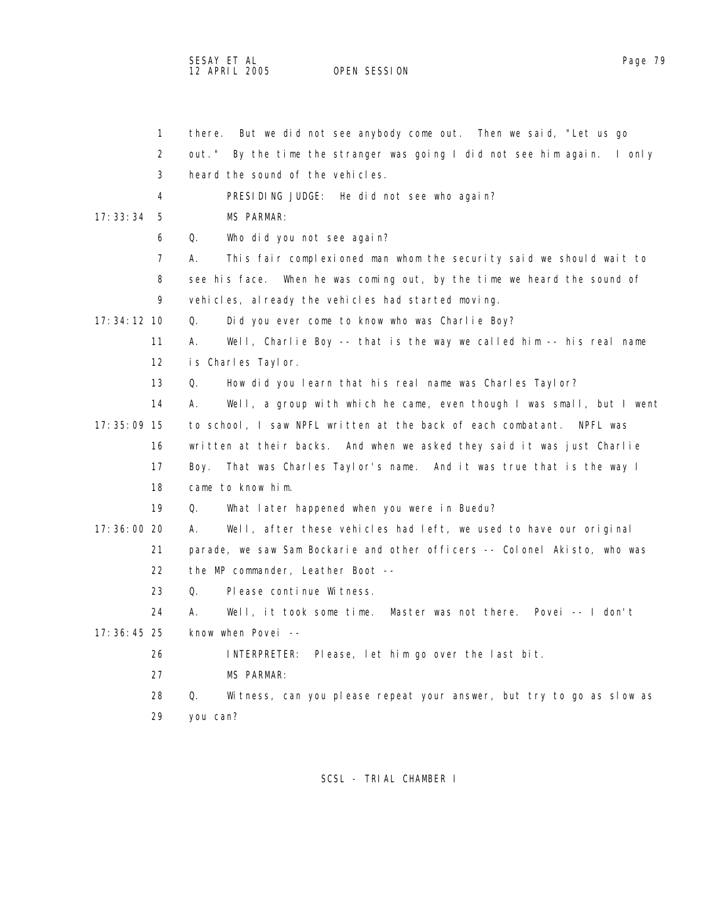SESAY ET AL<br>12 APRIL 2005 OPEN SESSION

OPEN SESSION

|               | $\mathbf{1}$      | But we did not see anybody come out. Then we said, "Let us go<br>there.     |
|---------------|-------------------|-----------------------------------------------------------------------------|
|               | 2                 | out."<br>By the time the stranger was going I did not see him again. I only |
|               | 3                 | heard the sound of the vehicles.                                            |
|               | 4                 | PRESIDING JUDGE: He did not see who again?                                  |
| 17:33:34      | -5                | MS PARMAR:                                                                  |
|               | 6                 | Q.<br>Who did you not see again?                                            |
|               | 7                 | This fair complexioned man whom the security said we should wait to<br>А.   |
|               | 8                 | see his face. When he was coming out, by the time we heard the sound of     |
|               | 9                 | vehicles, already the vehicles had started moving.                          |
| $17:34:12$ 10 |                   | Q.<br>Did you ever come to know who was Charlie Boy?                        |
|               | 11                | Well, Charlie Boy -- that is the way we called him -- his real name<br>А.   |
|               | $12 \overline{ }$ | is Charles Taylor.                                                          |
|               | 13                | How did you learn that his real name was Charles Taylor?<br>Q.              |
|               | 14                | Well, a group with which he came, even though I was small, but I went<br>А. |
| 17: 35: 09 15 |                   | to school, I saw NPFL written at the back of each combatant.<br>NPFL was    |
|               | 16                | written at their backs. And when we asked they said it was just Charlie     |
|               | 17                | That was Charles Taylor's name. And it was true that is the way I<br>Boy.   |
|               | 18                | came to know him.                                                           |
|               | 19                | Q.<br>What later happened when you were in Buedu?                           |
| 17:36:00 20   |                   | А.<br>Well, after these vehicles had left, we used to have our original     |
|               | 21                | parade, we saw Sam Bockarie and other officers -- Colonel Akisto, who was   |
|               | 22                | the MP commander, Leather Boot --                                           |
|               | 23                | Q.<br>Please continue Witness.                                              |
|               | 24                | А.<br>Well, it took some time.<br>Master was not there. Povei -- I don't    |
| $17:36:45$ 25 |                   | know when Povei --                                                          |
|               | 26                | INTERPRETER: Please, let him go over the last bit.                          |
|               | 27                | <b>MS PARMAR:</b>                                                           |
|               | 28                | Witness, can you please repeat your answer, but try to go as slow as<br>Q.  |
|               | 29                | you can?                                                                    |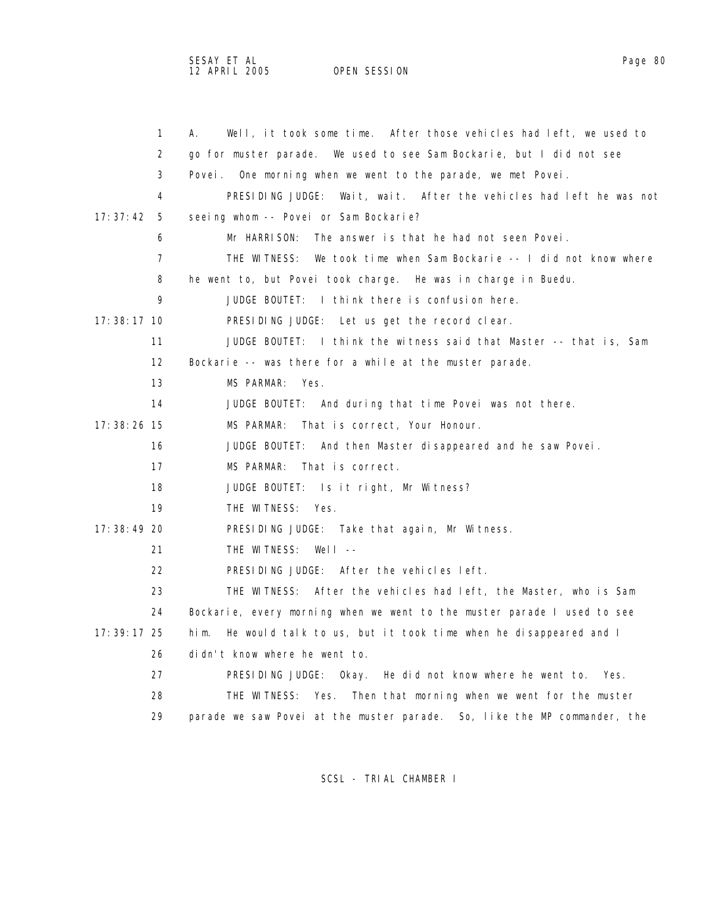| $\mathbf{1}$      | Well, it took some time. After those vehicles had left, we used to<br>А. |
|-------------------|--------------------------------------------------------------------------|
| 2                 | We used to see Sam Bockarie, but I did not see<br>go for muster parade.  |
| 3                 | One morning when we went to the parade, we met Povei.<br>Povei .         |
| 4                 | PRESIDING JUDGE: Wait, wait. After the vehicles had left he was not      |
| 17:37:42<br>- 5   | seeing whom -- Povei or Sam Bockarie?                                    |
| 6                 | Mr HARRISON:<br>The answer is that he had not seen Povei.                |
| 7                 | THE WITNESS:<br>We took time when Sam Bockarie -- I did not know where   |
| 8                 | he went to, but Povei took charge. He was in charge in Buedu.            |
| 9                 | JUDGE BOUTET: I think there is confusion here.                           |
| $17:38:17$ 10     | PRESIDING JUDGE: Let us get the record clear.                            |
| 11                | JUDGE BOUTET: I think the witness said that Master -- that is, Sam       |
| $12 \overline{ }$ | Bockarie -- was there for a while at the muster parade.                  |
| 13                | MS PARMAR:<br>Yes.                                                       |
| 14                | JUDGE BOUTET: And during that time Povei was not there.                  |
| $17:38:26$ 15     | MS PARMAR:<br>That is correct, Your Honour.                              |
| 16                | JUDGE BOUTET: And then Master disappeared and he saw Povei.              |
| 17                | MS PARMAR: That is correct.                                              |
| 18                | JUDGE BOUTET: Is it right, Mr Witness?                                   |
| 19                | THE WITNESS: Yes.                                                        |
| 17:38:49 20       | PRESIDING JUDGE: Take that again, Mr Witness.                            |
| 21                | THE WITNESS: Well --                                                     |
| 22                | PRESIDING JUDGE: After the vehicles left.                                |
| 23                | THE WITNESS: After the vehicles had left, the Master, who is Sam         |
| 24                | Bockarie, every morning when we went to the muster parade I used to see  |
| 17: 39: 17 25     | He would talk to us, but it took time when he disappeared and I<br>him.  |
| 26                | didn't know where he went to.                                            |
| 27                | PRESIDING JUDGE: Okay. He did not know where he went to.<br>Yes.         |
| 28                | THE WITNESS: Yes. Then that morning when we went for the muster          |
| 29                | parade we saw Povei at the muster parade. So, like the MP commander, the |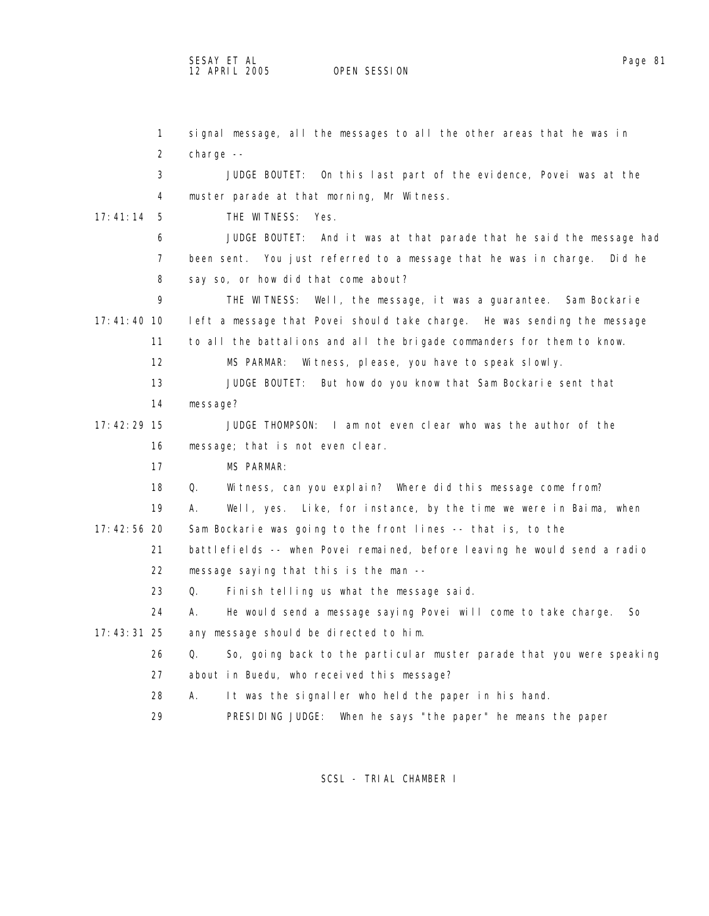OPEN SESSION

 1 signal message, all the messages to all the other areas that he was in 2 charge -- 3 JUDGE BOUTET: On this last part of the evidence, Povei was at the 4 muster parade at that morning, Mr Witness. 17:41:14 5 THE WITNESS: Yes. 6 JUDGE BOUTET: And it was at that parade that he said the message had 7 been sent. You just referred to a message that he was in charge. Did he 8 say so, or how did that come about? 9 THE WITNESS: Well, the message, it was a guarantee. Sam Bockarie 17:41:40 10 left a message that Povei should take charge. He was sending the message 11 to all the battalions and all the brigade commanders for them to know. 12 MS PARMAR: Witness, please, you have to speak slowly. 13 JUDGE BOUTET: But how do you know that Sam Bockarie sent that 14 message? 17:42:29 15 JUDGE THOMPSON: I am not even clear who was the author of the 16 message; that is not even clear. 17 MS PARMAR: 18 Q. Witness, can you explain? Where did this message come from? 19 A. Well, yes. Like, for instance, by the time we were in Baima, when 17:42:56 20 Sam Bockarie was going to the front lines -- that is, to the 21 battlefields -- when Povei remained, before leaving he would send a radio 22 message saying that this is the man -- 23 Q. Finish telling us what the message said. 24 A. He would send a message saying Povei will come to take charge. So 17:43:31 25 any message should be directed to him. 26 Q. So, going back to the particular muster parade that you were speaking 27 about in Buedu, who received this message? 28 A. It was the signaller who held the paper in his hand. 29 PRESIDING JUDGE: When he says "the paper" he means the paper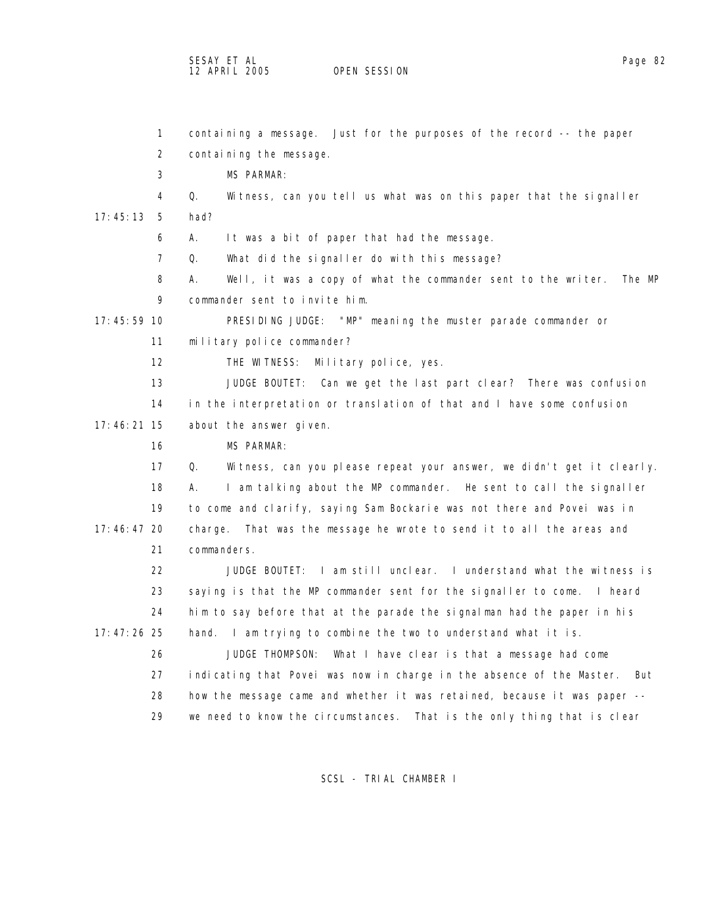SESAY ET AL Page 82

OPEN SESSION

 1 containing a message. Just for the purposes of the record -- the paper 2 containing the message. 3 MS PARMAR: 4 Q. Witness, can you tell us what was on this paper that the signaller 17:45:13 5 had? 6 A. It was a bit of paper that had the message. 7 Q. What did the signaller do with this message? 8 A. Well, it was a copy of what the commander sent to the writer. The MP 9 commander sent to invite him. 17:45:59 10 PRESIDING JUDGE: "MP" meaning the muster parade commander or 11 military police commander? 12 THE WITNESS: Military police, yes. 13 JUDGE BOUTET: Can we get the last part clear? There was confusion 14 in the interpretation or translation of that and I have some confusion 17:46:21 15 about the answer given. 16 MS PARMAR: 17 Q. Witness, can you please repeat your answer, we didn't get it clearly. 18 A. I am talking about the MP commander. He sent to call the signaller 19 to come and clarify, saying Sam Bockarie was not there and Povei was in 17:46:47 20 charge. That was the message he wrote to send it to all the areas and 21 commanders. 22 JUDGE BOUTET: I am still unclear. I understand what the witness is 23 saying is that the MP commander sent for the signaller to come. I heard 24 him to say before that at the parade the signalman had the paper in his 17:47:26 25 hand. I am trying to combine the two to understand what it is. 26 JUDGE THOMPSON: What I have clear is that a message had come 27 indicating that Povei was now in charge in the absence of the Master. But 28 how the message came and whether it was retained, because it was paper -- 29 we need to know the circumstances. That is the only thing that is clear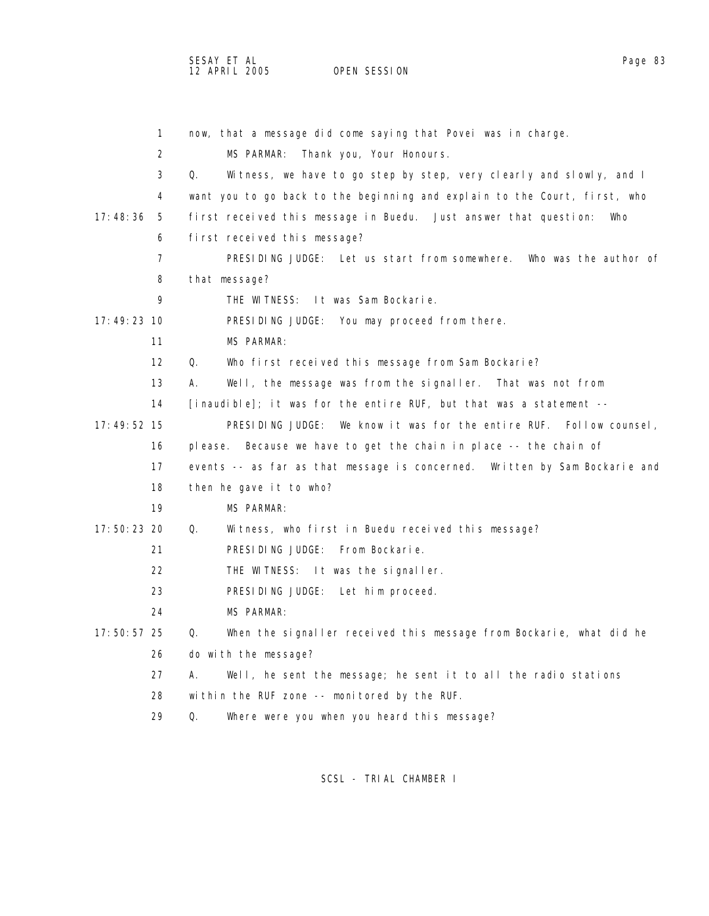SESAY ET AL<br>12 APRIL 2005 OPEN SESSION

OPEN SESSION

|               | $\mathbf{1}$      | now, that a message did come saying that Povei was in charge.              |
|---------------|-------------------|----------------------------------------------------------------------------|
|               | 2                 | MS PARMAR:<br>Thank you, Your Honours.                                     |
|               | 3                 | Witness, we have to go step by step, very clearly and slowly, and I<br>Q.  |
|               | 4                 | want you to go back to the beginning and explain to the Court, first, who  |
| 17:48:36      | - 5               | first received this message in Buedu. Just answer that question:<br>Who    |
|               | 6                 | first received this message?                                               |
|               | $\overline{7}$    | PRESIDING JUDGE: Let us start from somewhere. Who was the author of        |
|               | 8                 | that message?                                                              |
|               | 9                 | THE WITNESS: It was Sam Bockarie.                                          |
| 17:49:23 10   |                   | PRESIDING JUDGE: You may proceed from there.                               |
|               | 11                | <b>MS PARMAR:</b>                                                          |
|               | $12 \overline{ }$ | Who first received this message from Sam Bockarie?<br>Q.                   |
|               | 13                | А.<br>Well, the message was from the signaller. That was not from          |
|               | 14                | [inaudible]; it was for the entire RUF, but that was a statement $-$       |
| $17:49:52$ 15 |                   | PRESIDING JUDGE: We know it was for the entire RUF. Follow counsel,        |
|               | 16                | please. Because we have to get the chain in place -- the chain of          |
|               | 17                | events -- as far as that message is concerned. Written by Sam Bockarie and |
|               | 18                | then he gave it to who?                                                    |
|               | 19                | MS PARMAR:                                                                 |
| $17:50:23$ 20 |                   | Q.<br>Witness, who first in Buedu received this message?                   |
|               | 21                | PRESIDING JUDGE: From Bockarie.                                            |
|               | 22                | THE WITNESS: It was the signaller.                                         |
|               | 23                | PRESIDING JUDGE: Let him proceed.                                          |
|               | 24                | <b>MS PARMAR:</b>                                                          |
| $17:50:57$ 25 |                   | When the signaller received this message from Bockarie, what did he<br>Q.  |
|               | 26                | do with the message?                                                       |
|               | 27                | А.<br>Well, he sent the message; he sent it to all the radio stations      |
|               | 28                | within the RUF zone -- monitored by the RUF.                               |
|               | 29                | Where were you when you heard this message?<br>Q.                          |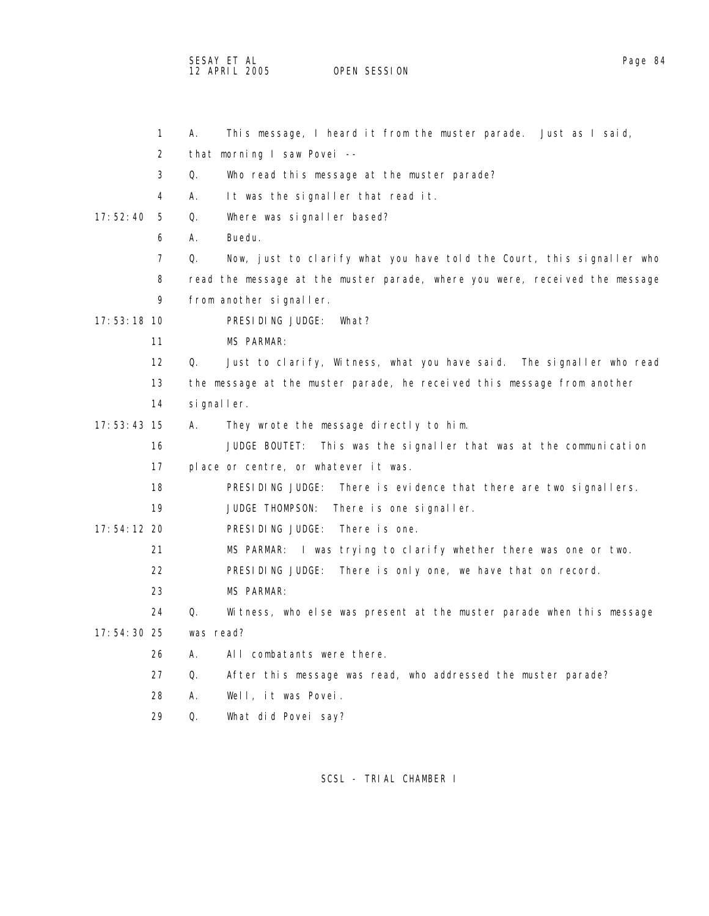SESAY ET AL<br>12 APRIL 2005 OPEN SESSION OPEN SESSION

| 1              | This message, I heard it from the muster parade. Just as I said,<br>А.      |
|----------------|-----------------------------------------------------------------------------|
| 2              | that morning I saw Povei --                                                 |
| 3              | Q.<br>Who read this message at the muster parade?                           |
| 4              | It was the signaller that read it.<br>А.                                    |
| 17:52:40<br>-5 | Q.<br>Where was signaller based?                                            |
| 6              | Buedu.<br>А.                                                                |
| $\overline{7}$ | Q.<br>Now, just to clarify what you have told the Court, this signaller who |
| 8              | read the message at the muster parade, where you were, received the message |
| 9              | from another signaller.                                                     |
| 17:53:18 10    | PRESIDING JUDGE:<br>What?                                                   |
| 11             | <b>MS PARMAR:</b>                                                           |
| 12             | Q.<br>Just to clarify, Witness, what you have said. The signaller who read  |
| 13             | the message at the muster parade, he received this message from another     |
| 14             | signaller.                                                                  |
| $17:53:43$ 15  | They wrote the message directly to him.<br>А.                               |
| 16             | JUDGE BOUTET:<br>This was the signaller that was at the communication       |
| 17             | place or centre, or whatever it was.                                        |
| 18             | PRESIDING JUDGE: There is evidence that there are two signallers.           |
| 19             | JUDGE THOMPSON:<br>There is one signaller.                                  |
| 17:54:12 20    | PRESIDING JUDGE: There is one.                                              |
| 21             | MS PARMAR:<br>I was trying to clarify whether there was one or two.         |
| 22             | PRESIDING JUDGE:<br>There is only one, we have that on record.              |
| 23             | <b>MS PARMAR:</b>                                                           |
| 24             | Q.<br>Witness, who else was present at the muster parade when this message  |
| 17:54:30 25    | was read?                                                                   |
| 26             | Α.<br>All combatants were there.                                            |
| 27             | After this message was read, who addressed the muster parade?<br>Q.         |
| 28             | Well, it was Povei.<br>Α.                                                   |
| 29             | What did Povei say?<br>Q.                                                   |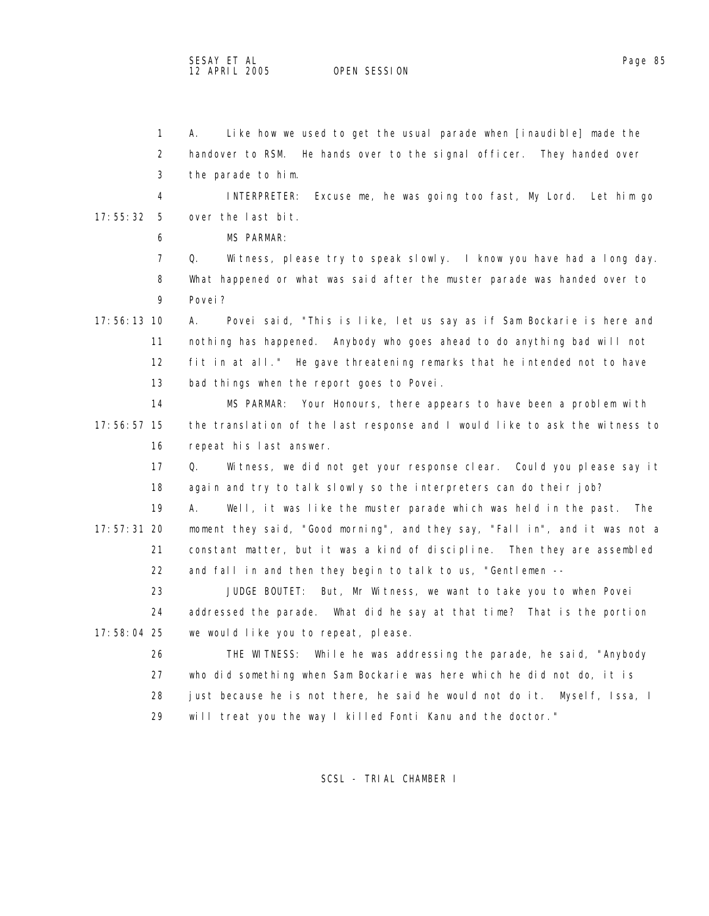OPEN SESSION

 1 A. Like how we used to get the usual parade when [inaudible] made the 2 handover to RSM. He hands over to the signal officer. They handed over 3 the parade to him. 4 INTERPRETER: Excuse me, he was going too fast, My Lord. Let him go 17:55:32 5 over the last bit. 6 MS PARMAR: 7 Q. Witness, please try to speak slowly. I know you have had a long day. 8 What happened or what was said after the muster parade was handed over to 9 Povei? 17:56:13 10 A. Povei said, "This is like, let us say as if Sam Bockarie is here and 11 nothing has happened. Anybody who goes ahead to do anything bad will not 12 fit in at all." He gave threatening remarks that he intended not to have 13 bad things when the report goes to Povei. 14 MS PARMAR: Your Honours, there appears to have been a problem with 17:56:57 15 the translation of the last response and I would like to ask the witness to 16 repeat his last answer. 17 Q. Witness, we did not get your response clear. Could you please say it 18 again and try to talk slowly so the interpreters can do their job? 19 A. Well, it was like the muster parade which was held in the past. The 17:57:31 20 moment they said, "Good morning", and they say, "Fall in", and it was not a 21 constant matter, but it was a kind of discipline. Then they are assembled 22 and fall in and then they begin to talk to us, "Gentlemen -- 23 JUDGE BOUTET: But, Mr Witness, we want to take you to when Povei 24 addressed the parade. What did he say at that time? That is the portion 17:58:04 25 we would like you to repeat, please. 26 THE WITNESS: While he was addressing the parade, he said, "Anybody 27 who did something when Sam Bockarie was here which he did not do, it is 28 just because he is not there, he said he would not do it. Myself, Issa, I 29 will treat you the way I killed Fonti Kanu and the doctor."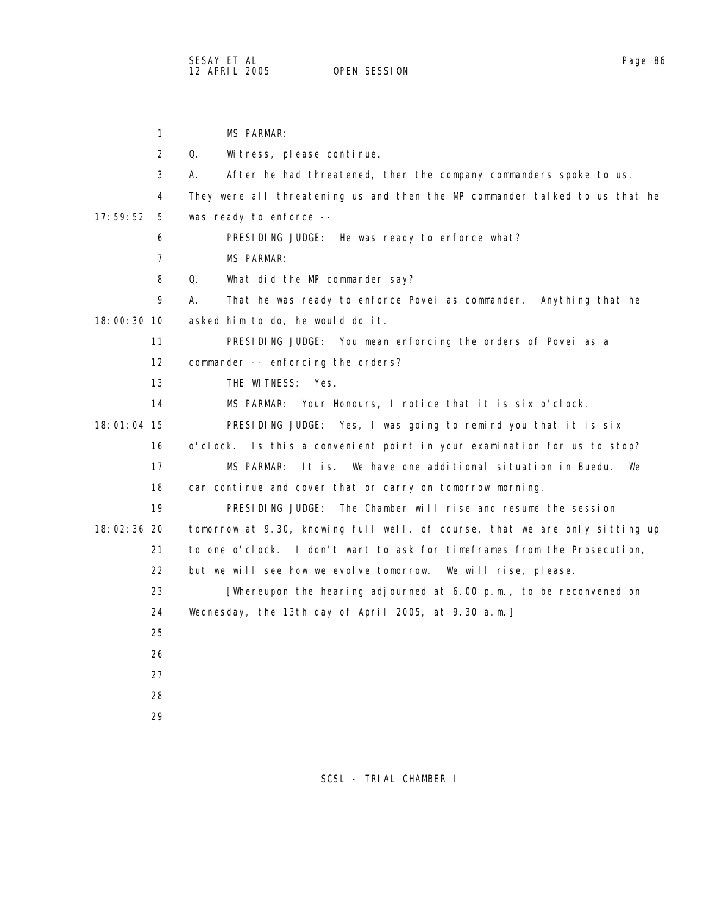| $\mathbf{1}$   | <b>MS PARMAR:</b>                                                           |
|----------------|-----------------------------------------------------------------------------|
| 2              | Q.<br>Witness, please continue.                                             |
| 3              | А.<br>After he had threatened, then the company commanders spoke to us.     |
| 4              | They were all threatening us and then the MP commander talked to us that he |
| 17:59:52<br>-5 | was ready to enforce --                                                     |
| 6              | PRESIDING JUDGE: He was ready to enforce what?                              |
| 7              | MS PARMAR:                                                                  |
| 8              | 0.<br>What did the MP commander say?                                        |
| 9              | That he was ready to enforce Povei as commander. Anything that he<br>А.     |
| 18:00:30 10    | asked him to do, he would do it.                                            |
| 11             | PRESIDING JUDGE: You mean enforcing the orders of Povei as a                |
| 12             | commander -- enforcing the orders?                                          |
| 13             | THE WITNESS: Yes.                                                           |
| 14             | MS PARMAR: Your Honours, I notice that it is six o'clock.                   |
| 18:01:04 15    | PRESIDING JUDGE: Yes, I was going to remind you that it is six              |
| 16             | o'clock. Is this a convenient point in your examination for us to stop?     |
| 17             | We have one additional situation in Buedu.<br>MS PARMAR:<br>It is.<br>We    |
| 18             | can continue and cover that or carry on tomorrow morning.                   |
| 19             | PRESIDING JUDGE:<br>The Chamber will rise and resume the session            |
| 18:02:36 20    | tomorrow at 9.30, knowing full well, of course, that we are only sitting up |
| 21             | to one o'clock. I don't want to ask for timeframes from the Prosecution,    |
| 22             | but we will see how we evolve tomorrow.<br>We will rise, please.            |
| 23             | [Whereupon the hearing adjourned at $6.00$ p.m., to be reconvened on        |
| 24             | Wednesday, the 13th day of April 2005, at 9.30 a.m.]                        |
| 25             |                                                                             |
| 26             |                                                                             |
| 27             |                                                                             |
| 28             |                                                                             |
| 29             |                                                                             |